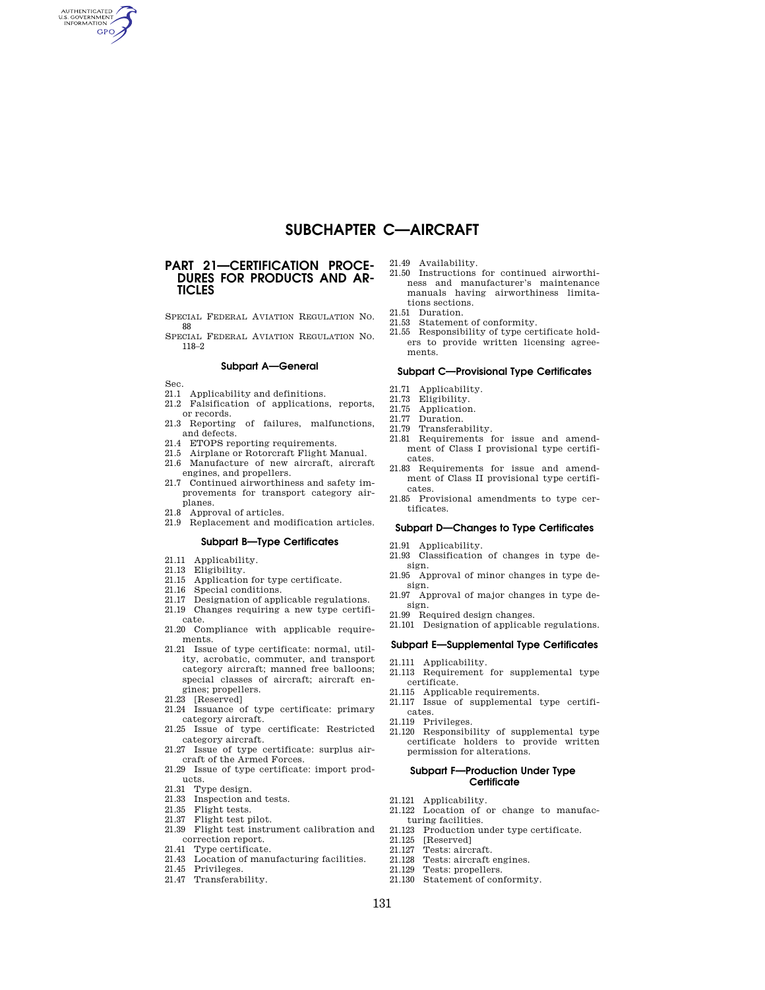# **SUBCHAPTER C—AIRCRAFT**

# **PART 21—CERTIFICATION PROCE-DURES FOR PRODUCTS AND AR-TICLES**

SPECIAL FEDERAL AVIATION REGULATION NO. 88

SPECIAL FEDERAL AVIATION REGULATION NO. 118–2

## **Subpart A—General**

Sec.

AUTHENTICATED **GPO** 

- 21.1 Applicability and definitions.
- 21.2 Falsification of applications, reports, or records.
- 21.3 Reporting of failures, malfunctions, and defects.
- 21.4 ETOPS reporting requirements.
- 21.5 Airplane or Rotorcraft Flight Manual. 21.6 Manufacture of new aircraft, aircraft
- engines, and propellers. 21.7 Continued airworthiness and safety improvements for transport category air-
- planes. 21.8 Approval of articles.
- 21.9 Replacement and modification articles.

# **Subpart B—Type Certificates**

- 21.11 Applicability.
- 21.13 Eligibility.
- 21.15 Application for type certificate.
- 21.16 Special conditions.
- 21.17 Designation of applicable regulations. 21.19 Changes requiring a new type certifi-
- cate.
- 21.20 Compliance with applicable requirements.
- 21.21 Issue of type certificate: normal, utility, acrobatic, commuter, and transport category aircraft; manned free balloons; special classes of aircraft; aircraft engines; propellers.
- 21.23 [Reserved]
- 21.24 Issuance of type certificate: primary category aircraft.
- 21.25 Issue of type certificate: Restricted category aircraft.
- 21.27 Issue of type certificate: surplus aircraft of the Armed Forces.
- 21.29 Issue of type certificate: import products.
- 21.31 Type design.
- 21.33 Inspection and tests.
- 21.35 Flight tests.
- 21.37 Flight test pilot.
- 21.39 Flight test instrument calibration and correction report.
- 21.41 Type certificate.
- 21.43 Location of manufacturing facilities.
- 21.45 Privileges.
- 21.47 Transferability.
- 21.49 Availability.
- 21.50 Instructions for continued airworthiness and manufacturer's maintenance manuals having airworthiness limitations sections.
- 21.51 Duration.
- 21.53 Statement of conformity.
- 21.55 Responsibility of type certificate holders to provide written licensing agreements.

## **Subpart C—Provisional Type Certificates**

- 21.71 Applicability.
- 21.73 Eligibility.
- 21.75 Application.
- 21.77 Duration.
- 21.79 Transferability.
- 21.81 Requirements for issue and amendment of Class I provisional type certificates.
- 21.83 Requirements for issue and amendment of Class II provisional type certificates.
- 21.85 Provisional amendments to type certificates.

# **Subpart D—Changes to Type Certificates**

- 21.91 Applicability.
- 21.93 Classification of changes in type design.
- 21.95 Approval of minor changes in type design.
- 21.97 Approval of major changes in type design.
- 21.99 Required design changes.
- 21.101 Designation of applicable regulations.

## **Subpart E—Supplemental Type Certificates**

- 21.111 Applicability.
- 21.113 Requirement for supplemental type certificate.
- 21.115 Applicable requirements.
- 21.117 Issue of supplemental type certifi-
- cates. 21.119 Privileges.
- 21.120 Responsibility of supplemental type certificate holders to provide written permission for alterations.

## **Subpart F—Production Under Type Certificate**

- 
- 21.121 Applicability. 21.122 Location of or change to manufacturing facilities.
- 21.123 Production under type certificate.
- [Reserved]
- 21.127 Tests: aircraft.
- 21.128 Tests: aircraft engines.
- 21.129 Tests: propellers.
- 21.130 Statement of conformity.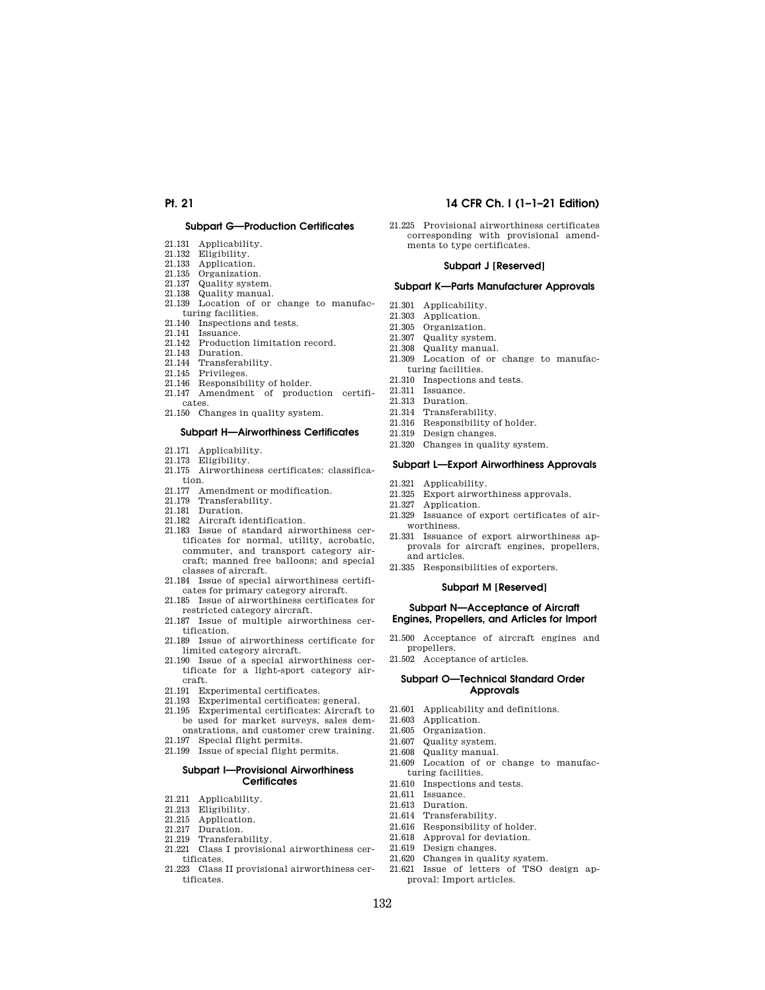## **Subpart G—Production Certificates**

- 21.131 Applicability.
- 21.132 Eligibility.
- 21.133 Application.
- 21.135 Organization.
- 21.137 Quality system.
- 21.138 Quality manual.
- 21.139 Location of or change to manufacturing facilities.
- 21.140 Inspections and tests.
- 21.141 Issuance.
- 21.142 Production limitation record.
- 21.143 Duration.
- 21.144 Transferability.
- 21.145 Privileges.
- 21.146 Responsibility of holder.
- 21.147 Amendment of production certificates.
- 21.150 Changes in quality system.

## **Subpart H—Airworthiness Certificates**

- 21.171 Applicability.
- 21.173 Eligibility.
- 21.175 Airworthiness certificates: classification.
- 21.177 Amendment or modification.
- 21.179 Transferability.
- 21.181 Duration.
- 21.182 Aircraft identification.
- 21.183 Issue of standard airworthiness certificates for normal, utility, acrobatic, commuter, and transport category aircraft; manned free balloons; and special classes of aircraft.
- 21.184 Issue of special airworthiness certificates for primary category aircraft.
- 21.185 Issue of airworthiness certificates for restricted category aircraft.
- 21.187 Issue of multiple airworthiness certification.
- 21.189 Issue of airworthiness certificate for limited category aircraft.
- 21.190 Issue of a special airworthiness certificate for a light-sport category aircraft.
- 21.191 Experimental certificates.
- 21.193 Experimental certificates: general.
- 21.195 Experimental certificates: Aircraft to be used for market surveys, sales dem-
- onstrations, and customer crew training. 21.197 Special flight permits.
- 
- 21.199 Issue of special flight permits.

# **Subpart I—Provisional Airworthiness Certificates**

- 21.211 Applicability.
- 21.213 Eligibility.
- 21.215 Application.
- 21.217 Duration.
- 21.219 Transferability.
- 21.221 Class I provisional airworthiness certificates.
- 21.223 Class II provisional airworthiness certificates.

# **Pt. 21 14 CFR Ch. I (1–1–21 Edition)**

21.225 Provisional airworthiness certificates corresponding with provisional amendments to type certificates.

### **Subpart J [Reserved]**

# **Subpart K—Parts Manufacturer Approvals**

- 21.301 Applicability.
- 21.303 Application.
- 21.305 Organization.
- 21.307 Quality system.
- 21.308 Quality manual.
- 21.309 Location of or change to manufacturing facilities.
- 21.310 Inspections and tests.
- 21.311 Issuance.
- 21.313 Duration.
- 21.314 Transferability.
- 21.316 Responsibility of holder.
- 21.319 Design changes.
- 21.320 Changes in quality system.

#### **Subpart L—Export Airworthiness Approvals**

- 21.321 Applicability.
- 21.325 Export airworthiness approvals.
- 21.327 Application.
- 21.329 Issuance of export certificates of airworthiness.
- 21.331 Issuance of export airworthiness approvals for aircraft engines, propellers, and articles.
- 21.335 Responsibilities of exporters.

## **Subpart M [Reserved]**

## **Subpart N—Acceptance of Aircraft Engines, Propellers, and Articles for Import**

21.500 Acceptance of aircraft engines and propellers.

21.502 Acceptance of articles.

## **Subpart O—Technical Standard Order Approvals**

- 21.601 Applicability and definitions.<br>21.603 Application.
- Application.
- 21.605 Organization.
- 21.607 Quality system.
- 21.608 Quality manual.
- 21.609 Location of or change to manufacturing facilities.
- 21.610 Inspections and tests.
- 21.611 Issuance.
- 21.613 Duration.
- 21.614 Transferability.
- 21.616 Responsibility of holder.
- 21.618 Approval for deviation.
- 
- 21.619 Design changes.<br>21.620 Changes in qual
- Changes in quality system.
- 21.621 Issue of letters of TSO design approval: Import articles.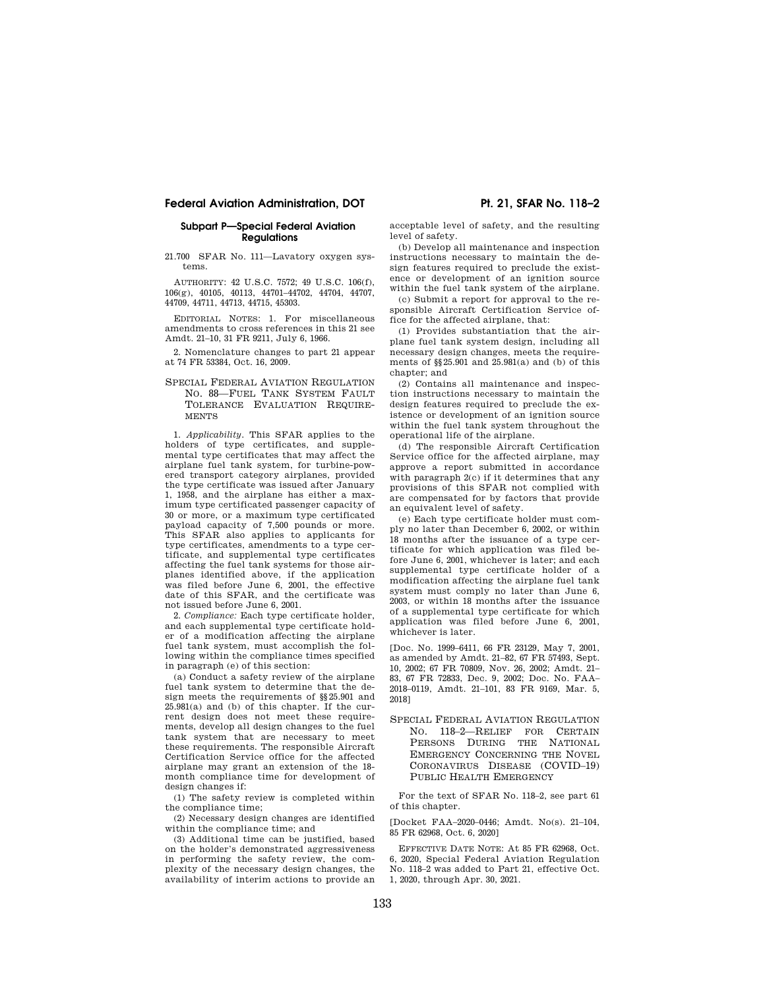## **Federal Aviation Administration, DOT Pt. 21, SFAR No. 118–2**

# **Subpart P—Special Federal Aviation Regulations**

21.700 SFAR No. 111—Lavatory oxygen systems.

AUTHORITY: 42 U.S.C. 7572; 49 U.S.C. 106(f), 106(g), 40105, 40113, 44701–44702, 44704, 44707, 44709, 44711, 44713, 44715, 45303.

EDITORIAL NOTES: 1. For miscellaneous amendments to cross references in this 21 see Amdt. 21–10, 31 FR 9211, July 6, 1966.

2. Nomenclature changes to part 21 appear at 74 FR 53384, Oct. 16, 2009.

## SPECIAL FEDERAL AVIATION REGULATION NO. 88—FUEL TANK SYSTEM FAULT TOLERANCE EVALUATION REQUIRE-**MENTS**

1. *Applicability.* This SFAR applies to the holders of type certificates, and supplemental type certificates that may affect the airplane fuel tank system, for turbine-powered transport category airplanes, provided the type certificate was issued after January 1, 1958, and the airplane has either a maximum type certificated passenger capacity of 30 or more, or a maximum type certificated payload capacity of 7,500 pounds or more. This SFAR also applies to applicants for type certificates, amendments to a type certificate, and supplemental type certificates affecting the fuel tank systems for those airplanes identified above, if the application was filed before June 6, 2001, the effective date of this SFAR, and the certificate was not issued before June 6, 2001.

2. *Compliance:* Each type certificate holder, and each supplemental type certificate holder of a modification affecting the airplane fuel tank system, must accomplish the following within the compliance times specified in paragraph (e) of this section:

(a) Conduct a safety review of the airplane fuel tank system to determine that the design meets the requirements of §§25.901 and  $25.981(a)$  and (b) of this chapter. If the current design does not meet these requirements, develop all design changes to the fuel tank system that are necessary to meet these requirements. The responsible Aircraft Certification Service office for the affected airplane may grant an extension of the 18 month compliance time for development of design changes if:

(1) The safety review is completed within the compliance time;

(2) Necessary design changes are identified within the compliance time; and

(3) Additional time can be justified, based on the holder's demonstrated aggressiveness in performing the safety review, the complexity of the necessary design changes, the availability of interim actions to provide an

acceptable level of safety, and the resulting level of safety.

(b) Develop all maintenance and inspection instructions necessary to maintain the design features required to preclude the existence or development of an ignition source within the fuel tank system of the airplane.

(c) Submit a report for approval to the responsible Aircraft Certification Service office for the affected airplane, that:

(1) Provides substantiation that the airplane fuel tank system design, including all necessary design changes, meets the requirements of §§25.901 and 25.981(a) and (b) of this chapter; and

(2) Contains all maintenance and inspection instructions necessary to maintain the design features required to preclude the existence or development of an ignition source within the fuel tank system throughout the operational life of the airplane.

(d) The responsible Aircraft Certification Service office for the affected airplane, may approve a report submitted in accordance with paragraph 2(c) if it determines that any provisions of this SFAR not complied with are compensated for by factors that provide an equivalent level of safety.

(e) Each type certificate holder must comply no later than December 6, 2002, or within 18 months after the issuance of a type certificate for which application was filed before June 6, 2001, whichever is later; and each supplemental type certificate holder of a modification affecting the airplane fuel tank system must comply no later than June 6, 2003, or within 18 months after the issuance of a supplemental type certificate for which application was filed before June 6, 2001, whichever is later.

[Doc. No. 1999–6411, 66 FR 23129, May 7, 2001, as amended by Amdt. 21–82, 67 FR 57493, Sept. 10, 2002; 67 FR 70809, Nov. 26, 2002; Amdt. 21– 83, 67 FR 72833, Dec. 9, 2002; Doc. No. FAA– 2018–0119, Amdt. 21–101, 83 FR 9169, Mar. 5, 2018]

SPECIAL FEDERAL AVIATION REGULATION NO. 118–2—RELIEF FOR CERTAIN PERSONS DURING THE NATIONAL EMERGENCY CONCERNING THE NOVEL CORONAVIRUS DISEASE (COVID–19) PUBLIC HEALTH EMERGENCY

For the text of SFAR No. 118–2, see part 61 of this chapter.

[Docket FAA–2020–0446; Amdt. No(s). 21–104, 85 FR 62968, Oct. 6, 2020]

EFFECTIVE DATE NOTE: At 85 FR 62968, Oct. 6, 2020, Special Federal Aviation Regulation No. 118–2 was added to Part 21, effective Oct. 1, 2020, through Apr. 30, 2021.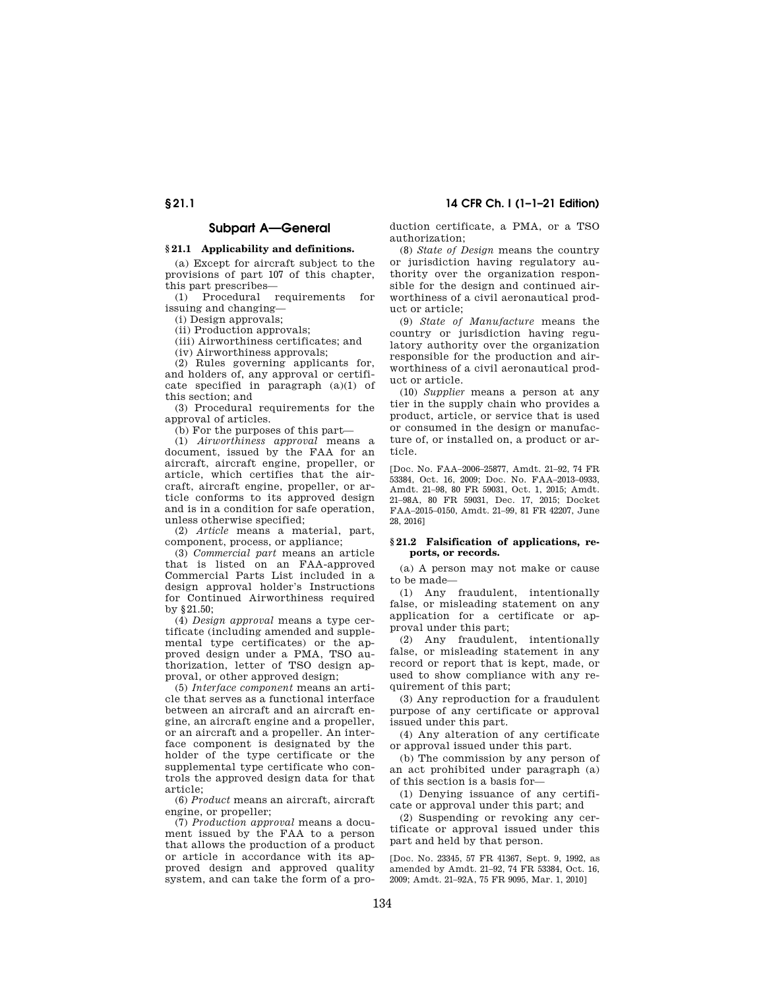# **Subpart A—General**

## **§ 21.1 Applicability and definitions.**

(a) Except for aircraft subject to the provisions of part 107 of this chapter, this part prescribes—

(1) Procedural requirements for issuing and changing—

(i) Design approvals;

(ii) Production approvals;

(iii) Airworthiness certificates; and

(iv) Airworthiness approvals;

(2) Rules governing applicants for, and holders of, any approval or certificate specified in paragraph (a)(1) of this section; and

(3) Procedural requirements for the approval of articles.

(b) For the purposes of this part—

(1) *Airworthiness approval* means a document, issued by the FAA for an aircraft, aircraft engine, propeller, or article, which certifies that the aircraft, aircraft engine, propeller, or article conforms to its approved design and is in a condition for safe operation, unless otherwise specified;

(2) *Article* means a material, part, component, process, or appliance;

(3) *Commercial part* means an article that is listed on an FAA-approved Commercial Parts List included in a design approval holder's Instructions for Continued Airworthiness required by §21.50;

(4) *Design approval* means a type certificate (including amended and supplemental type certificates) or the approved design under a PMA, TSO authorization, letter of TSO design approval, or other approved design;

(5) *Interface component* means an article that serves as a functional interface between an aircraft and an aircraft engine, an aircraft engine and a propeller, or an aircraft and a propeller. An interface component is designated by the holder of the type certificate or the supplemental type certificate who controls the approved design data for that article;

(6) *Product* means an aircraft, aircraft engine, or propeller;

(7) *Production approval* means a document issued by the FAA to a person that allows the production of a product or article in accordance with its approved design and approved quality system, and can take the form of a production certificate, a PMA, or a TSO authorization;

(8) *State of Design* means the country or jurisdiction having regulatory authority over the organization responsible for the design and continued airworthiness of a civil aeronautical product or article;

(9) *State of Manufacture* means the country or jurisdiction having regulatory authority over the organization responsible for the production and airworthiness of a civil aeronautical product or article.

(10) *Supplier* means a person at any tier in the supply chain who provides a product, article, or service that is used or consumed in the design or manufacture of, or installed on, a product or article.

[Doc. No. FAA–2006–25877, Amdt. 21–92, 74 FR 53384, Oct. 16, 2009; Doc. No. FAA–2013–0933, Amdt. 21–98, 80 FR 59031, Oct. 1, 2015; Amdt. 21–98A, 80 FR 59031, Dec. 17, 2015; Docket FAA–2015–0150, Amdt. 21–99, 81 FR 42207, June 28, 2016]

## **§ 21.2 Falsification of applications, reports, or records.**

(a) A person may not make or cause to be made—

(1) Any fraudulent, intentionally false, or misleading statement on any application for a certificate or approval under this part;

(2) Any fraudulent, intentionally false, or misleading statement in any record or report that is kept, made, or used to show compliance with any requirement of this part;

(3) Any reproduction for a fraudulent purpose of any certificate or approval issued under this part.

(4) Any alteration of any certificate or approval issued under this part.

(b) The commission by any person of an act prohibited under paragraph (a) of this section is a basis for—

(1) Denying issuance of any certificate or approval under this part; and

(2) Suspending or revoking any certificate or approval issued under this part and held by that person.

[Doc. No. 23345, 57 FR 41367, Sept. 9, 1992, as amended by Amdt. 21–92, 74 FR 53384, Oct. 16, 2009; Amdt. 21–92A, 75 FR 9095, Mar. 1, 2010]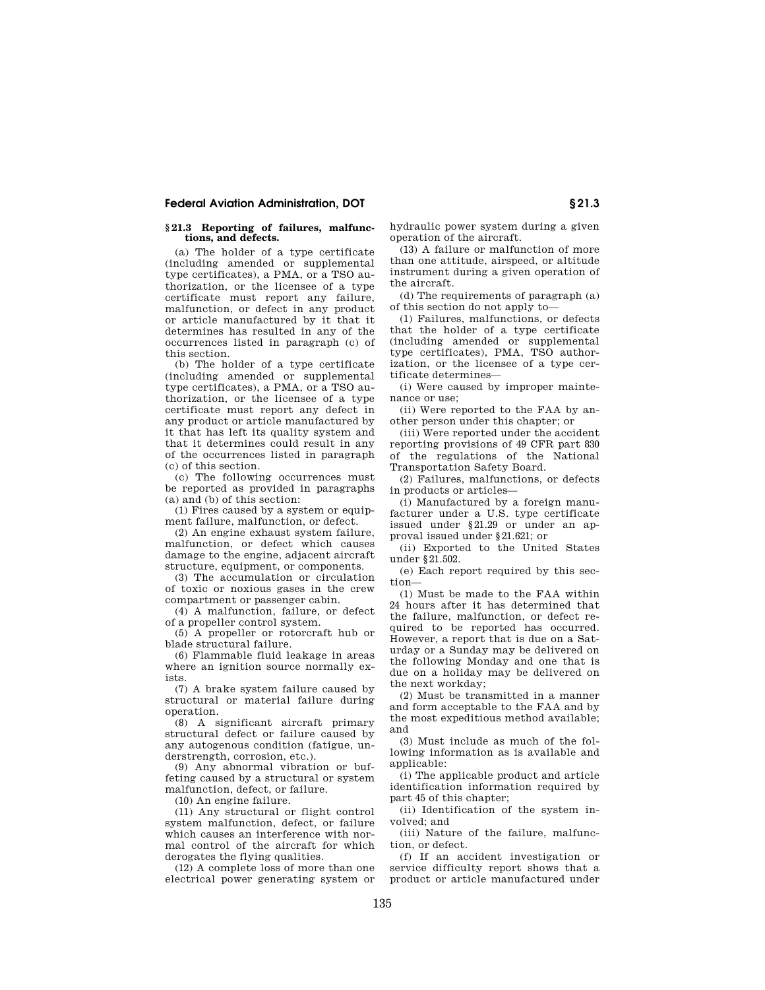## **§ 21.3 Reporting of failures, malfunctions, and defects.**

(a) The holder of a type certificate (including amended or supplemental type certificates), a PMA, or a TSO authorization, or the licensee of a type certificate must report any failure, malfunction, or defect in any product or article manufactured by it that it determines has resulted in any of the occurrences listed in paragraph (c) of this section.

(b) The holder of a type certificate (including amended or supplemental type certificates), a PMA, or a TSO authorization, or the licensee of a type certificate must report any defect in any product or article manufactured by it that has left its quality system and that it determines could result in any of the occurrences listed in paragraph (c) of this section.

(c) The following occurrences must be reported as provided in paragraphs (a) and (b) of this section:

(1) Fires caused by a system or equipment failure, malfunction, or defect.

(2) An engine exhaust system failure, malfunction, or defect which causes damage to the engine, adjacent aircraft structure, equipment, or components.

(3) The accumulation or circulation of toxic or noxious gases in the crew compartment or passenger cabin.

(4) A malfunction, failure, or defect of a propeller control system.

(5) A propeller or rotorcraft hub or blade structural failure.

(6) Flammable fluid leakage in areas where an ignition source normally exists.

(7) A brake system failure caused by structural or material failure during operation.

(8) A significant aircraft primary structural defect or failure caused by any autogenous condition (fatigue, understrength, corrosion, etc.).

(9) Any abnormal vibration or buffeting caused by a structural or system malfunction, defect, or failure.

(10) An engine failure.

(11) Any structural or flight control system malfunction, defect, or failure which causes an interference with normal control of the aircraft for which derogates the flying qualities.

(12) A complete loss of more than one electrical power generating system or hydraulic power system during a given operation of the aircraft.

(13) A failure or malfunction of more than one attitude, airspeed, or altitude instrument during a given operation of the aircraft.

(d) The requirements of paragraph (a) of this section do not apply to—

(1) Failures, malfunctions, or defects that the holder of a type certificate (including amended or supplemental type certificates), PMA, TSO authorization, or the licensee of a type certificate determines—

(i) Were caused by improper maintenance or use;

(ii) Were reported to the FAA by another person under this chapter; or

(iii) Were reported under the accident reporting provisions of 49 CFR part 830 of the regulations of the National Transportation Safety Board.

(2) Failures, malfunctions, or defects in products or articles—

(i) Manufactured by a foreign manufacturer under a U.S. type certificate issued under §21.29 or under an approval issued under §21.621; or

(ii) Exported to the United States under §21.502.

(e) Each report required by this section—

(1) Must be made to the FAA within 24 hours after it has determined that the failure, malfunction, or defect required to be reported has occurred. However, a report that is due on a Saturday or a Sunday may be delivered on the following Monday and one that is due on a holiday may be delivered on the next workday;

(2) Must be transmitted in a manner and form acceptable to the FAA and by the most expeditious method available; and

(3) Must include as much of the following information as is available and applicable:

(i) The applicable product and article identification information required by part 45 of this chapter;

(ii) Identification of the system involved; and

(iii) Nature of the failure, malfunction, or defect.

(f) If an accident investigation or service difficulty report shows that a product or article manufactured under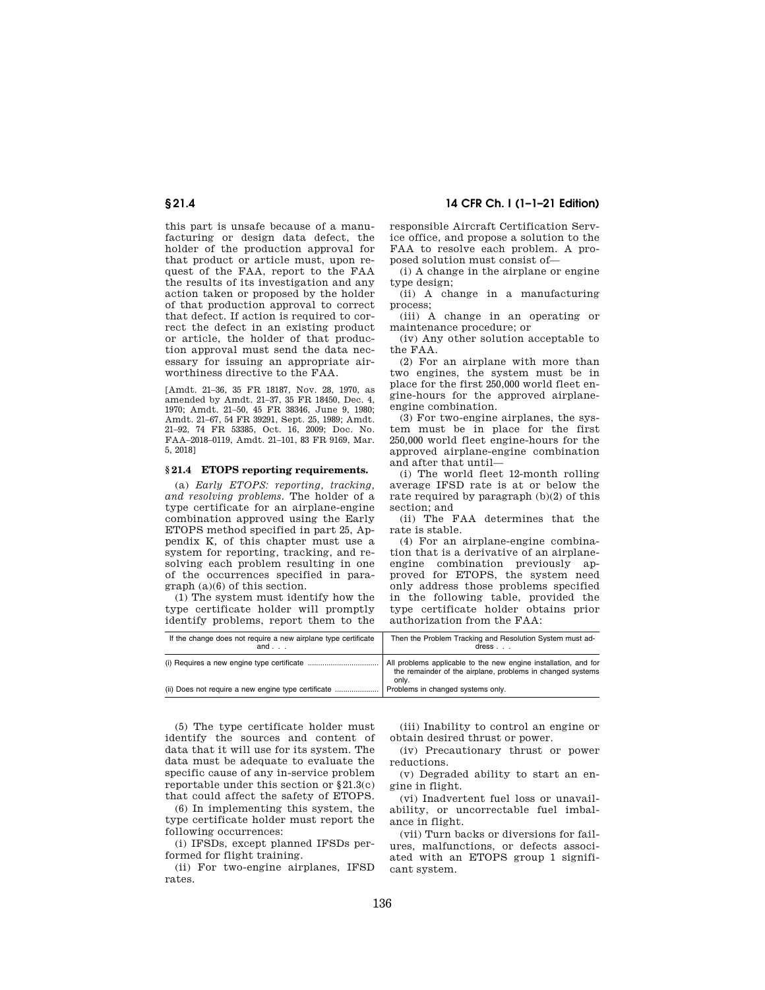# **§ 21.4 14 CFR Ch. I (1–1–21 Edition)**

this part is unsafe because of a manufacturing or design data defect, the holder of the production approval for that product or article must, upon request of the FAA, report to the FAA the results of its investigation and any action taken or proposed by the holder of that production approval to correct that defect. If action is required to correct the defect in an existing product or article, the holder of that production approval must send the data necessary for issuing an appropriate airworthiness directive to the FAA.

[Amdt. 21–36, 35 FR 18187, Nov. 28, 1970, as amended by Amdt. 21–37, 35 FR 18450, Dec. 4, 1970; Amdt. 21–50, 45 FR 38346, June 9, 1980; Amdt. 21–67, 54 FR 39291, Sept. 25, 1989; Amdt. 21–92, 74 FR 53385, Oct. 16, 2009; Doc. No. FAA–2018–0119, Amdt. 21–101, 83 FR 9169, Mar. 5, 2018]

## **§ 21.4 ETOPS reporting requirements.**

(a) *Early ETOPS: reporting, tracking, and resolving problems.* The holder of a type certificate for an airplane-engine combination approved using the Early ETOPS method specified in part 25, Appendix K, of this chapter must use a system for reporting, tracking, and resolving each problem resulting in one of the occurrences specified in paragraph (a)(6) of this section.

(1) The system must identify how the type certificate holder will promptly identify problems, report them to the responsible Aircraft Certification Service office, and propose a solution to the FAA to resolve each problem. A proposed solution must consist of—

(i) A change in the airplane or engine type design;

(ii) A change in a manufacturing process;

(iii) A change in an operating or maintenance procedure; or

(iv) Any other solution acceptable to the FAA.

(2) For an airplane with more than two engines, the system must be in place for the first 250,000 world fleet engine-hours for the approved airplaneengine combination.

(3) For two-engine airplanes, the system must be in place for the first 250,000 world fleet engine-hours for the approved airplane-engine combination and after that until—

(i) The world fleet 12-month rolling average IFSD rate is at or below the rate required by paragraph (b)(2) of this section; and

(ii) The FAA determines that the rate is stable.

(4) For an airplane-engine combination that is a derivative of an airplaneengine combination previously approved for ETOPS, the system need only address those problems specified in the following table, provided the type certificate holder obtains prior authorization from the FAA:

| If the change does not require a new airplane type certificate<br>and $\ldots$ | Then the Problem Tracking and Resolution System must ad-<br>dress                                                                      |
|--------------------------------------------------------------------------------|----------------------------------------------------------------------------------------------------------------------------------------|
|                                                                                | All problems applicable to the new engine installation, and for<br>the remainder of the airplane, problems in changed systems<br>only. |
|                                                                                | Problems in changed systems only.                                                                                                      |

(5) The type certificate holder must identify the sources and content of data that it will use for its system. The data must be adequate to evaluate the specific cause of any in-service problem reportable under this section or §21.3(c) that could affect the safety of ETOPS.

(6) In implementing this system, the type certificate holder must report the following occurrences:

(i) IFSDs, except planned IFSDs performed for flight training.

(ii) For two-engine airplanes, IFSD rates.

(iii) Inability to control an engine or obtain desired thrust or power.

(iv) Precautionary thrust or power reductions.

(v) Degraded ability to start an engine in flight.

(vi) Inadvertent fuel loss or unavailability, or uncorrectable fuel imbalance in flight.

(vii) Turn backs or diversions for failures, malfunctions, or defects associated with an ETOPS group 1 significant system.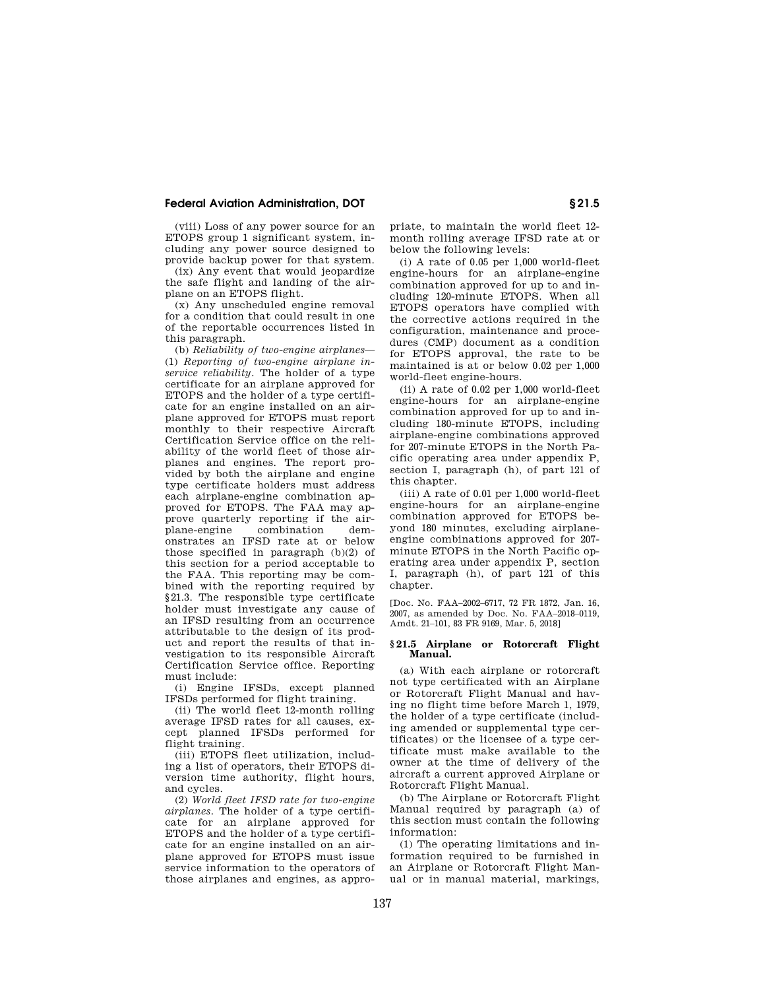(viii) Loss of any power source for an ETOPS group 1 significant system, including any power source designed to provide backup power for that system.

(ix) Any event that would jeopardize the safe flight and landing of the airplane on an ETOPS flight.

(x) Any unscheduled engine removal for a condition that could result in one of the reportable occurrences listed in this paragraph.

(b) *Reliability of two-engine airplanes*— (1) *Reporting of two-engine airplane inservice reliability.* The holder of a type certificate for an airplane approved for ETOPS and the holder of a type certificate for an engine installed on an airplane approved for ETOPS must report monthly to their respective Aircraft Certification Service office on the reliability of the world fleet of those airplanes and engines. The report provided by both the airplane and engine type certificate holders must address each airplane-engine combination approved for ETOPS. The FAA may approve quarterly reporting if the airplane-engine combination demonstrates an IFSD rate at or below those specified in paragraph (b)(2) of this section for a period acceptable to the FAA. This reporting may be combined with the reporting required by §21.3. The responsible type certificate holder must investigate any cause of an IFSD resulting from an occurrence attributable to the design of its product and report the results of that investigation to its responsible Aircraft Certification Service office. Reporting must include:

(i) Engine IFSDs, except planned IFSDs performed for flight training.

(ii) The world fleet 12-month rolling average IFSD rates for all causes, except planned IFSDs performed for flight training.

(iii) ETOPS fleet utilization, including a list of operators, their ETOPS diversion time authority, flight hours, and cycles.

(2) *World fleet IFSD rate for two-engine airplanes.* The holder of a type certificate for an airplane approved for ETOPS and the holder of a type certificate for an engine installed on an airplane approved for ETOPS must issue service information to the operators of those airplanes and engines, as appropriate, to maintain the world fleet 12 month rolling average IFSD rate at or below the following levels:

(i) A rate of 0.05 per 1,000 world-fleet engine-hours for an airplane-engine combination approved for up to and including 120-minute ETOPS. When all ETOPS operators have complied with the corrective actions required in the configuration, maintenance and procedures (CMP) document as a condition for ETOPS approval, the rate to be maintained is at or below 0.02 per 1,000 world-fleet engine-hours.

(ii) A rate of 0.02 per 1,000 world-fleet engine-hours for an airplane-engine combination approved for up to and including 180-minute ETOPS, including airplane-engine combinations approved for 207-minute ETOPS in the North Pacific operating area under appendix P, section I, paragraph (h), of part 121 of this chapter.

(iii) A rate of 0.01 per 1,000 world-fleet engine-hours for an airplane-engine combination approved for ETOPS beyond 180 minutes, excluding airplaneengine combinations approved for 207 minute ETOPS in the North Pacific operating area under appendix P, section I, paragraph (h), of part 121 of this chapter.

[Doc. No. FAA–2002–6717, 72 FR 1872, Jan. 16, 2007, as amended by Doc. No. FAA–2018–0119, Amdt. 21–101, 83 FR 9169, Mar. 5, 2018]

## **§ 21.5 Airplane or Rotorcraft Flight Manual.**

(a) With each airplane or rotorcraft not type certificated with an Airplane or Rotorcraft Flight Manual and having no flight time before March 1, 1979, the holder of a type certificate (including amended or supplemental type certificates) or the licensee of a type certificate must make available to the owner at the time of delivery of the aircraft a current approved Airplane or Rotorcraft Flight Manual.

(b) The Airplane or Rotorcraft Flight Manual required by paragraph (a) of this section must contain the following information:

(1) The operating limitations and information required to be furnished in an Airplane or Rotorcraft Flight Manual or in manual material, markings,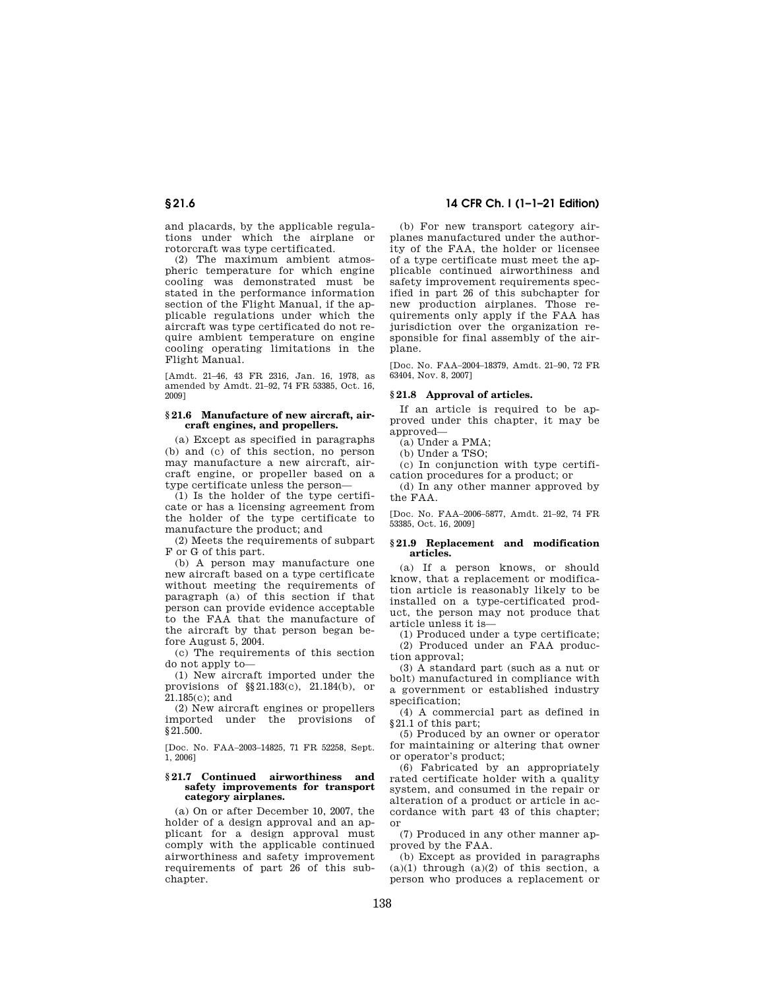and placards, by the applicable regulations under which the airplane or rotorcraft was type certificated.

(2) The maximum ambient atmospheric temperature for which engine cooling was demonstrated must be stated in the performance information section of the Flight Manual, if the applicable regulations under which the aircraft was type certificated do not require ambient temperature on engine cooling operating limitations in the Flight Manual.

[Amdt. 21–46, 43 FR 2316, Jan. 16, 1978, as amended by Amdt. 21–92, 74 FR 53385, Oct. 16, 2009]

## **§ 21.6 Manufacture of new aircraft, aircraft engines, and propellers.**

(a) Except as specified in paragraphs (b) and (c) of this section, no person may manufacture a new aircraft, aircraft engine, or propeller based on a type certificate unless the person—

(1) Is the holder of the type certificate or has a licensing agreement from the holder of the type certificate to manufacture the product; and

(2) Meets the requirements of subpart F or G of this part.

(b) A person may manufacture one new aircraft based on a type certificate without meeting the requirements of paragraph (a) of this section if that person can provide evidence acceptable to the FAA that the manufacture of the aircraft by that person began before August 5, 2004.

(c) The requirements of this section do not apply to—

(1) New aircraft imported under the provisions of §§21.183(c), 21.184(b), or 21.185(c); and

(2) New aircraft engines or propellers imported under the provisions of §21.500.

[Doc. No. FAA–2003–14825, 71 FR 52258, Sept. 1, 2006]

## **§ 21.7 Continued airworthiness and safety improvements for transport category airplanes.**

(a) On or after December 10, 2007, the holder of a design approval and an applicant for a design approval must comply with the applicable continued airworthiness and safety improvement requirements of part 26 of this subchapter

# **§ 21.6 14 CFR Ch. I (1–1–21 Edition)**

(b) For new transport category airplanes manufactured under the authority of the FAA, the holder or licensee of a type certificate must meet the applicable continued airworthiness and safety improvement requirements specified in part 26 of this subchapter for new production airplanes. Those requirements only apply if the FAA has jurisdiction over the organization responsible for final assembly of the airplane.

[Doc. No. FAA–2004–18379, Amdt. 21–90, 72 FR 63404, Nov. 8, 2007]

## **§ 21.8 Approval of articles.**

If an article is required to be approved under this chapter, it may be approved—

(a) Under a PMA;

(b) Under a TSO;

(c) In conjunction with type certification procedures for a product; or

(d) In any other manner approved by the FAA.

[Doc. No. FAA–2006–5877, Amdt. 21–92, 74 FR 53385, Oct. 16, 2009]

### **§ 21.9 Replacement and modification articles.**

(a) If a person knows, or should know, that a replacement or modification article is reasonably likely to be installed on a type-certificated product, the person may not produce that article unless it is—

(1) Produced under a type certificate; (2) Produced under an FAA production approval;

(3) A standard part (such as a nut or bolt) manufactured in compliance with a government or established industry specification;

(4) A commercial part as defined in §21.1 of this part;

(5) Produced by an owner or operator for maintaining or altering that owner or operator's product;

(6) Fabricated by an appropriately rated certificate holder with a quality system, and consumed in the repair or alteration of a product or article in accordance with part 43 of this chapter; or

(7) Produced in any other manner approved by the FAA.

(b) Except as provided in paragraphs  $(a)(1)$  through  $(a)(2)$  of this section, a person who produces a replacement or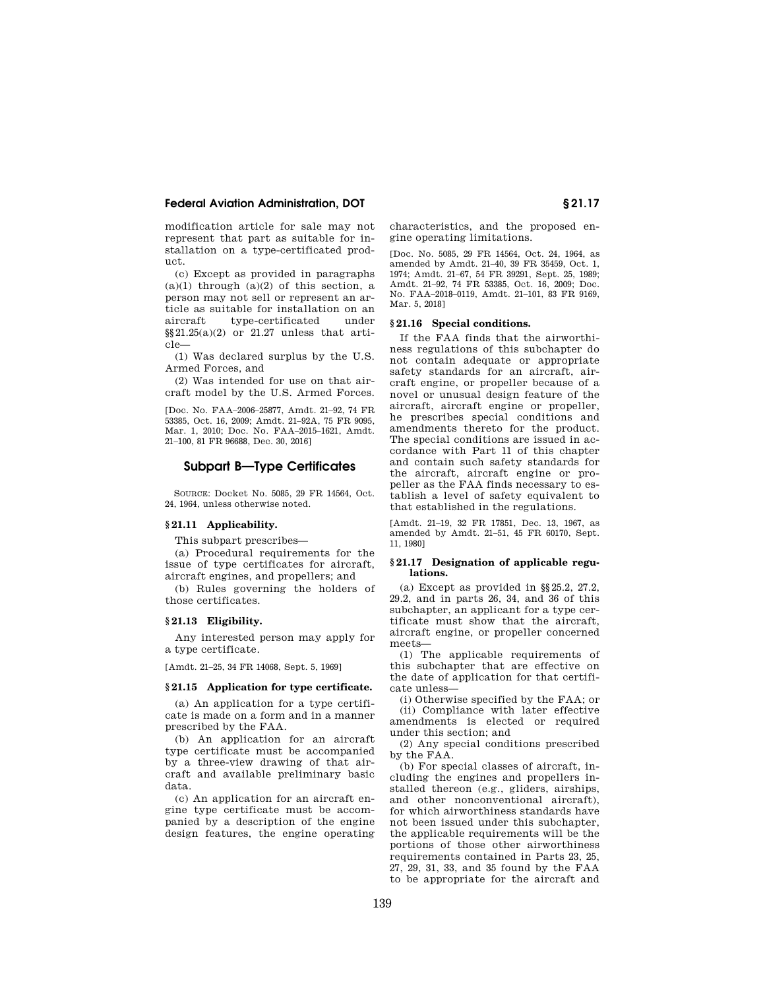modification article for sale may not represent that part as suitable for installation on a type-certificated product.

(c) Except as provided in paragraphs  $(a)(1)$  through  $(a)(2)$  of this section, a person may not sell or represent an article as suitable for installation on an aircraft type-certificated under §§21.25(a)(2) or 21.27 unless that article—

(1) Was declared surplus by the U.S. Armed Forces, and

(2) Was intended for use on that aircraft model by the U.S. Armed Forces.

[Doc. No. FAA–2006–25877, Amdt. 21–92, 74 FR 53385, Oct. 16, 2009; Amdt. 21–92A, 75 FR 9095, Mar. 1, 2010; Doc. No. FAA–2015–1621, Amdt. 21–100, 81 FR 96688, Dec. 30, 2016]

# **Subpart B—Type Certificates**

SOURCE: Docket No. 5085, 29 FR 14564, Oct. 24, 1964, unless otherwise noted.

# **§ 21.11 Applicability.**

This subpart prescribes—

(a) Procedural requirements for the issue of type certificates for aircraft, aircraft engines, and propellers; and

(b) Rules governing the holders of those certificates.

## **§ 21.13 Eligibility.**

Any interested person may apply for a type certificate.

[Amdt. 21–25, 34 FR 14068, Sept. 5, 1969]

## **§ 21.15 Application for type certificate.**

(a) An application for a type certificate is made on a form and in a manner prescribed by the FAA.

(b) An application for an aircraft type certificate must be accompanied by a three-view drawing of that aircraft and available preliminary basic data.

(c) An application for an aircraft engine type certificate must be accompanied by a description of the engine design features, the engine operating characteristics, and the proposed engine operating limitations.

[Doc. No. 5085, 29 FR 14564, Oct. 24, 1964, as amended by Amdt. 21–40, 39 FR 35459, Oct. 1, 1974; Amdt. 21–67, 54 FR 39291, Sept. 25, 1989; Amdt. 21–92, 74 FR 53385, Oct. 16, 2009; Doc. No. FAA–2018–0119, Amdt. 21–101, 83 FR 9169, Mar. 5, 2018]

## **§ 21.16 Special conditions.**

If the FAA finds that the airworthiness regulations of this subchapter do not contain adequate or appropriate safety standards for an aircraft, aircraft engine, or propeller because of a novel or unusual design feature of the aircraft, aircraft engine or propeller, he prescribes special conditions and amendments thereto for the product. The special conditions are issued in accordance with Part 11 of this chapter and contain such safety standards for the aircraft, aircraft engine or propeller as the FAA finds necessary to establish a level of safety equivalent to that established in the regulations.

[Amdt. 21–19, 32 FR 17851, Dec. 13, 1967, as amended by Amdt. 21–51, 45 FR 60170, Sept. 11, 1980]

## **§ 21.17 Designation of applicable regulations.**

(a) Except as provided in §§25.2, 27.2, 29.2, and in parts 26, 34, and 36 of this subchapter, an applicant for a type certificate must show that the aircraft, aircraft engine, or propeller concerned meets—

(1) The applicable requirements of this subchapter that are effective on the date of application for that certificate unless—

(i) Otherwise specified by the FAA; or (ii) Compliance with later effective amendments is elected or required under this section; and

(2) Any special conditions prescribed by the FAA.

(b) For special classes of aircraft, including the engines and propellers installed thereon (e.g., gliders, airships, and other nonconventional aircraft), for which airworthiness standards have not been issued under this subchapter, the applicable requirements will be the portions of those other airworthiness requirements contained in Parts 23, 25, 27, 29, 31, 33, and 35 found by the FAA to be appropriate for the aircraft and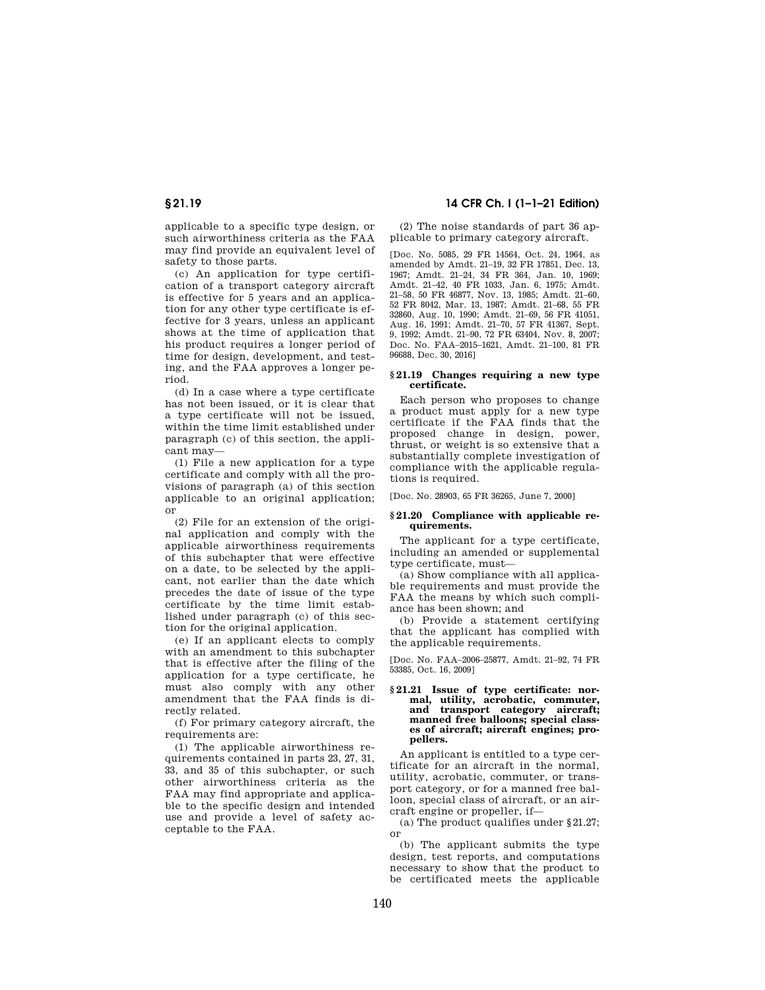applicable to a specific type design, or such airworthiness criteria as the FAA may find provide an equivalent level of safety to those parts.

(c) An application for type certification of a transport category aircraft is effective for 5 years and an application for any other type certificate is effective for 3 years, unless an applicant shows at the time of application that his product requires a longer period of time for design, development, and testing, and the FAA approves a longer period.

(d) In a case where a type certificate has not been issued, or it is clear that a type certificate will not be issued, within the time limit established under paragraph (c) of this section, the applicant may—

(1) File a new application for a type certificate and comply with all the provisions of paragraph (a) of this section applicable to an original application; or

(2) File for an extension of the original application and comply with the applicable airworthiness requirements of this subchapter that were effective on a date, to be selected by the applicant, not earlier than the date which precedes the date of issue of the type certificate by the time limit established under paragraph (c) of this section for the original application.

(e) If an applicant elects to comply with an amendment to this subchapter that is effective after the filing of the application for a type certificate, he must also comply with any other amendment that the FAA finds is directly related.

(f) For primary category aircraft, the requirements are:

(1) The applicable airworthiness requirements contained in parts 23, 27, 31, 33, and 35 of this subchapter, or such other airworthiness criteria as the FAA may find appropriate and applicable to the specific design and intended use and provide a level of safety acceptable to the FAA.

# **§ 21.19 14 CFR Ch. I (1–1–21 Edition)**

(2) The noise standards of part 36 applicable to primary category aircraft.

[Doc. No. 5085, 29 FR 14564, Oct. 24, 1964, as amended by Amdt. 21–19, 32 FR 17851, Dec. 13, 1967; Amdt. 21–24, 34 FR 364, Jan. 10, 1969; Amdt. 21–42, 40 FR 1033, Jan. 6, 1975; Amdt. 21–58, 50 FR 46877, Nov. 13, 1985; Amdt. 21–60, 52 FR 8042, Mar. 13, 1987; Amdt. 21–68, 55 FR 32860, Aug. 10, 1990; Amdt. 21–69, 56 FR 41051, Aug. 16, 1991; Amdt. 21–70, 57 FR 41367, Sept. 9, 1992; Amdt. 21–90, 72 FR 63404, Nov. 8, 2007; Doc. No. FAA–2015–1621, Amdt. 21–100, 81 FR 96688, Dec. 30, 2016]

## **§ 21.19 Changes requiring a new type certificate.**

Each person who proposes to change a product must apply for a new type certificate if the FAA finds that the proposed change in design, power, thrust, or weight is so extensive that a substantially complete investigation of compliance with the applicable regulations is required.

[Doc. No. 28903, 65 FR 36265, June 7, 2000]

# **§ 21.20 Compliance with applicable requirements.**

The applicant for a type certificate, including an amended or supplemental type certificate, must—

(a) Show compliance with all applicable requirements and must provide the FAA the means by which such compliance has been shown; and

(b) Provide a statement certifying that the applicant has complied with the applicable requirements.

[Doc. No. FAA–2006–25877, Amdt. 21–92, 74 FR 53385, Oct. 16, 2009]

**§ 21.21 Issue of type certificate: normal, utility, acrobatic, commuter, and transport category aircraft; manned free balloons; special classes of aircraft; aircraft engines; propellers.** 

An applicant is entitled to a type certificate for an aircraft in the normal, utility, acrobatic, commuter, or transport category, or for a manned free balloon, special class of aircraft, or an aircraft engine or propeller, if—

(a) The product qualifies under §21.27; or

(b) The applicant submits the type design, test reports, and computations necessary to show that the product to be certificated meets the applicable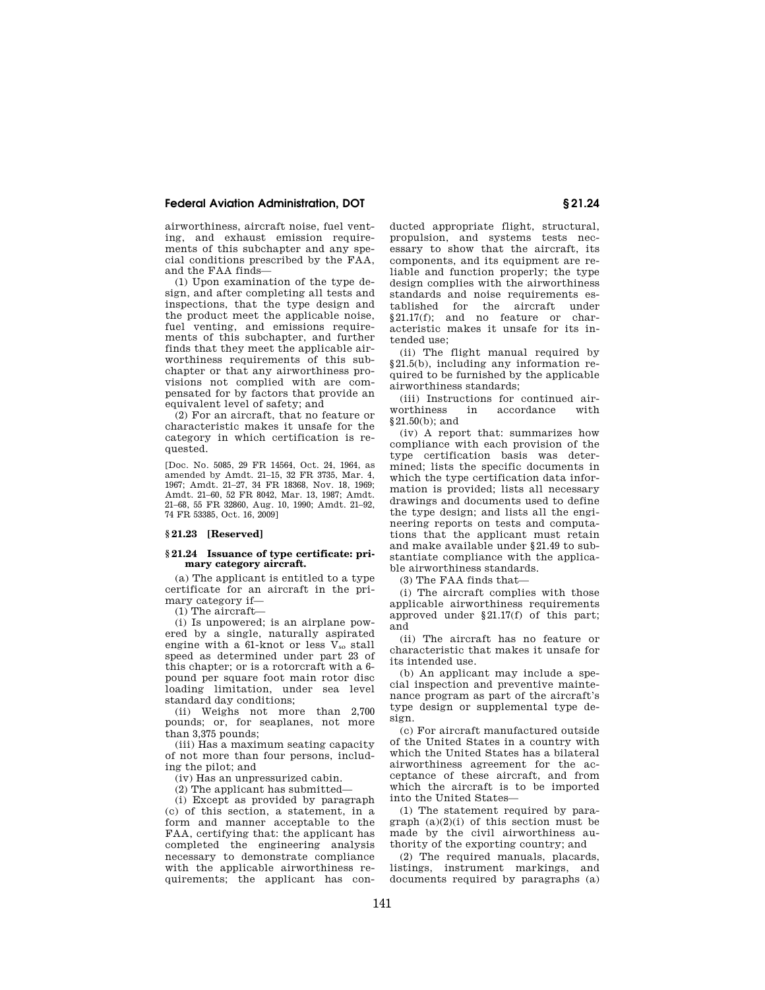airworthiness, aircraft noise, fuel venting, and exhaust emission requirements of this subchapter and any special conditions prescribed by the FAA, and the FAA finds—

(1) Upon examination of the type design, and after completing all tests and inspections, that the type design and the product meet the applicable noise, fuel venting, and emissions requirements of this subchapter, and further finds that they meet the applicable airworthiness requirements of this subchapter or that any airworthiness provisions not complied with are compensated for by factors that provide an equivalent level of safety; and

(2) For an aircraft, that no feature or characteristic makes it unsafe for the category in which certification is requested.

[Doc. No. 5085, 29 FR 14564, Oct. 24, 1964, as amended by Amdt. 21–15, 32 FR 3735, Mar. 4, 1967; Amdt. 21–27, 34 FR 18368, Nov. 18, 1969; Amdt. 21–60, 52 FR 8042, Mar. 13, 1987; Amdt. 21–68, 55 FR 32860, Aug. 10, 1990; Amdt. 21–92, 74 FR 53385, Oct. 16, 2009]

# **§ 21.23 [Reserved]**

### **§ 21.24 Issuance of type certificate: primary category aircraft.**

(a) The applicant is entitled to a type certificate for an aircraft in the primary category if—

(1) The aircraft—

(i) Is unpowered; is an airplane powered by a single, naturally aspirated engine with a  $61$ -knot or less  $V_{so}$  stall speed as determined under part 23 of this chapter; or is a rotorcraft with a 6 pound per square foot main rotor disc loading limitation, under sea level standard day conditions;

(ii) Weighs not more than 2,700 pounds; or, for seaplanes, not more than 3,375 pounds;

(iii) Has a maximum seating capacity of not more than four persons, including the pilot; and

(iv) Has an unpressurized cabin.

(2) The applicant has submitted—

(i) Except as provided by paragraph (c) of this section, a statement, in a form and manner acceptable to the FAA, certifying that: the applicant has completed the engineering analysis necessary to demonstrate compliance with the applicable airworthiness requirements; the applicant has con-

ducted appropriate flight, structural, propulsion, and systems tests necessary to show that the aircraft, its components, and its equipment are reliable and function properly; the type design complies with the airworthiness standards and noise requirements established for the aircraft under §21.17(f); and no feature or characteristic makes it unsafe for its intended use;

(ii) The flight manual required by §21.5(b), including any information required to be furnished by the applicable airworthiness standards;

(iii) Instructions for continued airworthiness in accordance with §21.50(b); and

(iv) A report that: summarizes how compliance with each provision of the type certification basis was determined; lists the specific documents in which the type certification data information is provided; lists all necessary drawings and documents used to define the type design; and lists all the engineering reports on tests and computations that the applicant must retain and make available under §21.49 to substantiate compliance with the applicable airworthiness standards.

(3) The FAA finds that-

(i) The aircraft complies with those applicable airworthiness requirements approved under §21.17(f) of this part; and

(ii) The aircraft has no feature or characteristic that makes it unsafe for its intended use.

(b) An applicant may include a special inspection and preventive maintenance program as part of the aircraft's type design or supplemental type design.

(c) For aircraft manufactured outside of the United States in a country with which the United States has a bilateral airworthiness agreement for the acceptance of these aircraft, and from which the aircraft is to be imported into the United States—

(1) The statement required by paragraph  $(a)(2)(i)$  of this section must be made by the civil airworthiness authority of the exporting country; and

(2) The required manuals, placards, listings, instrument markings, and documents required by paragraphs (a)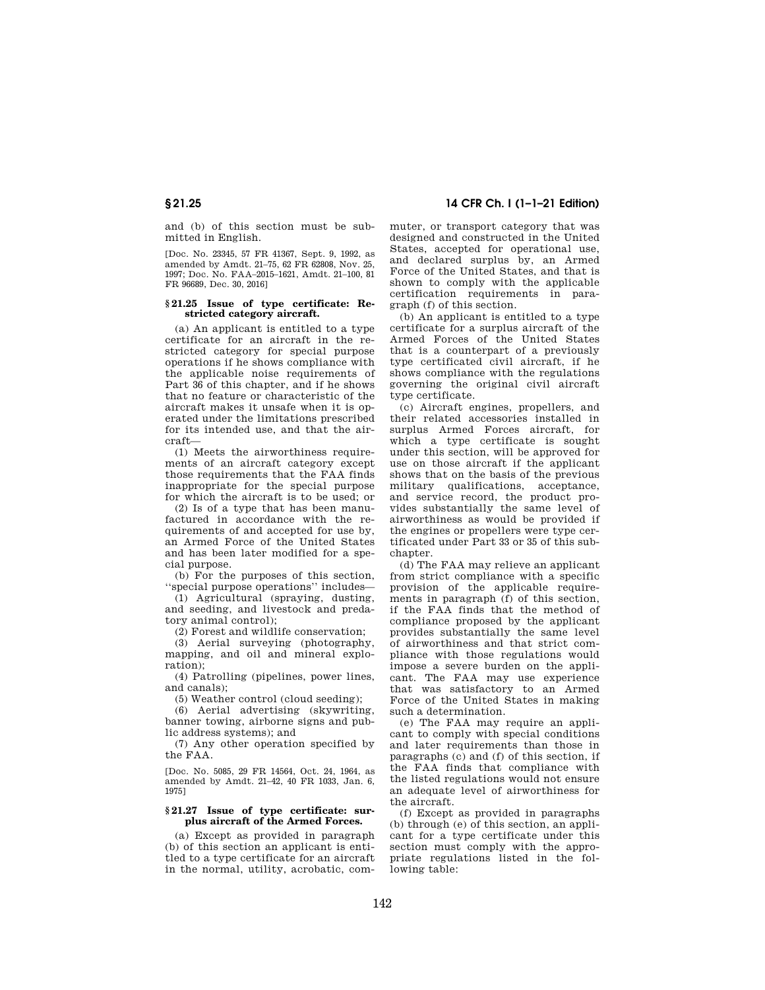# **§ 21.25 14 CFR Ch. I (1–1–21 Edition)**

and (b) of this section must be submitted in English.

[Doc. No. 23345, 57 FR 41367, Sept. 9, 1992, as amended by Amdt. 21–75, 62 FR 62808, Nov. 25, 1997; Doc. No. FAA–2015–1621, Amdt. 21–100, 81 FR 96689, Dec. 30, 2016]

## **§ 21.25 Issue of type certificate: Restricted category aircraft.**

(a) An applicant is entitled to a type certificate for an aircraft in the restricted category for special purpose operations if he shows compliance with the applicable noise requirements of Part 36 of this chapter, and if he shows that no feature or characteristic of the aircraft makes it unsafe when it is operated under the limitations prescribed for its intended use, and that the aircraft—

(1) Meets the airworthiness requirements of an aircraft category except those requirements that the FAA finds inappropriate for the special purpose for which the aircraft is to be used; or

(2) Is of a type that has been manufactured in accordance with the requirements of and accepted for use by, an Armed Force of the United States and has been later modified for a special purpose.

(b) For the purposes of this section, ''special purpose operations'' includes—

(1) Agricultural (spraying, dusting, and seeding, and livestock and predatory animal control);

(2) Forest and wildlife conservation;

(3) Aerial surveying (photography, mapping, and oil and mineral exploration);

(4) Patrolling (pipelines, power lines, and canals);

(5) Weather control (cloud seeding);

(6) Aerial advertising (skywriting, banner towing, airborne signs and public address systems); and

(7) Any other operation specified by the FAA.

[Doc. No. 5085, 29 FR 14564, Oct. 24, 1964, as amended by Amdt. 21–42, 40 FR 1033, Jan. 6, 1975]

### **§ 21.27 Issue of type certificate: surplus aircraft of the Armed Forces.**

(a) Except as provided in paragraph (b) of this section an applicant is entitled to a type certificate for an aircraft in the normal, utility, acrobatic, commuter, or transport category that was designed and constructed in the United States, accepted for operational use, and declared surplus by, an Armed Force of the United States, and that is shown to comply with the applicable certification requirements in paragraph (f) of this section.

(b) An applicant is entitled to a type certificate for a surplus aircraft of the Armed Forces of the United States that is a counterpart of a previously type certificated civil aircraft, if he shows compliance with the regulations governing the original civil aircraft type certificate.

(c) Aircraft engines, propellers, and their related accessories installed in surplus Armed Forces aircraft, for which a type certificate is sought under this section, will be approved for use on those aircraft if the applicant shows that on the basis of the previous military qualifications, acceptance, and service record, the product provides substantially the same level of airworthiness as would be provided if the engines or propellers were type certificated under Part 33 or 35 of this subchapter.

(d) The FAA may relieve an applicant from strict compliance with a specific provision of the applicable requirements in paragraph (f) of this section, if the FAA finds that the method of compliance proposed by the applicant provides substantially the same level of airworthiness and that strict compliance with those regulations would impose a severe burden on the applicant. The FAA may use experience that was satisfactory to an Armed Force of the United States in making such a determination.

(e) The FAA may require an applicant to comply with special conditions and later requirements than those in paragraphs (c) and (f) of this section, if the FAA finds that compliance with the listed regulations would not ensure an adequate level of airworthiness for the aircraft.

(f) Except as provided in paragraphs (b) through (e) of this section, an applicant for a type certificate under this section must comply with the appropriate regulations listed in the following table: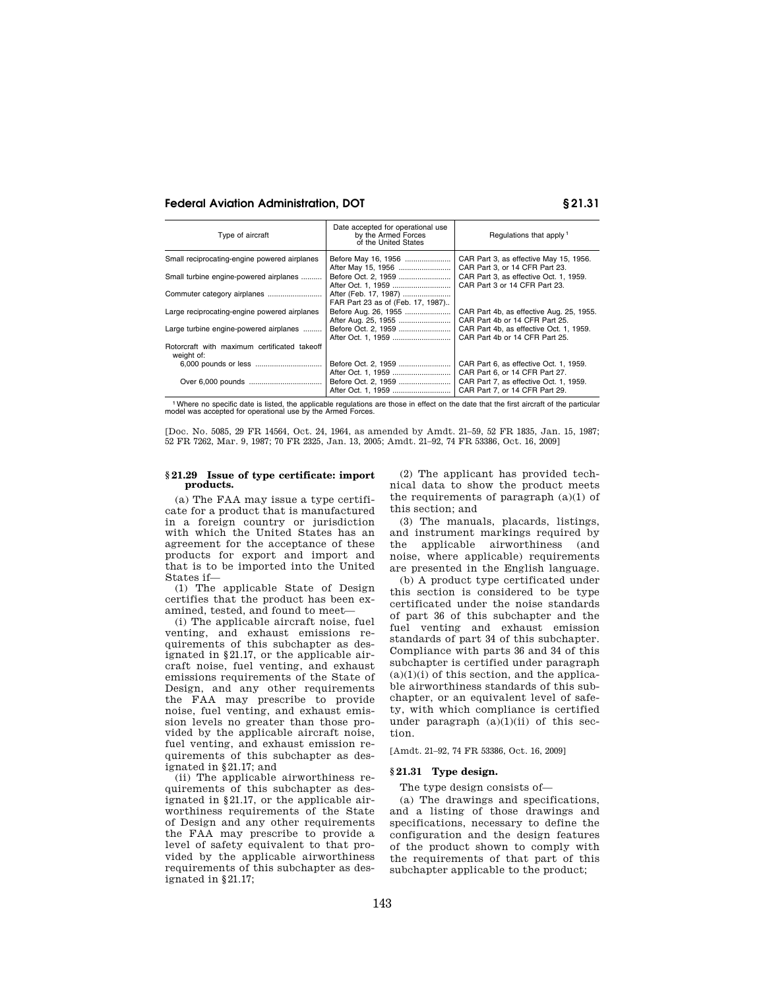#### Type of aircraft Date accepted for operational use by the Armed Forces of the United States Regulations that apply 1 Small reciprocating-engine powered airplanes  $\parallel$  Before May 16, 1956. After May 15, 1956 .<br>Before Oct. 2, 1959 . CAR Part 3, as effective May 15, 1956. CAR Part 3, or 14 CFR Part 23. Small turbine engine-powered airplanes After Oct. 1, 1959 .....<br>After (Feb. 17, 1987) CAR Part 3, as effective Oct. 1, 1959. CAR Part 3 or 14 CFR Part 23. Commuter category airplanes . FAR Part 23 as of (Feb. 17, 1987).. Large reciprocating-engine powered airplanes Before Aug. 26, 1955 .......<br>After Aug. 25, 1955 ..........<br>Before Oct. 2. 1959 ......... CAR Part 4b, as effective Aug. 25, 1955. CAR Part 4b or 14 CFR Part 25. Large turbine engine-powered airplanes After Oct. 1, 1959 ... CAR Part 4b, as effective Oct. 1, 1959. CAR Part 4b or 14 CFR Part 25. Rotorcraft with maximum certificated takeoff weight of: 6,000 pounds or less ................................ Before Oct. 2, 1959 ......................... After Oct. 1, 1959 ...<br>Before Oct. 2, 1959 CAR Part 6, as effective Oct. 1, 1959. CAR Part 6, or 14 CFR Part 27. Over 6,000 pounds After Oct. 1, 1959 ... CAR Part 7, as effective Oct. 1, 1959. CAR Part 7, or 14 CFR Part 29.

1Where no specific date is listed, the applicable regulations are those in effect on the date that the first aircraft of the particular model was accepted for operational use by the Armed Forces.

[Doc. No. 5085, 29 FR 14564, Oct. 24, 1964, as amended by Amdt. 21–59, 52 FR 1835, Jan. 15, 1987; 52 FR 7262, Mar. 9, 1987; 70 FR 2325, Jan. 13, 2005; Amdt. 21–92, 74 FR 53386, Oct. 16, 2009]

# **§ 21.29 Issue of type certificate: import products.**

(a) The FAA may issue a type certificate for a product that is manufactured in a foreign country or jurisdiction with which the United States has an agreement for the acceptance of these products for export and import and that is to be imported into the United States if—

(1) The applicable State of Design certifies that the product has been examined, tested, and found to meet—

(i) The applicable aircraft noise, fuel venting, and exhaust emissions requirements of this subchapter as designated in §21.17, or the applicable aircraft noise, fuel venting, and exhaust emissions requirements of the State of Design, and any other requirements the FAA may prescribe to provide noise, fuel venting, and exhaust emission levels no greater than those provided by the applicable aircraft noise, fuel venting, and exhaust emission requirements of this subchapter as designated in §21.17; and

(ii) The applicable airworthiness requirements of this subchapter as designated in §21.17, or the applicable airworthiness requirements of the State of Design and any other requirements the FAA may prescribe to provide a level of safety equivalent to that provided by the applicable airworthiness requirements of this subchapter as designated in §21.17;

(2) The applicant has provided technical data to show the product meets the requirements of paragraph  $(a)(1)$  of this section; and

(3) The manuals, placards, listings, and instrument markings required by the applicable airworthiness (and noise, where applicable) requirements are presented in the English language.

(b) A product type certificated under this section is considered to be type certificated under the noise standards of part 36 of this subchapter and the fuel venting and exhaust emission standards of part 34 of this subchapter. Compliance with parts 36 and 34 of this subchapter is certified under paragraph  $(a)(1)(i)$  of this section, and the applicable airworthiness standards of this subchapter, or an equivalent level of safety, with which compliance is certified under paragraph  $(a)(1)(ii)$  of this section.

[Amdt. 21–92, 74 FR 53386, Oct. 16, 2009]

# **§ 21.31 Type design.**

The type design consists of—

(a) The drawings and specifications, and a listing of those drawings and specifications, necessary to define the configuration and the design features of the product shown to comply with the requirements of that part of this subchapter applicable to the product;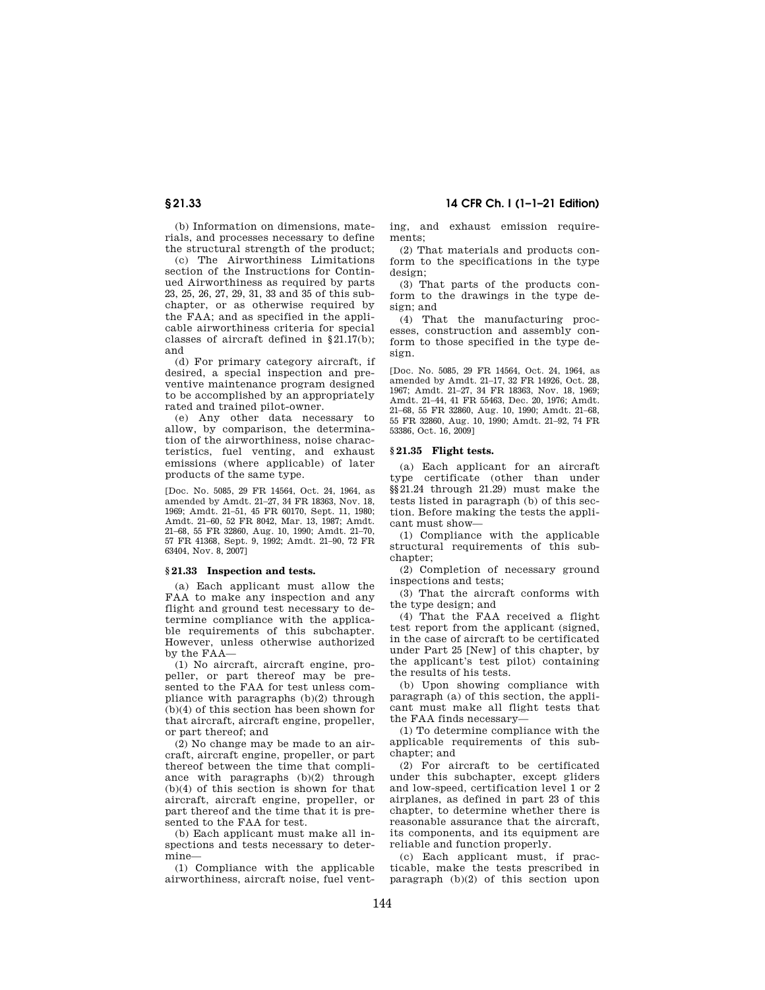(b) Information on dimensions, materials, and processes necessary to define the structural strength of the product;

(c) The Airworthiness Limitations section of the Instructions for Continued Airworthiness as required by parts 23, 25, 26, 27, 29, 31, 33 and 35 of this subchapter, or as otherwise required by the FAA; and as specified in the applicable airworthiness criteria for special classes of aircraft defined in §21.17(b); and

(d) For primary category aircraft, if desired, a special inspection and preventive maintenance program designed to be accomplished by an appropriately rated and trained pilot-owner.

(e) Any other data necessary to allow, by comparison, the determination of the airworthiness, noise characteristics, fuel venting, and exhaust emissions (where applicable) of later products of the same type.

[Doc. No. 5085, 29 FR 14564, Oct. 24, 1964, as amended by Amdt. 21–27, 34 FR 18363, Nov. 18, 1969; Amdt. 21–51, 45 FR 60170, Sept. 11, 1980; Amdt. 21–60, 52 FR 8042, Mar. 13, 1987; Amdt. 21–68, 55 FR 32860, Aug. 10, 1990; Amdt. 21–70, 57 FR 41368, Sept. 9, 1992; Amdt. 21–90, 72 FR 63404, Nov. 8, 2007]

# **§ 21.33 Inspection and tests.**

(a) Each applicant must allow the FAA to make any inspection and any flight and ground test necessary to determine compliance with the applicable requirements of this subchapter. However, unless otherwise authorized by the FAA—

(1) No aircraft, aircraft engine, propeller, or part thereof may be presented to the FAA for test unless compliance with paragraphs (b)(2) through (b)(4) of this section has been shown for that aircraft, aircraft engine, propeller, or part thereof; and

(2) No change may be made to an aircraft, aircraft engine, propeller, or part thereof between the time that compliance with paragraphs (b)(2) through (b)(4) of this section is shown for that aircraft, aircraft engine, propeller, or part thereof and the time that it is presented to the FAA for test.

(b) Each applicant must make all inspections and tests necessary to determine—

(1) Compliance with the applicable airworthiness, aircraft noise, fuel venting, and exhaust emission requirements;

(2) That materials and products conform to the specifications in the type design;

(3) That parts of the products conform to the drawings in the type design; and

(4) That the manufacturing processes, construction and assembly conform to those specified in the type design.

[Doc. No. 5085, 29 FR 14564, Oct. 24, 1964, as amended by Amdt. 21–17, 32 FR 14926, Oct. 28, 1967; Amdt. 21–27, 34 FR 18363, Nov. 18, 1969; Amdt. 21–44, 41 FR 55463, Dec. 20, 1976; Amdt. 21–68, 55 FR 32860, Aug. 10, 1990; Amdt. 21–68, 55 FR 32860, Aug. 10, 1990; Amdt. 21–92, 74 FR 53386, Oct. 16, 2009]

# **§ 21.35 Flight tests.**

(a) Each applicant for an aircraft type certificate (other than under §§21.24 through 21.29) must make the tests listed in paragraph (b) of this section. Before making the tests the applicant must show—

(1) Compliance with the applicable structural requirements of this subchapter;

(2) Completion of necessary ground inspections and tests;

(3) That the aircraft conforms with the type design; and

(4) That the FAA received a flight test report from the applicant (signed, in the case of aircraft to be certificated under Part 25 [New] of this chapter, by the applicant's test pilot) containing the results of his tests.

(b) Upon showing compliance with paragraph (a) of this section, the applicant must make all flight tests that the FAA finds necessary—

(1) To determine compliance with the applicable requirements of this subchapter; and

(2) For aircraft to be certificated under this subchapter, except gliders and low-speed, certification level 1 or 2 airplanes, as defined in part 23 of this chapter, to determine whether there is reasonable assurance that the aircraft, its components, and its equipment are reliable and function properly.

(c) Each applicant must, if practicable, make the tests prescribed in paragraph (b)(2) of this section upon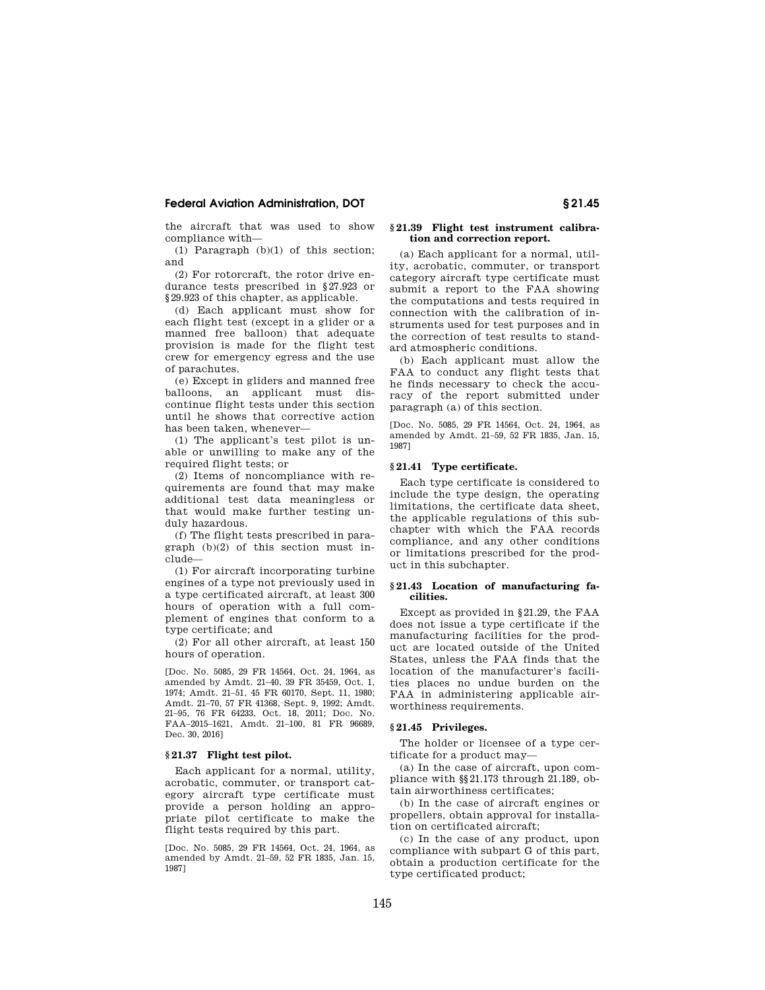the aircraft that was used to show compliance with—

(1) Paragraph (b)(1) of this section; and

(2) For rotorcraft, the rotor drive endurance tests prescribed in §27.923 or §29.923 of this chapter, as applicable.

(d) Each applicant must show for each flight test (except in a glider or a manned free balloon) that adequate provision is made for the flight test crew for emergency egress and the use of parachutes.

(e) Except in gliders and manned free balloons, an applicant must discontinue flight tests under this section until he shows that corrective action has been taken, whenever—

(1) The applicant's test pilot is unable or unwilling to make any of the required flight tests; or

(2) Items of noncompliance with requirements are found that may make additional test data meaningless or that would make further testing unduly hazardous.

(f) The flight tests prescribed in paragraph (b)(2) of this section must include—

(1) For aircraft incorporating turbine engines of a type not previously used in a type certificated aircraft, at least 300 hours of operation with a full complement of engines that conform to a type certificate; and

(2) For all other aircraft, at least 150 hours of operation.

[Doc. No. 5085, 29 FR 14564, Oct. 24, 1964, as amended by Amdt. 21–40, 39 FR 35459, Oct. 1, 1974; Amdt. 21–51, 45 FR 60170, Sept. 11, 1980; Amdt. 21–70, 57 FR 41368, Sept. 9, 1992; Amdt. 21–95, 76 FR 64233, Oct. 18, 2011; Doc. No. FAA–2015–1621, Amdt. 21–100, 81 FR 96689, Dec. 30, 2016]

## **§ 21.37 Flight test pilot.**

Each applicant for a normal, utility, acrobatic, commuter, or transport category aircraft type certificate must provide a person holding an appropriate pilot certificate to make the flight tests required by this part.

[Doc. No. 5085, 29 FR 14564, Oct. 24, 1964, as amended by Amdt. 21–59, 52 FR 1835, Jan. 15, 1987]

# **§ 21.39 Flight test instrument calibration and correction report.**

(a) Each applicant for a normal, utility, acrobatic, commuter, or transport category aircraft type certificate must submit a report to the FAA showing the computations and tests required in connection with the calibration of instruments used for test purposes and in the correction of test results to standard atmospheric conditions.

(b) Each applicant must allow the FAA to conduct any flight tests that he finds necessary to check the accuracy of the report submitted under paragraph (a) of this section.

[Doc. No. 5085, 29 FR 14564, Oct. 24, 1964, as amended by Amdt. 21–59, 52 FR 1835, Jan. 15, 1987]

# **§ 21.41 Type certificate.**

Each type certificate is considered to include the type design, the operating limitations, the certificate data sheet, the applicable regulations of this subchapter with which the FAA records compliance, and any other conditions or limitations prescribed for the product in this subchapter.

## **§ 21.43 Location of manufacturing facilities.**

Except as provided in §21.29, the FAA does not issue a type certificate if the manufacturing facilities for the product are located outside of the United States, unless the FAA finds that the location of the manufacturer's facilities places no undue burden on the FAA in administering applicable airworthiness requirements.

### **§ 21.45 Privileges.**

The holder or licensee of a type certificate for a product may—

(a) In the case of aircraft, upon compliance with §§21.173 through 21.189, obtain airworthiness certificates;

(b) In the case of aircraft engines or propellers, obtain approval for installation on certificated aircraft;

(c) In the case of any product, upon compliance with subpart G of this part, obtain a production certificate for the type certificated product;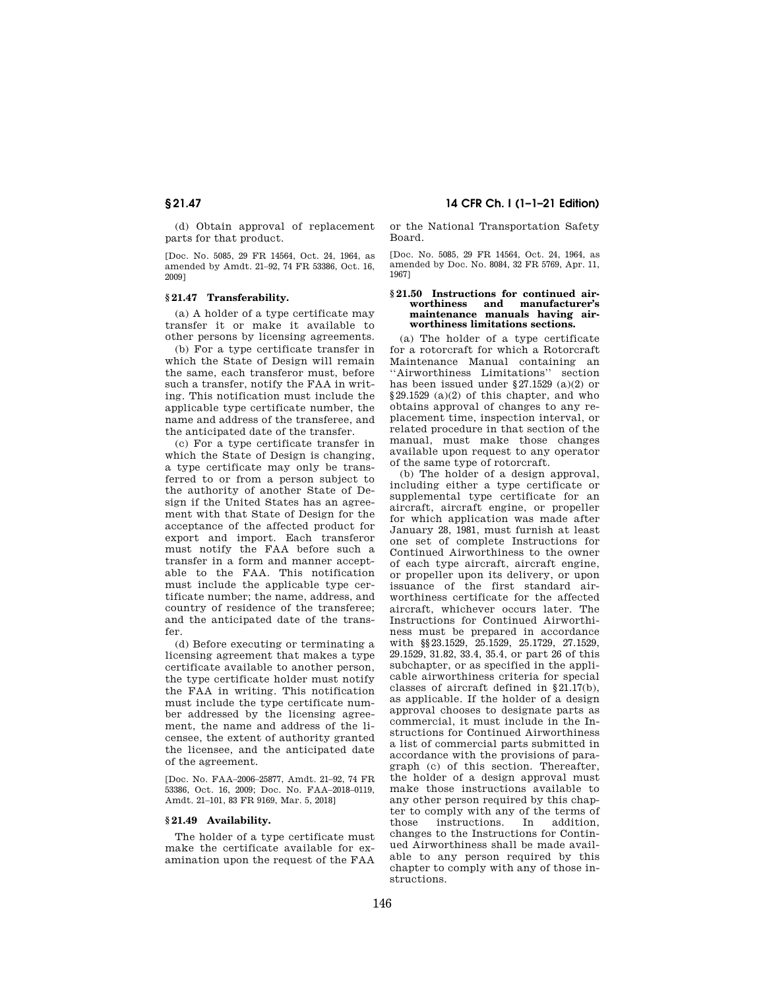(d) Obtain approval of replacement parts for that product.

[Doc. No. 5085, 29 FR 14564, Oct. 24, 1964, as amended by Amdt. 21–92, 74 FR 53386, Oct. 16, 2009]

# **§ 21.47 Transferability.**

(a) A holder of a type certificate may transfer it or make it available to other persons by licensing agreements.

(b) For a type certificate transfer in which the State of Design will remain the same, each transferor must, before such a transfer, notify the FAA in writing. This notification must include the applicable type certificate number, the name and address of the transferee, and the anticipated date of the transfer.

(c) For a type certificate transfer in which the State of Design is changing, a type certificate may only be transferred to or from a person subject to the authority of another State of Design if the United States has an agreement with that State of Design for the acceptance of the affected product for export and import. Each transferor must notify the FAA before such a transfer in a form and manner acceptable to the FAA. This notification must include the applicable type certificate number; the name, address, and country of residence of the transferee; and the anticipated date of the transfer.

(d) Before executing or terminating a licensing agreement that makes a type certificate available to another person, the type certificate holder must notify the FAA in writing. This notification must include the type certificate number addressed by the licensing agreement, the name and address of the licensee, the extent of authority granted the licensee, and the anticipated date of the agreement.

[Doc. No. FAA–2006–25877, Amdt. 21–92, 74 FR 53386, Oct. 16, 2009; Doc. No. FAA–2018–0119, Amdt. 21–101, 83 FR 9169, Mar. 5, 2018]

## **§ 21.49 Availability.**

The holder of a type certificate must make the certificate available for examination upon the request of the FAA

# **§ 21.47 14 CFR Ch. I (1–1–21 Edition)**

or the National Transportation Safety Board.

[Doc. No. 5085, 29 FR 14564, Oct. 24, 1964, as amended by Doc. No. 8084, 32 FR 5769, Apr. 11, 1967]

### **§ 21.50 Instructions for continued airworthiness and manufacturer's maintenance manuals having airworthiness limitations sections.**

(a) The holder of a type certificate for a rotorcraft for which a Rotorcraft Maintenance Manual containing an ''Airworthiness Limitations'' section has been issued under §27.1529 (a)(2) or  $§29.1529$  (a)(2) of this chapter, and who obtains approval of changes to any replacement time, inspection interval, or related procedure in that section of the manual, must make those changes available upon request to any operator of the same type of rotorcraft.

(b) The holder of a design approval, including either a type certificate or supplemental type certificate for an aircraft, aircraft engine, or propeller for which application was made after January 28, 1981, must furnish at least one set of complete Instructions for Continued Airworthiness to the owner of each type aircraft, aircraft engine, or propeller upon its delivery, or upon issuance of the first standard airworthiness certificate for the affected aircraft, whichever occurs later. The Instructions for Continued Airworthiness must be prepared in accordance with §§23.1529, 25.1529, 25.1729, 27.1529, 29.1529, 31.82, 33.4, 35.4, or part 26 of this subchapter, or as specified in the applicable airworthiness criteria for special classes of aircraft defined in §21.17(b), as applicable. If the holder of a design approval chooses to designate parts as commercial, it must include in the Instructions for Continued Airworthiness a list of commercial parts submitted in accordance with the provisions of paragraph (c) of this section. Thereafter, the holder of a design approval must make those instructions available to any other person required by this chapter to comply with any of the terms of<br>those instructions In addition In addition changes to the Instructions for Continued Airworthiness shall be made available to any person required by this chapter to comply with any of those instructions.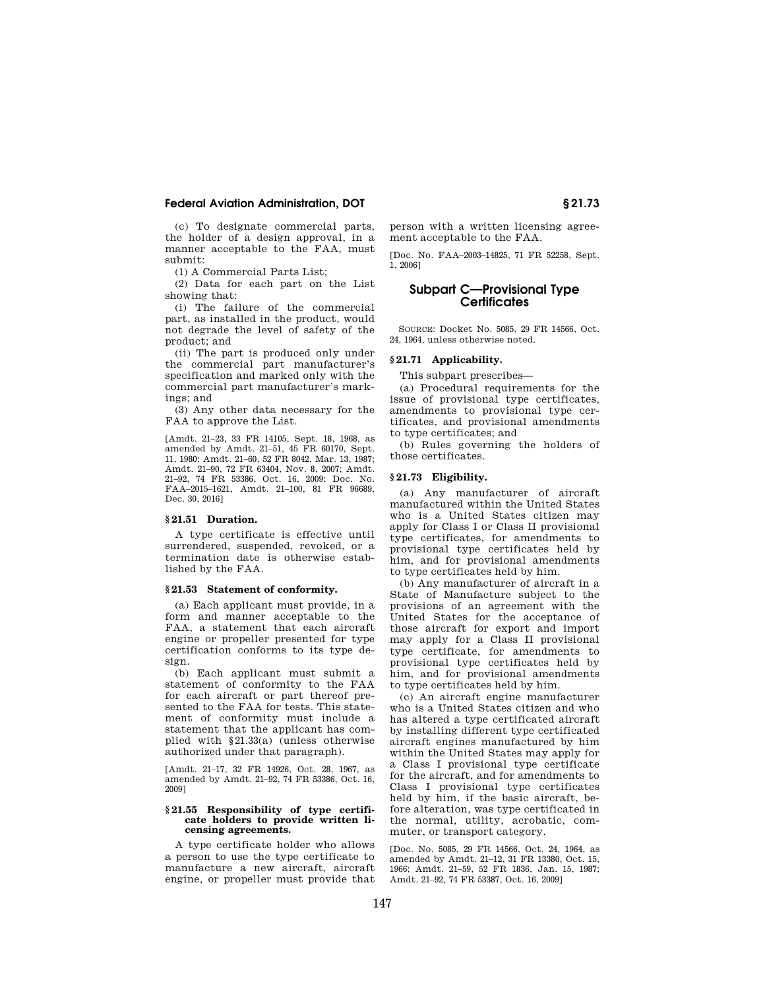(c) To designate commercial parts, the holder of a design approval, in a manner acceptable to the FAA, must submit:

(1) A Commercial Parts List;

(2) Data for each part on the List showing that:

(i) The failure of the commercial part, as installed in the product, would not degrade the level of safety of the product; and

(ii) The part is produced only under the commercial part manufacturer's specification and marked only with the commercial part manufacturer's markings; and

(3) Any other data necessary for the FAA to approve the List.

[Amdt. 21–23, 33 FR 14105, Sept. 18, 1968, as amended by Amdt. 21–51, 45 FR 60170, Sept. 11, 1980; Amdt. 21–60, 52 FR 8042, Mar. 13, 1987; Amdt. 21–90, 72 FR 63404, Nov. 8, 2007; Amdt. 21–92, 74 FR 53386, Oct. 16, 2009; Doc. No. FAA–2015–1621, Amdt. 21–100, 81 FR 96689, Dec. 30, 2016]

## **§ 21.51 Duration.**

A type certificate is effective until surrendered, suspended, revoked, or a termination date is otherwise established by the FAA.

## **§ 21.53 Statement of conformity.**

(a) Each applicant must provide, in a form and manner acceptable to the FAA, a statement that each aircraft engine or propeller presented for type certification conforms to its type design.

(b) Each applicant must submit a statement of conformity to the FAA for each aircraft or part thereof presented to the FAA for tests. This statement of conformity must include a statement that the applicant has complied with §21.33(a) (unless otherwise authorized under that paragraph).

[Amdt. 21–17, 32 FR 14926, Oct. 28, 1967, as amended by Amdt. 21–92, 74 FR 53386, Oct. 16, 2009]

## **§ 21.55 Responsibility of type certificate holders to provide written licensing agreements.**

A type certificate holder who allows a person to use the type certificate to manufacture a new aircraft, aircraft engine, or propeller must provide that person with a written licensing agreement acceptable to the FAA.

[Doc. No. FAA–2003–14825, 71 FR 52258, Sept. 1, 2006]

# **Subpart C—Provisional Type Certificates**

SOURCE: Docket No. 5085, 29 FR 14566, Oct. 24, 1964, unless otherwise noted.

# **§ 21.71 Applicability.**

This subpart prescribes—

(a) Procedural requirements for the issue of provisional type certificates, amendments to provisional type certificates, and provisional amendments to type certificates; and

(b) Rules governing the holders of those certificates.

#### **§ 21.73 Eligibility.**

(a) Any manufacturer of aircraft manufactured within the United States who is a United States citizen may apply for Class I or Class II provisional type certificates, for amendments to provisional type certificates held by him, and for provisional amendments to type certificates held by him.

(b) Any manufacturer of aircraft in a State of Manufacture subject to the provisions of an agreement with the United States for the acceptance of those aircraft for export and import may apply for a Class II provisional type certificate, for amendments to provisional type certificates held by him, and for provisional amendments to type certificates held by him.

(c) An aircraft engine manufacturer who is a United States citizen and who has altered a type certificated aircraft by installing different type certificated aircraft engines manufactured by him within the United States may apply for a Class I provisional type certificate for the aircraft, and for amendments to Class I provisional type certificates held by him, if the basic aircraft, before alteration, was type certificated in the normal, utility, acrobatic, commuter, or transport category.

[Doc. No. 5085, 29 FR 14566, Oct. 24, 1964, as amended by Amdt. 21–12, 31 FR 13380, Oct. 15, 1966; Amdt. 21–59, 52 FR 1836, Jan. 15, 1987; Amdt. 21–92, 74 FR 53387, Oct. 16, 2009]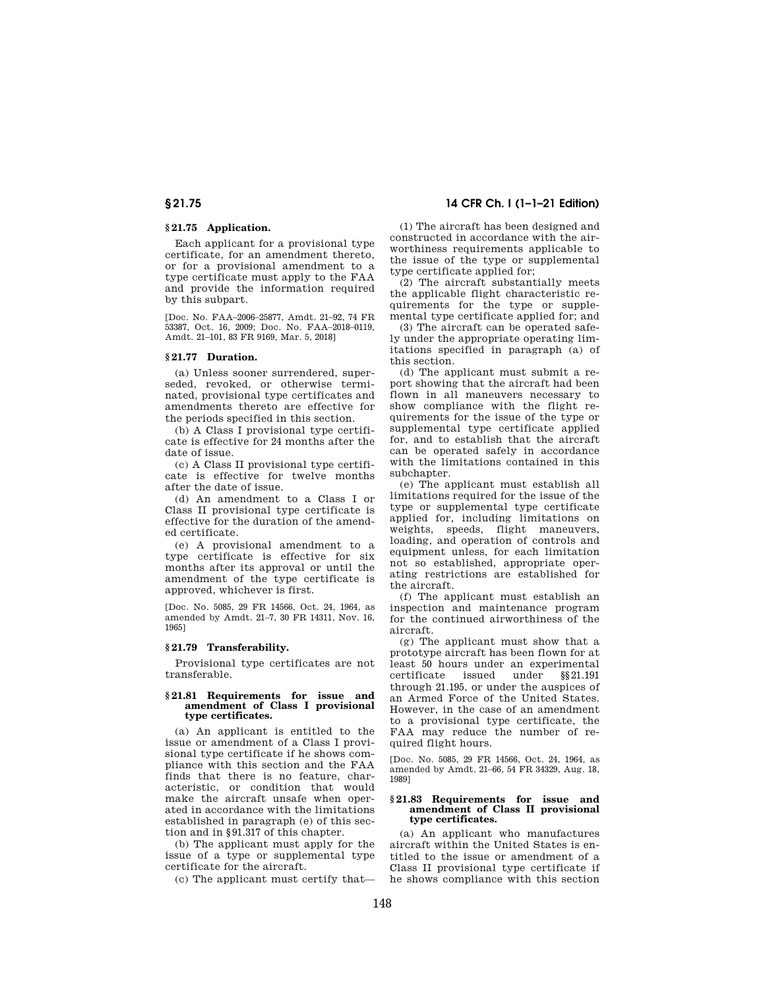# **§ 21.75 Application.**

Each applicant for a provisional type certificate, for an amendment thereto, or for a provisional amendment to a type certificate must apply to the FAA and provide the information required by this subpart.

[Doc. No. FAA–2006–25877, Amdt. 21–92, 74 FR 53387, Oct. 16, 2009; Doc. No. FAA–2018–0119, Amdt. 21–101, 83 FR 9169, Mar. 5, 2018]

## **§ 21.77 Duration.**

(a) Unless sooner surrendered, superseded, revoked, or otherwise terminated, provisional type certificates and amendments thereto are effective for the periods specified in this section.

(b) A Class I provisional type certificate is effective for 24 months after the date of issue.

(c) A Class II provisional type certificate is effective for twelve months after the date of issue.

(d) An amendment to a Class I or Class II provisional type certificate is effective for the duration of the amended certificate.

(e) A provisional amendment to a type certificate is effective for six months after its approval or until the amendment of the type certificate is approved, whichever is first.

[Doc. No. 5085, 29 FR 14566, Oct. 24, 1964, as amended by Amdt. 21–7, 30 FR 14311, Nov. 16, 1965]

# **§ 21.79 Transferability.**

Provisional type certificates are not transferable.

#### **§ 21.81 Requirements for issue and amendment of Class I provisional type certificates.**

(a) An applicant is entitled to the issue or amendment of a Class I provisional type certificate if he shows compliance with this section and the FAA finds that there is no feature, characteristic, or condition that would make the aircraft unsafe when operated in accordance with the limitations established in paragraph (e) of this section and in §91.317 of this chapter.

(b) The applicant must apply for the issue of a type or supplemental type certificate for the aircraft.

(c) The applicant must certify that—

# **§ 21.75 14 CFR Ch. I (1–1–21 Edition)**

(1) The aircraft has been designed and constructed in accordance with the airworthiness requirements applicable to the issue of the type or supplemental type certificate applied for;

(2) The aircraft substantially meets the applicable flight characteristic requirements for the type or supplemental type certificate applied for; and

(3) The aircraft can be operated safely under the appropriate operating limitations specified in paragraph (a) of this section.

(d) The applicant must submit a report showing that the aircraft had been flown in all maneuvers necessary to show compliance with the flight requirements for the issue of the type or supplemental type certificate applied for, and to establish that the aircraft can be operated safely in accordance with the limitations contained in this subchapter.

(e) The applicant must establish all limitations required for the issue of the type or supplemental type certificate applied for, including limitations on weights, speeds, flight maneuvers, loading, and operation of controls and equipment unless, for each limitation not so established, appropriate operating restrictions are established for the aircraft.

(f) The applicant must establish an inspection and maintenance program for the continued airworthiness of the aircraft.

(g) The applicant must show that a prototype aircraft has been flown for at least 50 hours under an experimental certificate issued under §§21.191 through 21.195, or under the auspices of an Armed Force of the United States. However, in the case of an amendment to a provisional type certificate, the FAA may reduce the number of required flight hours.

[Doc. No. 5085, 29 FR 14566, Oct. 24, 1964, as amended by Amdt. 21–66, 54 FR 34329, Aug. 18, 1989]

#### **§ 21.83 Requirements for issue and amendment of Class II provisional type certificates.**

(a) An applicant who manufactures aircraft within the United States is entitled to the issue or amendment of a Class II provisional type certificate if he shows compliance with this section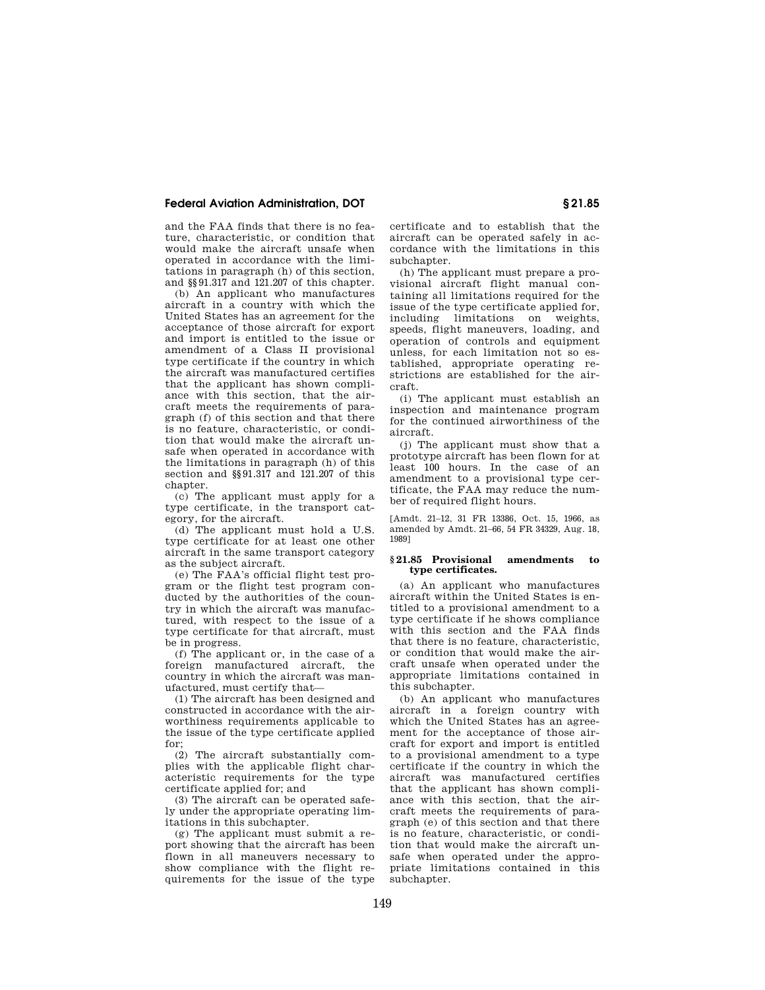and the FAA finds that there is no feature, characteristic, or condition that would make the aircraft unsafe when operated in accordance with the limitations in paragraph (h) of this section, and §§91.317 and 121.207 of this chapter.

(b) An applicant who manufactures aircraft in a country with which the United States has an agreement for the acceptance of those aircraft for export and import is entitled to the issue or amendment of a Class II provisional type certificate if the country in which the aircraft was manufactured certifies that the applicant has shown compliance with this section, that the aircraft meets the requirements of paragraph (f) of this section and that there is no feature, characteristic, or condition that would make the aircraft unsafe when operated in accordance with the limitations in paragraph (h) of this section and §§91.317 and 121.207 of this chapter.

(c) The applicant must apply for a type certificate, in the transport category, for the aircraft.

(d) The applicant must hold a U.S. type certificate for at least one other aircraft in the same transport category as the subject aircraft.

(e) The FAA's official flight test program or the flight test program conducted by the authorities of the country in which the aircraft was manufactured, with respect to the issue of a type certificate for that aircraft, must be in progress.

(f) The applicant or, in the case of a foreign manufactured aircraft, the country in which the aircraft was manufactured, must certify that—

(1) The aircraft has been designed and constructed in accordance with the airworthiness requirements applicable to the issue of the type certificate applied for;

(2) The aircraft substantially complies with the applicable flight characteristic requirements for the type certificate applied for; and

(3) The aircraft can be operated safely under the appropriate operating limitations in this subchapter.

(g) The applicant must submit a report showing that the aircraft has been flown in all maneuvers necessary to show compliance with the flight requirements for the issue of the type

certificate and to establish that the aircraft can be operated safely in accordance with the limitations in this subchapter.

(h) The applicant must prepare a provisional aircraft flight manual containing all limitations required for the issue of the type certificate applied for, including limitations on weights, speeds, flight maneuvers, loading, and operation of controls and equipment unless, for each limitation not so established, appropriate operating restrictions are established for the aircraft.

(i) The applicant must establish an inspection and maintenance program for the continued airworthiness of the aircraft.

(j) The applicant must show that a prototype aircraft has been flown for at least 100 hours. In the case of an amendment to a provisional type certificate, the FAA may reduce the number of required flight hours.

[Amdt. 21–12, 31 FR 13386, Oct. 15, 1966, as amended by Amdt. 21–66, 54 FR 34329, Aug. 18, 1989]

## **§ 21.85 Provisional amendments to type certificates.**

(a) An applicant who manufactures aircraft within the United States is entitled to a provisional amendment to a type certificate if he shows compliance with this section and the FAA finds that there is no feature, characteristic, or condition that would make the aircraft unsafe when operated under the appropriate limitations contained in this subchapter.

(b) An applicant who manufactures aircraft in a foreign country with which the United States has an agreement for the acceptance of those aircraft for export and import is entitled to a provisional amendment to a type certificate if the country in which the aircraft was manufactured certifies that the applicant has shown compliance with this section, that the aircraft meets the requirements of paragraph (e) of this section and that there is no feature, characteristic, or condition that would make the aircraft unsafe when operated under the appropriate limitations contained in this subchapter.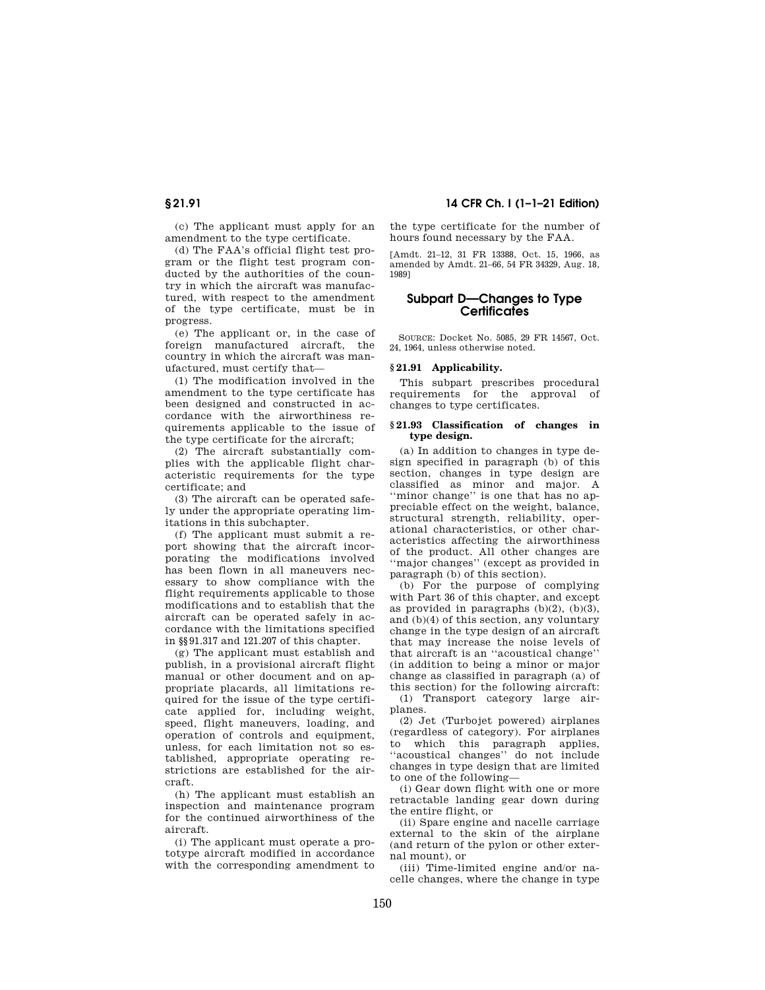(c) The applicant must apply for an amendment to the type certificate.

(d) The FAA's official flight test program or the flight test program conducted by the authorities of the country in which the aircraft was manufactured, with respect to the amendment of the type certificate, must be in progress.

(e) The applicant or, in the case of foreign manufactured aircraft, the country in which the aircraft was manufactured, must certify that—

(1) The modification involved in the amendment to the type certificate has been designed and constructed in accordance with the airworthiness requirements applicable to the issue of the type certificate for the aircraft;

(2) The aircraft substantially complies with the applicable flight characteristic requirements for the type certificate; and

(3) The aircraft can be operated safely under the appropriate operating limitations in this subchapter.

(f) The applicant must submit a report showing that the aircraft incorporating the modifications involved has been flown in all maneuvers necessary to show compliance with the flight requirements applicable to those modifications and to establish that the aircraft can be operated safely in accordance with the limitations specified in §§91.317 and 121.207 of this chapter.

(g) The applicant must establish and publish, in a provisional aircraft flight manual or other document and on appropriate placards, all limitations required for the issue of the type certificate applied for, including weight, speed, flight maneuvers, loading, and operation of controls and equipment, unless, for each limitation not so established, appropriate operating restrictions are established for the aircraft.

(h) The applicant must establish an inspection and maintenance program for the continued airworthiness of the aircraft.

(i) The applicant must operate a prototype aircraft modified in accordance with the corresponding amendment to

**§ 21.91 14 CFR Ch. I (1–1–21 Edition)** 

the type certificate for the number of hours found necessary by the FAA.

[Amdt. 21–12, 31 FR 13388, Oct. 15, 1966, as amended by Amdt. 21–66, 54 FR 34329, Aug. 18, 1989]

# **Subpart D—Changes to Type Certificates**

SOURCE: Docket No. 5085, 29 FR 14567, Oct. 24, 1964, unless otherwise noted.

# **§ 21.91 Applicability.**

This subpart prescribes procedural requirements for the approval of changes to type certificates.

## **§ 21.93 Classification of changes in type design.**

(a) In addition to changes in type design specified in paragraph (b) of this section, changes in type design are classified as minor and major. A ''minor change'' is one that has no appreciable effect on the weight, balance, structural strength, reliability, operational characteristics, or other characteristics affecting the airworthiness of the product. All other changes are ''major changes'' (except as provided in paragraph (b) of this section).

(b) For the purpose of complying with Part 36 of this chapter, and except as provided in paragraphs  $(b)(2)$ ,  $(b)(3)$ , and (b)(4) of this section, any voluntary change in the type design of an aircraft that may increase the noise levels of that aircraft is an ''acoustical change'' (in addition to being a minor or major change as classified in paragraph (a) of this section) for the following aircraft:

(1) Transport category large airplanes.

(2) Jet (Turbojet powered) airplanes (regardless of category). For airplanes to which this paragraph applies, ''acoustical changes'' do not include changes in type design that are limited to one of the following—

(i) Gear down flight with one or more retractable landing gear down during the entire flight, or

(ii) Spare engine and nacelle carriage external to the skin of the airplane (and return of the pylon or other external mount), or

(iii) Time-limited engine and/or nacelle changes, where the change in type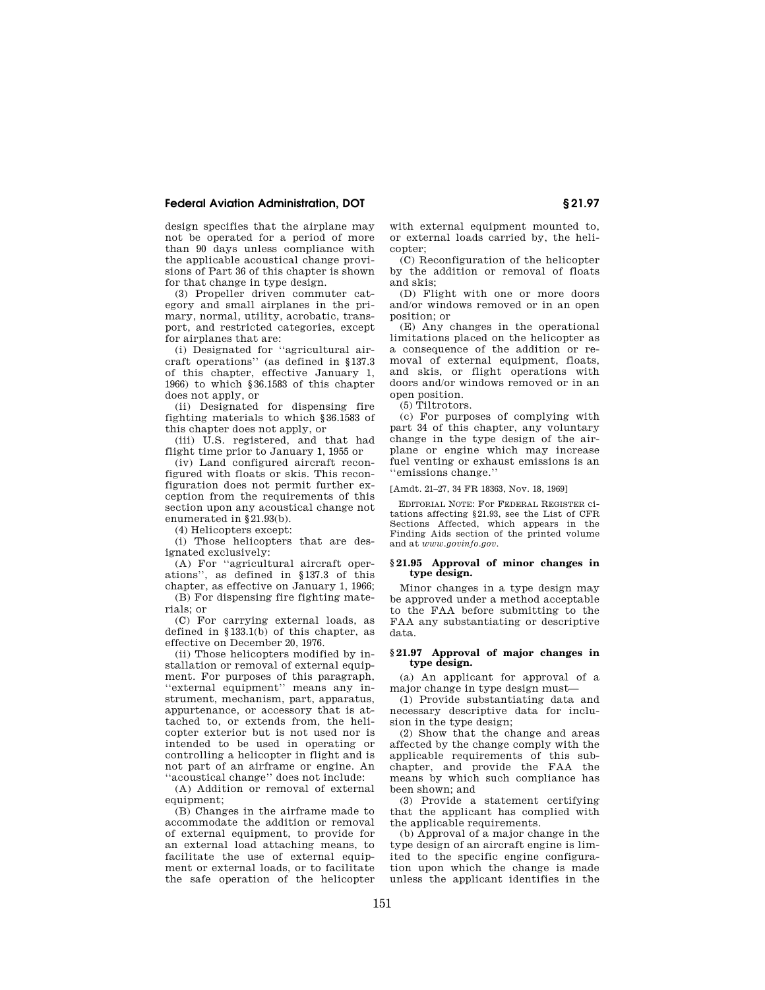design specifies that the airplane may not be operated for a period of more than 90 days unless compliance with the applicable acoustical change provisions of Part 36 of this chapter is shown for that change in type design.

(3) Propeller driven commuter category and small airplanes in the primary, normal, utility, acrobatic, transport, and restricted categories, except for airplanes that are:

(i) Designated for ''agricultural aircraft operations'' (as defined in §137.3 of this chapter, effective January 1, 1966) to which §36.1583 of this chapter does not apply, or

(ii) Designated for dispensing fire fighting materials to which §36.1583 of this chapter does not apply, or

(iii) U.S. registered, and that had flight time prior to January 1, 1955 or

(iv) Land configured aircraft reconfigured with floats or skis. This reconfiguration does not permit further exception from the requirements of this section upon any acoustical change not enumerated in §21.93(b).

(4) Helicopters except:

(i) Those helicopters that are designated exclusively:

(A) For ''agricultural aircraft operations'', as defined in §137.3 of this chapter, as effective on January 1, 1966; (B) For dispensing fire fighting mate-

rials; or

(C) For carrying external loads, as defined in §133.1(b) of this chapter, as effective on December 20, 1976.

(ii) Those helicopters modified by installation or removal of external equipment. For purposes of this paragraph, ''external equipment'' means any instrument, mechanism, part, apparatus, appurtenance, or accessory that is attached to, or extends from, the helicopter exterior but is not used nor is intended to be used in operating or controlling a helicopter in flight and is not part of an airframe or engine. An ''acoustical change'' does not include:

(A) Addition or removal of external equipment;

(B) Changes in the airframe made to accommodate the addition or removal of external equipment, to provide for an external load attaching means, to facilitate the use of external equipment or external loads, or to facilitate the safe operation of the helicopter

with external equipment mounted to, or external loads carried by, the helicopter;

(C) Reconfiguration of the helicopter by the addition or removal of floats and skis;

(D) Flight with one or more doors and/or windows removed or in an open position; or

(E) Any changes in the operational limitations placed on the helicopter as a consequence of the addition or removal of external equipment, floats, and skis, or flight operations with doors and/or windows removed or in an open position.

(5) Tiltrotors.

(c) For purposes of complying with part 34 of this chapter, any voluntary change in the type design of the airplane or engine which may increase fuel venting or exhaust emissions is an ''emissions change.''

[Amdt. 21-27, 34 FR 18363, Nov. 18, 1969]

EDITORIAL NOTE: For FEDERAL REGISTER citations affecting §21.93, see the List of CFR Sections Affected, which appears in the Finding Aids section of the printed volume and at *www.govinfo.gov.* 

## **§ 21.95 Approval of minor changes in type design.**

Minor changes in a type design may be approved under a method acceptable to the FAA before submitting to the FAA any substantiating or descriptive data.

## **§ 21.97 Approval of major changes in type design.**

(a) An applicant for approval of a major change in type design must—

(1) Provide substantiating data and necessary descriptive data for inclusion in the type design;

(2) Show that the change and areas affected by the change comply with the applicable requirements of this subchapter, and provide the FAA the means by which such compliance has been shown; and

(3) Provide a statement certifying that the applicant has complied with the applicable requirements.

(b) Approval of a major change in the type design of an aircraft engine is limited to the specific engine configuration upon which the change is made unless the applicant identifies in the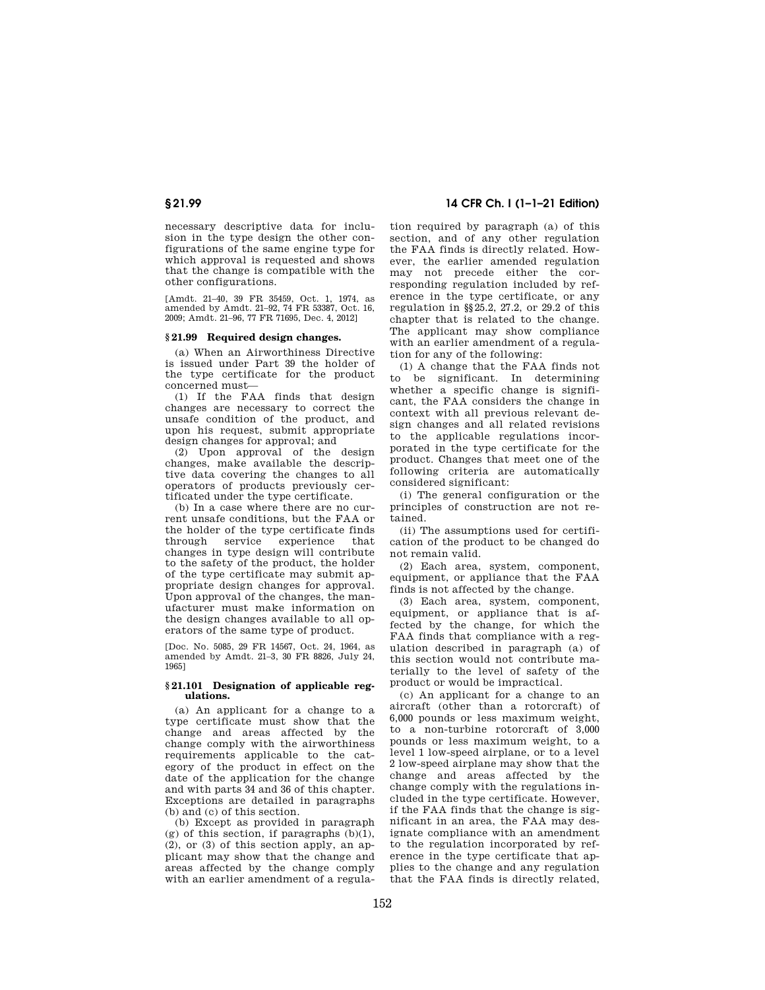necessary descriptive data for inclusion in the type design the other configurations of the same engine type for which approval is requested and shows that the change is compatible with the other configurations.

[Amdt. 21–40, 39 FR 35459, Oct. 1, 1974, as amended by Amdt. 21–92, 74 FR 53387, Oct. 16, 2009; Amdt. 21–96, 77 FR 71695, Dec. 4, 2012]

## **§ 21.99 Required design changes.**

(a) When an Airworthiness Directive is issued under Part 39 the holder of the type certificate for the product concerned must—

(1) If the FAA finds that design changes are necessary to correct the unsafe condition of the product, and upon his request, submit appropriate design changes for approval; and

(2) Upon approval of the design changes, make available the descriptive data covering the changes to all operators of products previously certificated under the type certificate.

(b) In a case where there are no current unsafe conditions, but the FAA or the holder of the type certificate finds through service experience that changes in type design will contribute to the safety of the product, the holder of the type certificate may submit appropriate design changes for approval. Upon approval of the changes, the manufacturer must make information on the design changes available to all operators of the same type of product.

[Doc. No. 5085, 29 FR 14567, Oct. 24, 1964, as amended by Amdt. 21–3, 30 FR 8826, July 24, 1965]

## **§ 21.101 Designation of applicable regulations.**

(a) An applicant for a change to a type certificate must show that the change and areas affected by the change comply with the airworthiness requirements applicable to the category of the product in effect on the date of the application for the change and with parts 34 and 36 of this chapter. Exceptions are detailed in paragraphs (b) and (c) of this section.

(b) Except as provided in paragraph  $(g)$  of this section, if paragraphs  $(b)(1)$ , (2), or (3) of this section apply, an applicant may show that the change and areas affected by the change comply with an earlier amendment of a regula-

**§ 21.99 14 CFR Ch. I (1–1–21 Edition)** 

tion required by paragraph (a) of this section, and of any other regulation the FAA finds is directly related. However, the earlier amended regulation may not precede either the corresponding regulation included by reference in the type certificate, or any regulation in §§25.2, 27.2, or 29.2 of this chapter that is related to the change. The applicant may show compliance with an earlier amendment of a regulation for any of the following:

(1) A change that the FAA finds not to be significant. In determining whether a specific change is significant, the FAA considers the change in context with all previous relevant design changes and all related revisions to the applicable regulations incorporated in the type certificate for the product. Changes that meet one of the following criteria are automatically considered significant:

(i) The general configuration or the principles of construction are not retained.

(ii) The assumptions used for certification of the product to be changed do not remain valid.

(2) Each area, system, component, equipment, or appliance that the FAA finds is not affected by the change.

(3) Each area, system, component, equipment, or appliance that is affected by the change, for which the FAA finds that compliance with a regulation described in paragraph (a) of this section would not contribute materially to the level of safety of the product or would be impractical.

(c) An applicant for a change to an aircraft (other than a rotorcraft) of 6,000 pounds or less maximum weight, to a non-turbine rotorcraft of 3,000 pounds or less maximum weight, to a level 1 low-speed airplane, or to a level 2 low-speed airplane may show that the change and areas affected by the change comply with the regulations included in the type certificate. However, if the FAA finds that the change is significant in an area, the FAA may designate compliance with an amendment to the regulation incorporated by reference in the type certificate that applies to the change and any regulation that the FAA finds is directly related,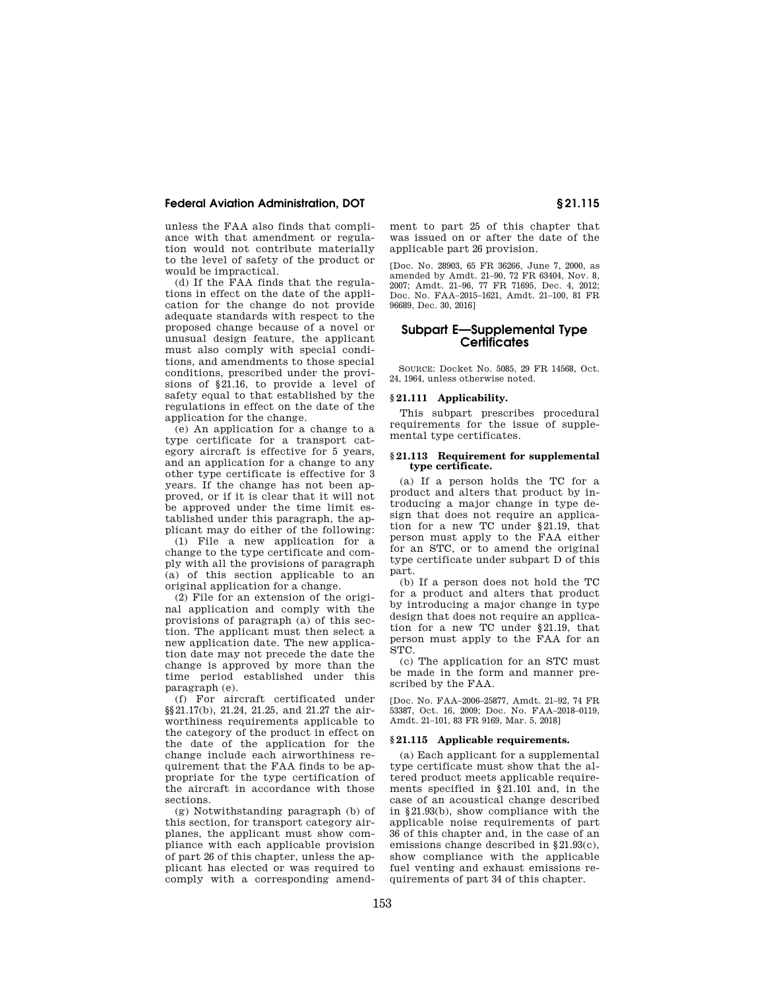unless the FAA also finds that compliance with that amendment or regulation would not contribute materially to the level of safety of the product or would be impractical.

(d) If the FAA finds that the regulations in effect on the date of the application for the change do not provide adequate standards with respect to the proposed change because of a novel or unusual design feature, the applicant must also comply with special conditions, and amendments to those special conditions, prescribed under the provisions of §21.16, to provide a level of safety equal to that established by the regulations in effect on the date of the application for the change.

(e) An application for a change to a type certificate for a transport category aircraft is effective for 5 years, and an application for a change to any other type certificate is effective for 3 years. If the change has not been approved, or if it is clear that it will not be approved under the time limit established under this paragraph, the applicant may do either of the following:

(1) File a new application for a change to the type certificate and comply with all the provisions of paragraph (a) of this section applicable to an original application for a change.

(2) File for an extension of the original application and comply with the provisions of paragraph (a) of this section. The applicant must then select a new application date. The new application date may not precede the date the change is approved by more than the time period established under this paragraph (e).

(f) For aircraft certificated under §§21.17(b), 21.24, 21.25, and 21.27 the airworthiness requirements applicable to the category of the product in effect on the date of the application for the change include each airworthiness requirement that the FAA finds to be appropriate for the type certification of the aircraft in accordance with those sections.

(g) Notwithstanding paragraph (b) of this section, for transport category airplanes, the applicant must show compliance with each applicable provision of part 26 of this chapter, unless the applicant has elected or was required to comply with a corresponding amendment to part 25 of this chapter that was issued on or after the date of the applicable part 26 provision.

[Doc. No. 28903, 65 FR 36266, June 7, 2000, as amended by Amdt. 21–90, 72 FR 63404, Nov. 8, 2007; Amdt. 21–96, 77 FR 71695, Dec. 4, 2012; Doc. No. FAA–2015–1621, Amdt. 21–100, 81 FR 96689, Dec. 30, 2016]

# **Subpart E—Supplemental Type Certificates**

SOURCE: Docket No. 5085, 29 FR 14568, Oct. 24, 1964, unless otherwise noted.

# **§ 21.111 Applicability.**

This subpart prescribes procedural requirements for the issue of supplemental type certificates.

## **§ 21.113 Requirement for supplemental type certificate.**

(a) If a person holds the TC for a product and alters that product by introducing a major change in type design that does not require an application for a new TC under §21.19, that person must apply to the FAA either for an STC, or to amend the original type certificate under subpart D of this part.

(b) If a person does not hold the TC for a product and alters that product by introducing a major change in type design that does not require an application for a new TC under §21.19, that person must apply to the FAA for an STC.

(c) The application for an STC must be made in the form and manner prescribed by the FAA.

[Doc. No. FAA–2006–25877, Amdt. 21–92, 74 FR 53387, Oct. 16, 2009; Doc. No. FAA–2018–0119, Amdt. 21–101, 83 FR 9169, Mar. 5, 2018]

# **§ 21.115 Applicable requirements.**

(a) Each applicant for a supplemental type certificate must show that the altered product meets applicable requirements specified in §21.101 and, in the case of an acoustical change described in §21.93(b), show compliance with the applicable noise requirements of part 36 of this chapter and, in the case of an emissions change described in §21.93(c), show compliance with the applicable fuel venting and exhaust emissions requirements of part 34 of this chapter.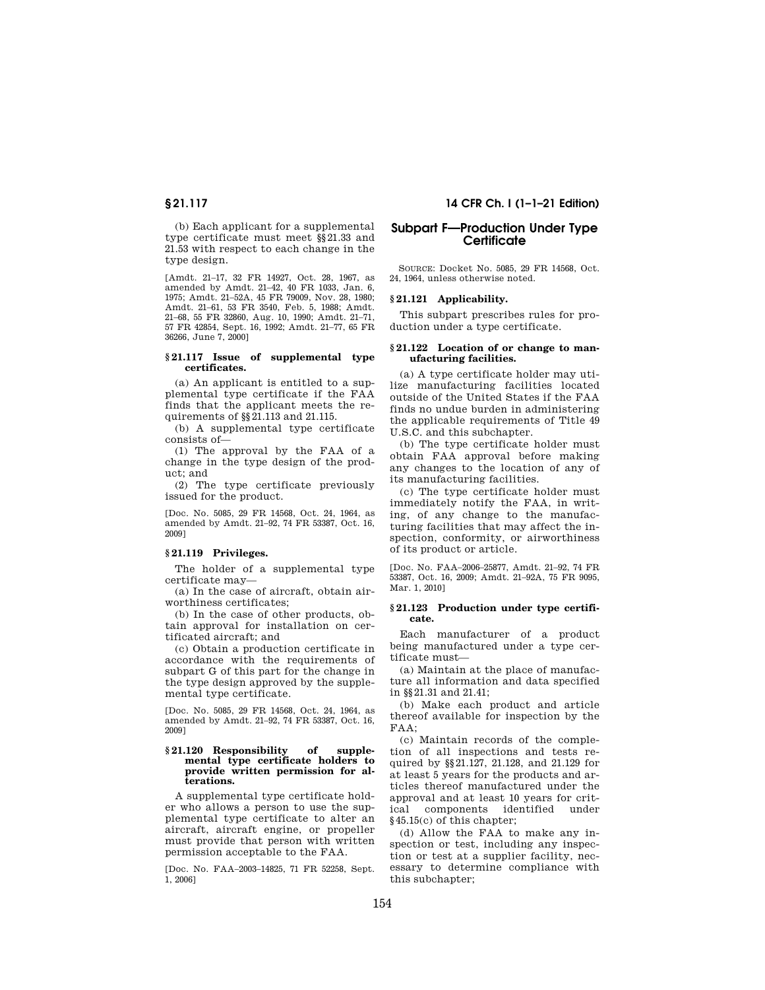(b) Each applicant for a supplemental type certificate must meet §§21.33 and 21.53 with respect to each change in the type design.

[Amdt. 21-17, 32 FR 14927, Oct. 28, 1967, as amended by Amdt. 21–42, 40 FR 1033, Jan. 6, 1975; Amdt. 21–52A, 45 FR 79009, Nov. 28, 1980; Amdt. 21–61, 53 FR 3540, Feb. 5, 1988; Amdt. 21–68, 55 FR 32860, Aug. 10, 1990; Amdt. 21–71, 57 FR 42854, Sept. 16, 1992; Amdt. 21–77, 65 FR 36266, June 7, 2000]

## **§ 21.117 Issue of supplemental type certificates.**

(a) An applicant is entitled to a supplemental type certificate if the FAA finds that the applicant meets the requirements of §§21.113 and 21.115.

(b) A supplemental type certificate consists of—

(1) The approval by the FAA of a change in the type design of the product; and

(2) The type certificate previously issued for the product.

[Doc. No. 5085, 29 FR 14568, Oct. 24, 1964, as amended by Amdt. 21–92, 74 FR 53387, Oct. 16, 2009]

## **§ 21.119 Privileges.**

The holder of a supplemental type certificate may—

(a) In the case of aircraft, obtain airworthiness certificates;

(b) In the case of other products, obtain approval for installation on certificated aircraft; and

(c) Obtain a production certificate in accordance with the requirements of subpart G of this part for the change in the type design approved by the supplemental type certificate.

[Doc. No. 5085, 29 FR 14568, Oct. 24, 1964, as amended by Amdt. 21–92, 74 FR 53387, Oct. 16, 2009]

#### **§ 21.120 Responsibility of supplemental type certificate holders to provide written permission for alterations.**

A supplemental type certificate holder who allows a person to use the supplemental type certificate to alter an aircraft, aircraft engine, or propeller must provide that person with written permission acceptable to the FAA.

[Doc. No. FAA–2003–14825, 71 FR 52258, Sept. 1, 2006]

# **§ 21.117 14 CFR Ch. I (1–1–21 Edition)**

# **Subpart F—Production Under Type Certificate**

SOURCE: Docket No. 5085, 29 FR 14568, Oct. 24, 1964, unless otherwise noted.

#### **§ 21.121 Applicability.**

This subpart prescribes rules for production under a type certificate.

## **§ 21.122 Location of or change to manufacturing facilities.**

(a) A type certificate holder may utilize manufacturing facilities located outside of the United States if the FAA finds no undue burden in administering the applicable requirements of Title 49 U.S.C. and this subchapter.

(b) The type certificate holder must obtain FAA approval before making any changes to the location of any of its manufacturing facilities.

(c) The type certificate holder must immediately notify the FAA, in writing, of any change to the manufacturing facilities that may affect the inspection, conformity, or airworthiness of its product or article.

[Doc. No. FAA–2006–25877, Amdt. 21–92, 74 FR 53387, Oct. 16, 2009; Amdt. 21–92A, 75 FR 9095, Mar. 1, 2010]

## **§ 21.123 Production under type certificate.**

Each manufacturer of a product being manufactured under a type certificate must—

(a) Maintain at the place of manufacture all information and data specified in §§21.31 and 21.41;

(b) Make each product and article thereof available for inspection by the  $FAA$ 

(c) Maintain records of the completion of all inspections and tests required by §§21.127, 21.128, and 21.129 for at least 5 years for the products and articles thereof manufactured under the approval and at least 10 years for critical components identified under §45.15(c) of this chapter;

(d) Allow the FAA to make any inspection or test, including any inspection or test at a supplier facility, necessary to determine compliance with this subchapter;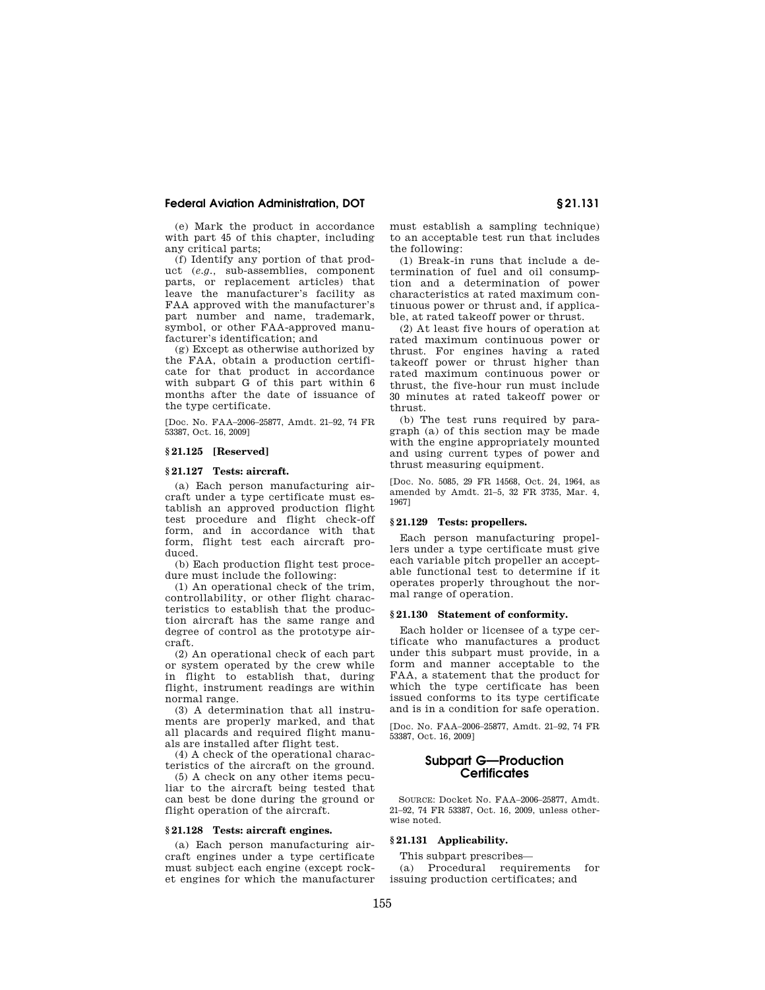(e) Mark the product in accordance with part 45 of this chapter, including any critical parts;

(f) Identify any portion of that product (*e.g.,* sub-assemblies, component parts, or replacement articles) that leave the manufacturer's facility as FAA approved with the manufacturer's part number and name, trademark, symbol, or other FAA-approved manufacturer's identification; and

(g) Except as otherwise authorized by the FAA, obtain a production certificate for that product in accordance with subpart G of this part within 6 months after the date of issuance of the type certificate.

[Doc. No. FAA–2006–25877, Amdt. 21–92, 74 FR 53387, Oct. 16, 2009]

# **§ 21.125 [Reserved]**

## **§ 21.127 Tests: aircraft.**

(a) Each person manufacturing aircraft under a type certificate must establish an approved production flight test procedure and flight check-off form, and in accordance with that form, flight test each aircraft produced.

(b) Each production flight test procedure must include the following:

(1) An operational check of the trim, controllability, or other flight characteristics to establish that the production aircraft has the same range and degree of control as the prototype aircraft.

(2) An operational check of each part or system operated by the crew while in flight to establish that, during flight, instrument readings are within normal range.

(3) A determination that all instruments are properly marked, and that all placards and required flight manuals are installed after flight test.

(4) A check of the operational characteristics of the aircraft on the ground.

(5) A check on any other items peculiar to the aircraft being tested that can best be done during the ground or flight operation of the aircraft.

# **§ 21.128 Tests: aircraft engines.**

(a) Each person manufacturing aircraft engines under a type certificate must subject each engine (except rocket engines for which the manufacturer must establish a sampling technique) to an acceptable test run that includes the following:

(1) Break-in runs that include a determination of fuel and oil consumption and a determination of power characteristics at rated maximum continuous power or thrust and, if applicable, at rated takeoff power or thrust.

(2) At least five hours of operation at rated maximum continuous power or thrust. For engines having a rated takeoff power or thrust higher than rated maximum continuous power or thrust, the five-hour run must include 30 minutes at rated takeoff power or thrust.

(b) The test runs required by paragraph (a) of this section may be made with the engine appropriately mounted and using current types of power and thrust measuring equipment.

[Doc. No. 5085, 29 FR 14568, Oct. 24, 1964, as amended by Amdt. 21–5, 32 FR 3735, Mar. 4, 1967]

# **§ 21.129 Tests: propellers.**

Each person manufacturing propellers under a type certificate must give each variable pitch propeller an acceptable functional test to determine if it operates properly throughout the normal range of operation.

## **§ 21.130 Statement of conformity.**

Each holder or licensee of a type certificate who manufactures a product under this subpart must provide, in a form and manner acceptable to the FAA, a statement that the product for which the type certificate has been issued conforms to its type certificate and is in a condition for safe operation.

[Doc. No. FAA–2006–25877, Amdt. 21–92, 74 FR 53387, Oct. 16, 2009]

# **Subpart G—Production Certificates**

SOURCE: Docket No. FAA–2006–25877, Amdt. 21–92, 74 FR 53387, Oct. 16, 2009, unless otherwise noted.

### **§ 21.131 Applicability.**

This subpart prescribes—

(a) Procedural requirements for issuing production certificates; and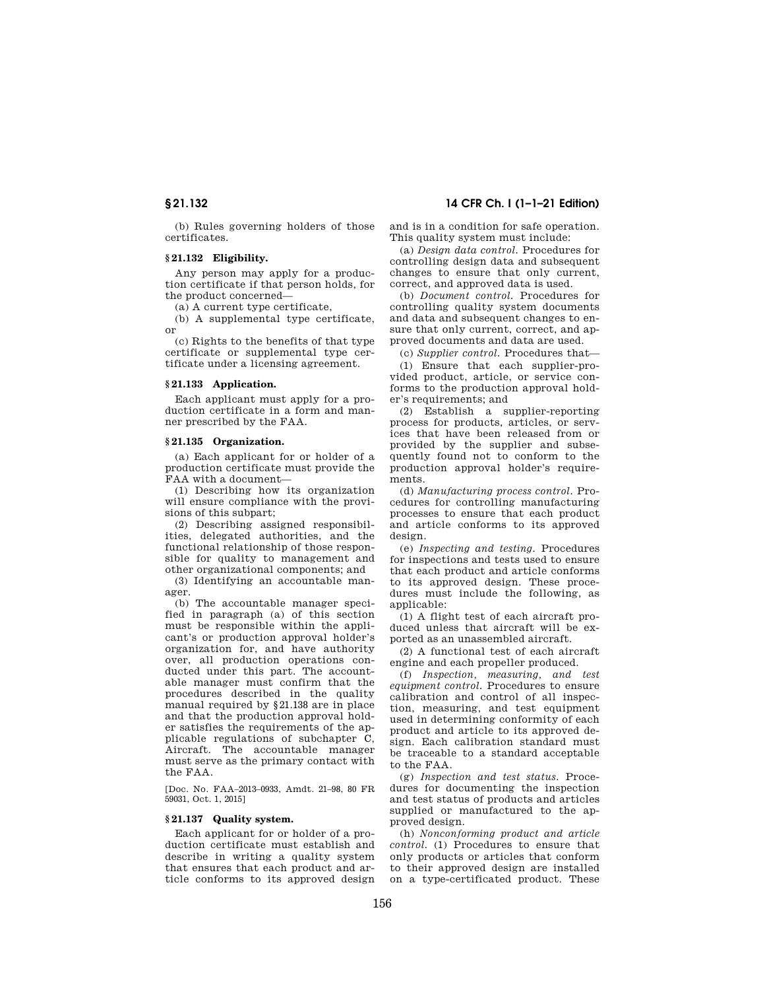(b) Rules governing holders of those certificates.

# **§ 21.132 Eligibility.**

Any person may apply for a production certificate if that person holds, for the product concerned—

(a) A current type certificate,

(b) A supplemental type certificate, or

(c) Rights to the benefits of that type certificate or supplemental type certificate under a licensing agreement.

# **§ 21.133 Application.**

Each applicant must apply for a production certificate in a form and manner prescribed by the FAA.

# **§ 21.135 Organization.**

(a) Each applicant for or holder of a production certificate must provide the FAA with a document—

(1) Describing how its organization will ensure compliance with the provisions of this subpart;

(2) Describing assigned responsibilities, delegated authorities, and the functional relationship of those responsible for quality to management and other organizational components; and

(3) Identifying an accountable manager.

(b) The accountable manager specified in paragraph (a) of this section must be responsible within the applicant's or production approval holder's organization for, and have authority over, all production operations conducted under this part. The accountable manager must confirm that the procedures described in the quality manual required by §21.138 are in place and that the production approval holder satisfies the requirements of the applicable regulations of subchapter C, Aircraft. The accountable manager must serve as the primary contact with the FAA.

[Doc. No. FAA–2013–0933, Amdt. 21–98, 80 FR 59031, Oct. 1, 2015]

# **§ 21.137 Quality system.**

Each applicant for or holder of a production certificate must establish and describe in writing a quality system that ensures that each product and article conforms to its approved design

# **§ 21.132 14 CFR Ch. I (1–1–21 Edition)**

and is in a condition for safe operation. This quality system must include:

(a) *Design data control.* Procedures for controlling design data and subsequent changes to ensure that only current, correct, and approved data is used.

(b) *Document control.* Procedures for controlling quality system documents and data and subsequent changes to ensure that only current, correct, and approved documents and data are used.

(c) *Supplier control.* Procedures that—

(1) Ensure that each supplier-provided product, article, or service conforms to the production approval holder's requirements; and

(2) Establish a supplier-reporting process for products, articles, or services that have been released from or provided by the supplier and subsequently found not to conform to the production approval holder's requirements.

(d) *Manufacturing process control.* Procedures for controlling manufacturing processes to ensure that each product and article conforms to its approved design.

(e) *Inspecting and testing.* Procedures for inspections and tests used to ensure that each product and article conforms to its approved design. These procedures must include the following, as applicable:

(1) A flight test of each aircraft produced unless that aircraft will be exported as an unassembled aircraft.

(2) A functional test of each aircraft engine and each propeller produced.

(f) *Inspection, measuring, and test equipment control.* Procedures to ensure calibration and control of all inspection, measuring, and test equipment used in determining conformity of each product and article to its approved design. Each calibration standard must be traceable to a standard acceptable to the FAA.

(g) *Inspection and test status.* Procedures for documenting the inspection and test status of products and articles supplied or manufactured to the approved design.

(h) *Nonconforming product and article control.* (1) Procedures to ensure that only products or articles that conform to their approved design are installed on a type-certificated product. These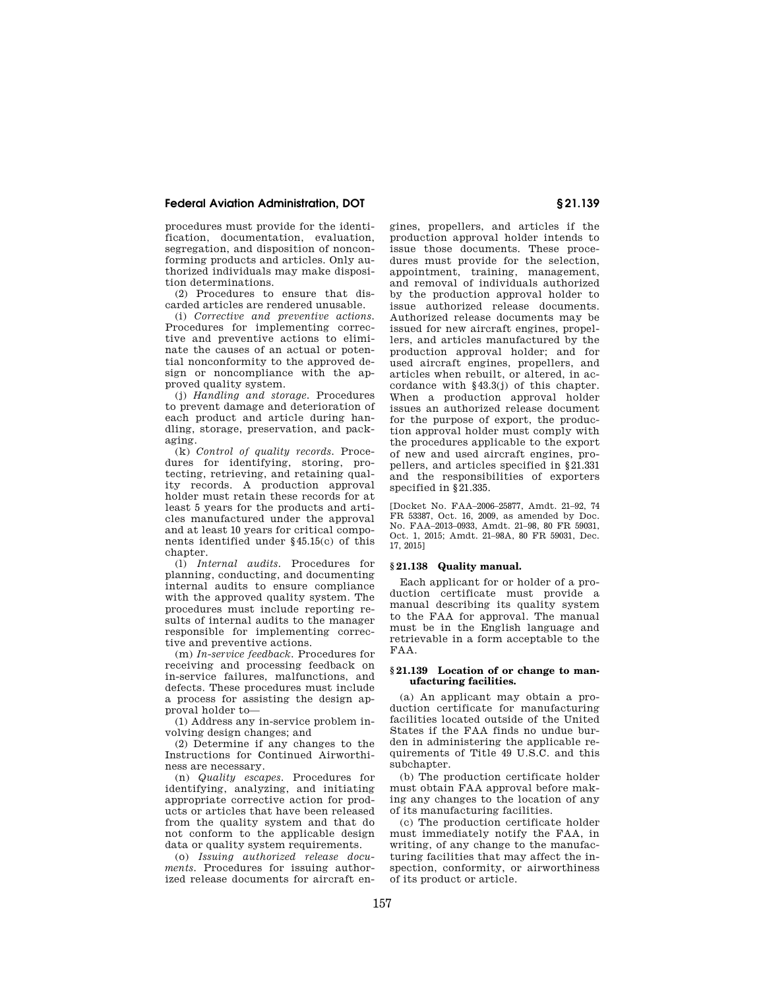procedures must provide for the identification, documentation, evaluation, segregation, and disposition of nonconforming products and articles. Only authorized individuals may make disposition determinations.

(2) Procedures to ensure that discarded articles are rendered unusable.

(i) *Corrective and preventive actions.*  Procedures for implementing corrective and preventive actions to eliminate the causes of an actual or potential nonconformity to the approved design or noncompliance with the approved quality system.

(j) *Handling and storage.* Procedures to prevent damage and deterioration of each product and article during handling, storage, preservation, and packaging

(k) *Control of quality records.* Procedures for identifying, storing, protecting, retrieving, and retaining quality records. A production approval holder must retain these records for at least 5 years for the products and articles manufactured under the approval and at least 10 years for critical components identified under §45.15(c) of this chapter.

(l) *Internal audits.* Procedures for planning, conducting, and documenting internal audits to ensure compliance with the approved quality system. The procedures must include reporting results of internal audits to the manager responsible for implementing corrective and preventive actions.

(m) *In-service feedback.* Procedures for receiving and processing feedback on in-service failures, malfunctions, and defects. These procedures must include a process for assisting the design approval holder to—

(1) Address any in-service problem involving design changes; and

(2) Determine if any changes to the Instructions for Continued Airworthiness are necessary.

(n) *Quality escapes.* Procedures for identifying, analyzing, and initiating appropriate corrective action for products or articles that have been released from the quality system and that do not conform to the applicable design data or quality system requirements.

(o) *Issuing authorized release documents.* Procedures for issuing authorized release documents for aircraft engines, propellers, and articles if the production approval holder intends to issue those documents. These procedures must provide for the selection, appointment, training, management, and removal of individuals authorized by the production approval holder to issue authorized release documents. Authorized release documents may be issued for new aircraft engines, propellers, and articles manufactured by the production approval holder; and for used aircraft engines, propellers, and articles when rebuilt, or altered, in accordance with §43.3(j) of this chapter. When a production approval holder issues an authorized release document for the purpose of export, the production approval holder must comply with the procedures applicable to the export of new and used aircraft engines, propellers, and articles specified in §21.331 and the responsibilities of exporters specified in §21.335.

[Docket No. FAA–2006–25877, Amdt. 21–92, 74 FR 53387, Oct. 16, 2009, as amended by Doc. No. FAA–2013–0933, Amdt. 21–98, 80 FR 59031, Oct. 1, 2015; Amdt. 21–98A, 80 FR 59031, Dec. 17, 2015]

## **§ 21.138 Quality manual.**

Each applicant for or holder of a production certificate must provide a manual describing its quality system to the FAA for approval. The manual must be in the English language and retrievable in a form acceptable to the FAA.

## **§ 21.139 Location of or change to manufacturing facilities.**

(a) An applicant may obtain a production certificate for manufacturing facilities located outside of the United States if the FAA finds no undue burden in administering the applicable requirements of Title 49 U.S.C. and this subchapter.

(b) The production certificate holder must obtain FAA approval before making any changes to the location of any of its manufacturing facilities.

(c) The production certificate holder must immediately notify the FAA, in writing, of any change to the manufacturing facilities that may affect the inspection, conformity, or airworthiness of its product or article.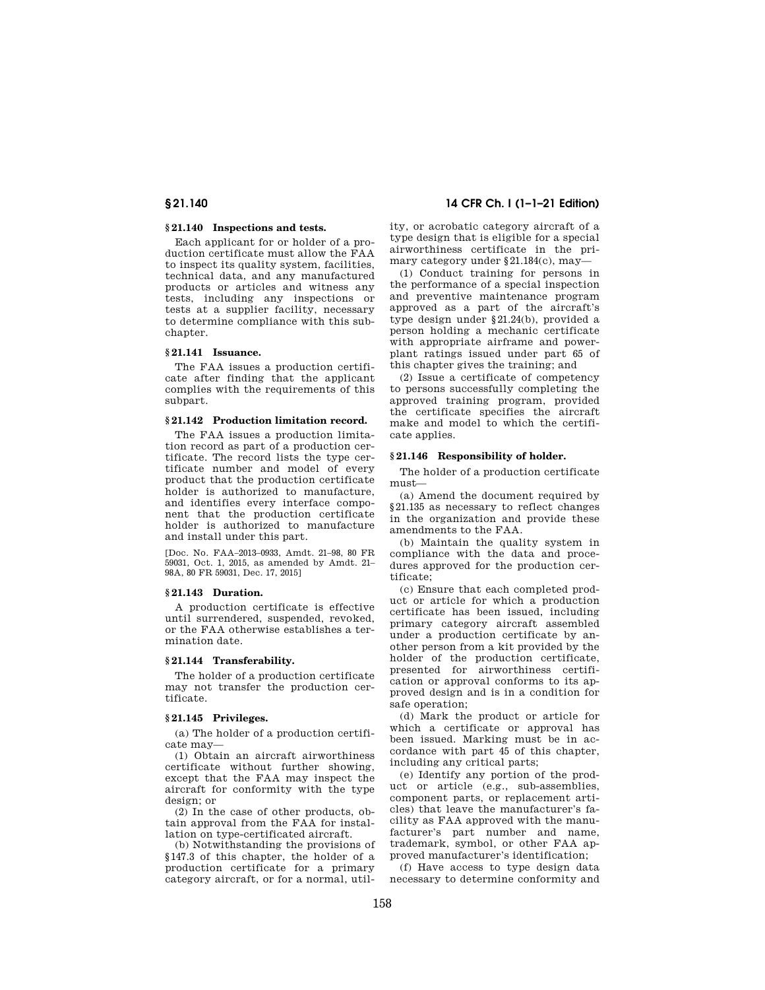# **§ 21.140 Inspections and tests.**

Each applicant for or holder of a production certificate must allow the FAA to inspect its quality system, facilities, technical data, and any manufactured products or articles and witness any tests, including any inspections or tests at a supplier facility, necessary to determine compliance with this subchapter.

## **§ 21.141 Issuance.**

The FAA issues a production certificate after finding that the applicant complies with the requirements of this subpart.

# **§ 21.142 Production limitation record.**

The FAA issues a production limitation record as part of a production certificate. The record lists the type certificate number and model of every product that the production certificate holder is authorized to manufacture, and identifies every interface component that the production certificate holder is authorized to manufacture and install under this part.

[Doc. No. FAA–2013–0933, Amdt. 21–98, 80 FR 59031, Oct. 1, 2015, as amended by Amdt. 21– 98A, 80 FR 59031, Dec. 17, 2015]

## **§ 21.143 Duration.**

A production certificate is effective until surrendered, suspended, revoked, or the FAA otherwise establishes a termination date.

# **§ 21.144 Transferability.**

The holder of a production certificate may not transfer the production certificate.

## **§ 21.145 Privileges.**

(a) The holder of a production certificate may—

(1) Obtain an aircraft airworthiness certificate without further showing, except that the FAA may inspect the aircraft for conformity with the type design; or

(2) In the case of other products, obtain approval from the FAA for installation on type-certificated aircraft.

(b) Notwithstanding the provisions of §147.3 of this chapter, the holder of a production certificate for a primary category aircraft, or for a normal, util-

# **§ 21.140 14 CFR Ch. I (1–1–21 Edition)**

ity, or acrobatic category aircraft of a type design that is eligible for a special airworthiness certificate in the primary category under §21.184(c), may—

(1) Conduct training for persons in the performance of a special inspection and preventive maintenance program approved as a part of the aircraft's type design under §21.24(b), provided a person holding a mechanic certificate with appropriate airframe and powerplant ratings issued under part 65 of this chapter gives the training; and

(2) Issue a certificate of competency to persons successfully completing the approved training program, provided the certificate specifies the aircraft make and model to which the certificate applies.

## **§ 21.146 Responsibility of holder.**

The holder of a production certificate must—

(a) Amend the document required by §21.135 as necessary to reflect changes in the organization and provide these amendments to the FAA.

(b) Maintain the quality system in compliance with the data and procedures approved for the production certificate;

(c) Ensure that each completed product or article for which a production certificate has been issued, including primary category aircraft assembled under a production certificate by another person from a kit provided by the holder of the production certificate, presented for airworthiness certification or approval conforms to its approved design and is in a condition for safe operation;

(d) Mark the product or article for which a certificate or approval has been issued. Marking must be in accordance with part 45 of this chapter, including any critical parts;

(e) Identify any portion of the product or article (e.g., sub-assemblies, component parts, or replacement articles) that leave the manufacturer's facility as FAA approved with the manufacturer's part number and name, trademark, symbol, or other FAA approved manufacturer's identification;

(f) Have access to type design data necessary to determine conformity and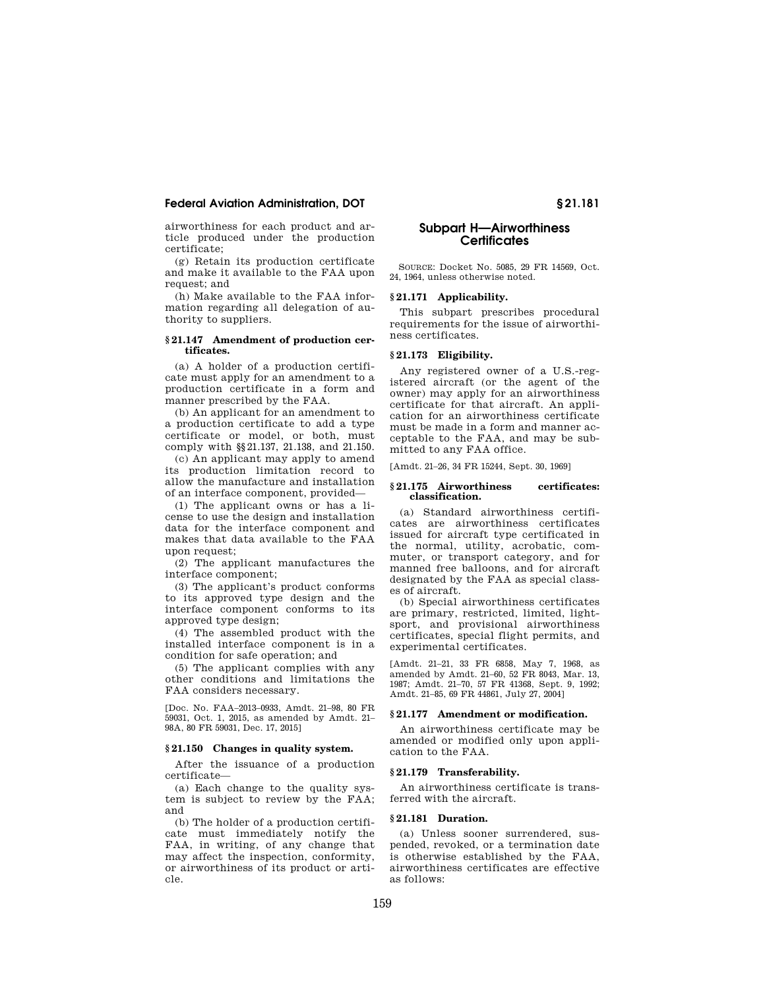airworthiness for each product and article produced under the production certificate;

(g) Retain its production certificate and make it available to the FAA upon request; and

(h) Make available to the FAA information regarding all delegation of authority to suppliers.

## **§ 21.147 Amendment of production certificates.**

(a) A holder of a production certificate must apply for an amendment to a production certificate in a form and manner prescribed by the FAA.

(b) An applicant for an amendment to a production certificate to add a type certificate or model, or both, must comply with §§21.137, 21.138, and 21.150.

(c) An applicant may apply to amend its production limitation record to allow the manufacture and installation of an interface component, provided—

(1) The applicant owns or has a license to use the design and installation data for the interface component and makes that data available to the FAA upon request;

(2) The applicant manufactures the interface component;

(3) The applicant's product conforms to its approved type design and the interface component conforms to its approved type design;

(4) The assembled product with the installed interface component is in a condition for safe operation; and

(5) The applicant complies with any other conditions and limitations the FAA considers necessary.

[Doc. No. FAA–2013–0933, Amdt. 21–98, 80 FR 59031, Oct. 1, 2015, as amended by Amdt. 21– 98A, 80 FR 59031, Dec. 17, 2015]

## **§ 21.150 Changes in quality system.**

After the issuance of a production certificate—

(a) Each change to the quality system is subject to review by the FAA; and

(b) The holder of a production certificate must immediately notify the FAA, in writing, of any change that may affect the inspection, conformity, or airworthiness of its product or article.

# **Subpart H—Airworthiness Certificates**

SOURCE: Docket No. 5085, 29 FR 14569, Oct. 24, 1964, unless otherwise noted.

#### **§ 21.171 Applicability.**

This subpart prescribes procedural requirements for the issue of airworthiness certificates.

# **§ 21.173 Eligibility.**

Any registered owner of a U.S.-registered aircraft (or the agent of the owner) may apply for an airworthiness certificate for that aircraft. An application for an airworthiness certificate must be made in a form and manner acceptable to the FAA, and may be submitted to any FAA office.

[Amdt. 21–26, 34 FR 15244, Sept. 30, 1969]

## **§ 21.175 Airworthiness certificates: classification.**

(a) Standard airworthiness certificates are airworthiness certificates issued for aircraft type certificated in the normal, utility, acrobatic, commuter, or transport category, and for manned free balloons, and for aircraft designated by the FAA as special classes of aircraft.

(b) Special airworthiness certificates are primary, restricted, limited, lightsport, and provisional airworthiness certificates, special flight permits, and experimental certificates.

[Amdt. 21–21, 33 FR 6858, May 7, 1968, as amended by Amdt. 21–60, 52 FR 8043, Mar. 13, 1987; Amdt. 21–70, 57 FR 41368, Sept. 9, 1992; Amdt. 21–85, 69 FR 44861, July 27, 2004]

#### **§ 21.177 Amendment or modification.**

An airworthiness certificate may be amended or modified only upon application to the FAA.

## **§ 21.179 Transferability.**

An airworthiness certificate is transferred with the aircraft.

# **§ 21.181 Duration.**

(a) Unless sooner surrendered, suspended, revoked, or a termination date is otherwise established by the FAA, airworthiness certificates are effective as follows: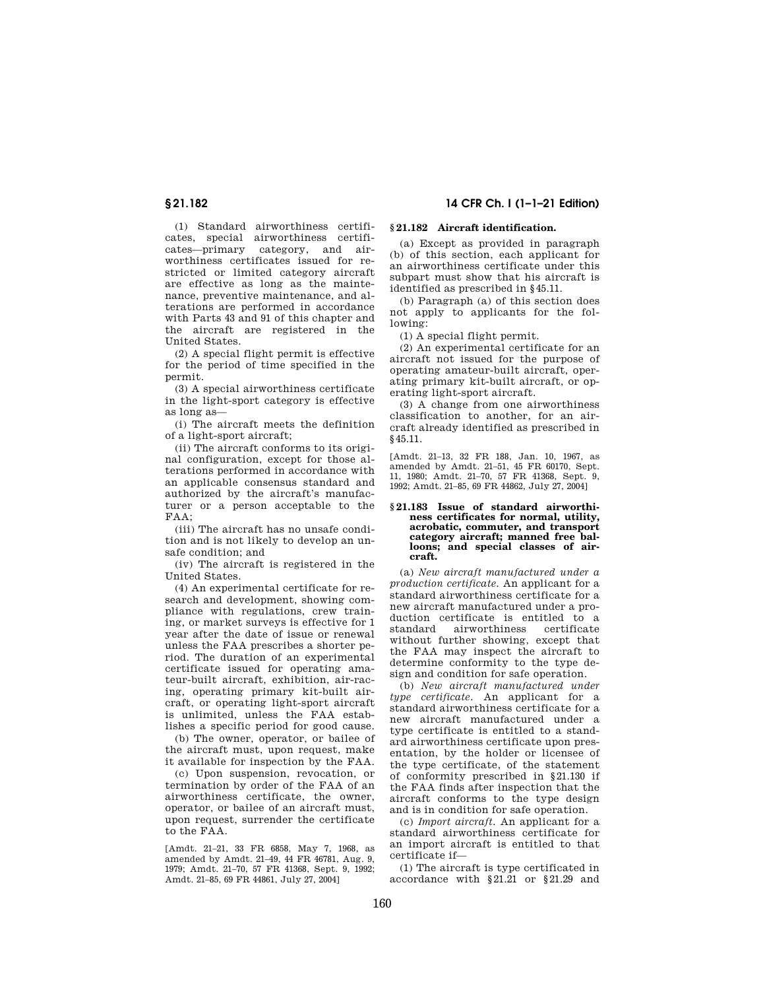**§ 21.182 14 CFR Ch. I (1–1–21 Edition)** 

(1) Standard airworthiness certificates, special airworthiness certificates—primary category, and airworthiness certificates issued for restricted or limited category aircraft are effective as long as the maintenance, preventive maintenance, and alterations are performed in accordance with Parts 43 and 91 of this chapter and the aircraft are registered in the United States.

(2) A special flight permit is effective for the period of time specified in the permit.

(3) A special airworthiness certificate in the light-sport category is effective as long as—

(i) The aircraft meets the definition of a light-sport aircraft;

(ii) The aircraft conforms to its original configuration, except for those alterations performed in accordance with an applicable consensus standard and authorized by the aircraft's manufacturer or a person acceptable to the FAA;

(iii) The aircraft has no unsafe condition and is not likely to develop an unsafe condition; and

(iv) The aircraft is registered in the United States.

(4) An experimental certificate for research and development, showing compliance with regulations, crew training, or market surveys is effective for 1 year after the date of issue or renewal unless the FAA prescribes a shorter period. The duration of an experimental certificate issued for operating amateur-built aircraft, exhibition, air-racing, operating primary kit-built aircraft, or operating light-sport aircraft is unlimited, unless the FAA establishes a specific period for good cause.

(b) The owner, operator, or bailee of the aircraft must, upon request, make it available for inspection by the FAA.

(c) Upon suspension, revocation, or termination by order of the FAA of an airworthiness certificate, the owner, operator, or bailee of an aircraft must, upon request, surrender the certificate to the FAA.

[Amdt. 21–21, 33 FR 6858, May 7, 1968, as amended by Amdt. 21–49, 44 FR 46781, Aug. 9, 1979; Amdt. 21–70, 57 FR 41368, Sept. 9, 1992; Amdt. 21–85, 69 FR 44861, July 27, 2004]

# **§ 21.182 Aircraft identification.**

(a) Except as provided in paragraph (b) of this section, each applicant for an airworthiness certificate under this subpart must show that his aircraft is identified as prescribed in §45.11.

(b) Paragraph (a) of this section does not apply to applicants for the following:

(1) A special flight permit.

(2) An experimental certificate for an aircraft not issued for the purpose of operating amateur-built aircraft, operating primary kit-built aircraft, or operating light-sport aircraft.

(3) A change from one airworthiness classification to another, for an aircraft already identified as prescribed in §45.11.

[Amdt. 21–13, 32 FR 188, Jan. 10, 1967, as amended by Amdt. 21–51, 45 FR 60170, Sept. 11, 1980; Amdt. 21–70, 57 FR 41368, Sept. 9, 1992; Amdt. 21–85, 69 FR 44862, July 27, 2004]

## **§ 21.183 Issue of standard airworthiness certificates for normal, utility, acrobatic, commuter, and transport category aircraft; manned free balloons; and special classes of aircraft.**

(a) *New aircraft manufactured under a production certificate.* An applicant for a standard airworthiness certificate for a new aircraft manufactured under a production certificate is entitled to a standard airworthiness certificate without further showing, except that the FAA may inspect the aircraft to determine conformity to the type design and condition for safe operation.

(b) *New aircraft manufactured under type certificate.* An applicant for a standard airworthiness certificate for a new aircraft manufactured under a type certificate is entitled to a standard airworthiness certificate upon presentation, by the holder or licensee of the type certificate, of the statement of conformity prescribed in §21.130 if the FAA finds after inspection that the aircraft conforms to the type design and is in condition for safe operation.

(c) *Import aircraft.* An applicant for a standard airworthiness certificate for an import aircraft is entitled to that certificate if—

(1) The aircraft is type certificated in accordance with §21.21 or §21.29 and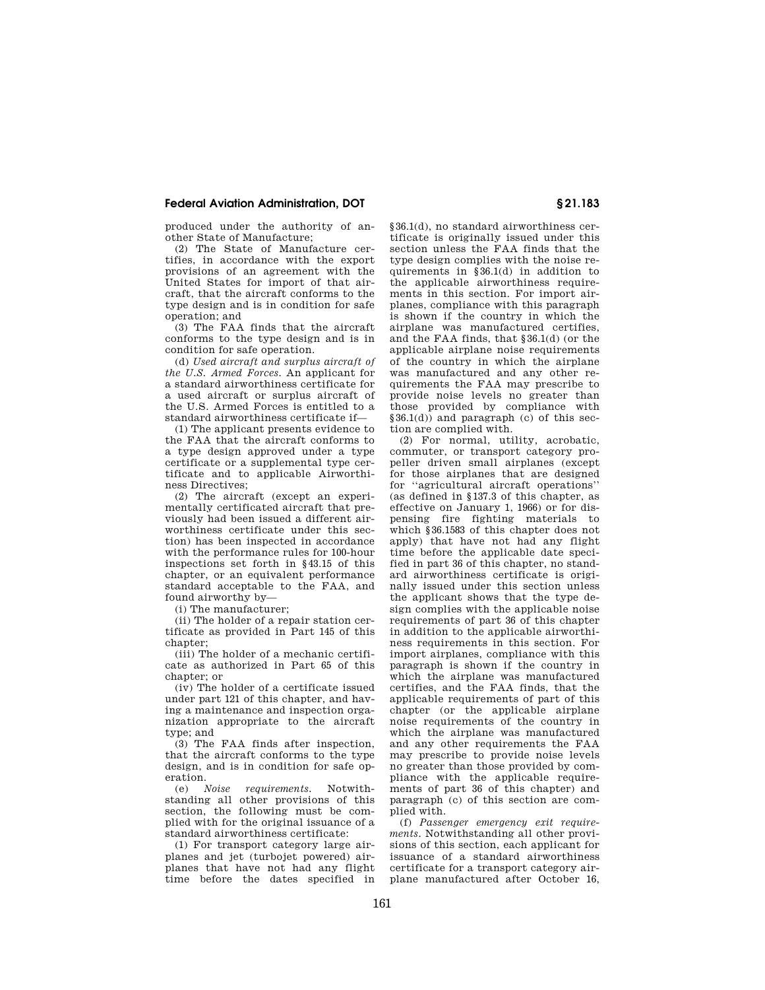produced under the authority of another State of Manufacture;

(2) The State of Manufacture certifies, in accordance with the export provisions of an agreement with the United States for import of that aircraft, that the aircraft conforms to the type design and is in condition for safe operation; and

(3) The FAA finds that the aircraft conforms to the type design and is in condition for safe operation.

(d) *Used aircraft and surplus aircraft of the U.S. Armed Forces.* An applicant for a standard airworthiness certificate for a used aircraft or surplus aircraft of the U.S. Armed Forces is entitled to a standard airworthiness certificate if—

(1) The applicant presents evidence to the FAA that the aircraft conforms to a type design approved under a type certificate or a supplemental type certificate and to applicable Airworthiness Directives;

(2) The aircraft (except an experimentally certificated aircraft that previously had been issued a different airworthiness certificate under this section) has been inspected in accordance with the performance rules for 100-hour inspections set forth in §43.15 of this chapter, or an equivalent performance standard acceptable to the FAA, and found airworthy by—

(i) The manufacturer;

(ii) The holder of a repair station certificate as provided in Part 145 of this chapter:

(iii) The holder of a mechanic certificate as authorized in Part 65 of this chapter; or

(iv) The holder of a certificate issued under part 121 of this chapter, and having a maintenance and inspection organization appropriate to the aircraft type; and

(3) The FAA finds after inspection, that the aircraft conforms to the type design, and is in condition for safe operation.<br> $(e)$  Noise

 $requirements.$  Notwithstanding all other provisions of this section, the following must be complied with for the original issuance of a standard airworthiness certificate:

(1) For transport category large airplanes and jet (turbojet powered) airplanes that have not had any flight time before the dates specified in

§36.1(d), no standard airworthiness certificate is originally issued under this section unless the FAA finds that the type design complies with the noise requirements in §36.1(d) in addition to the applicable airworthiness requirements in this section. For import airplanes, compliance with this paragraph is shown if the country in which the airplane was manufactured certifies, and the FAA finds, that §36.1(d) (or the applicable airplane noise requirements of the country in which the airplane was manufactured and any other requirements the FAA may prescribe to provide noise levels no greater than those provided by compliance with §36.1(d)) and paragraph (c) of this section are complied with.

(2) For normal, utility, acrobatic, commuter, or transport category propeller driven small airplanes (except for those airplanes that are designed for ''agricultural aircraft operations'' (as defined in §137.3 of this chapter, as effective on January 1, 1966) or for dispensing fire fighting materials to which §36.1583 of this chapter does not apply) that have not had any flight time before the applicable date specified in part 36 of this chapter, no standard airworthiness certificate is originally issued under this section unless the applicant shows that the type design complies with the applicable noise requirements of part 36 of this chapter in addition to the applicable airworthiness requirements in this section. For import airplanes, compliance with this paragraph is shown if the country in which the airplane was manufactured certifies, and the FAA finds, that the applicable requirements of part of this chapter (or the applicable airplane noise requirements of the country in which the airplane was manufactured and any other requirements the FAA may prescribe to provide noise levels no greater than those provided by compliance with the applicable requirements of part 36 of this chapter) and paragraph (c) of this section are complied with.

(f) *Passenger emergency exit requirements.* Notwithstanding all other provisions of this section, each applicant for issuance of a standard airworthiness certificate for a transport category airplane manufactured after October 16,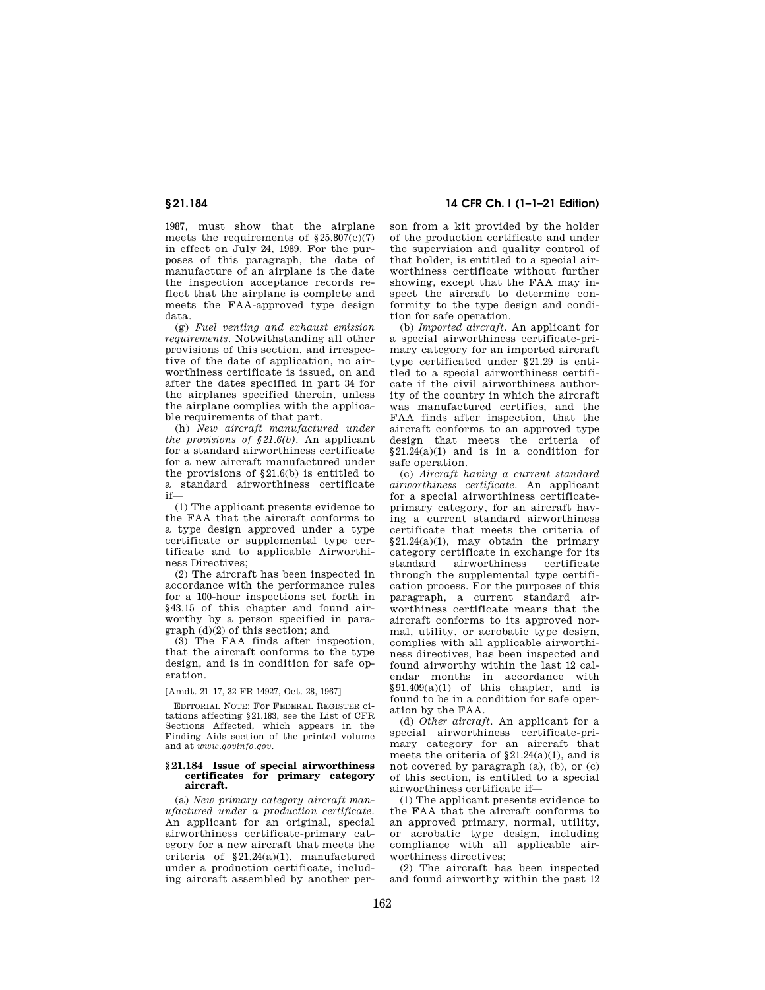1987, must show that the airplane meets the requirements of  $\S 25.807(c)(7)$ in effect on July 24, 1989. For the purposes of this paragraph, the date of manufacture of an airplane is the date the inspection acceptance records reflect that the airplane is complete and meets the FAA-approved type design data.

(g) *Fuel venting and exhaust emission requirements.* Notwithstanding all other provisions of this section, and irrespective of the date of application, no airworthiness certificate is issued, on and after the dates specified in part 34 for the airplanes specified therein, unless the airplane complies with the applicable requirements of that part.

(h) *New aircraft manufactured under the provisions of §21.6(b).* An applicant for a standard airworthiness certificate for a new aircraft manufactured under the provisions of §21.6(b) is entitled to a standard airworthiness certificate if—

(1) The applicant presents evidence to the FAA that the aircraft conforms to a type design approved under a type certificate or supplemental type certificate and to applicable Airworthiness Directives;

(2) The aircraft has been inspected in accordance with the performance rules for a 100-hour inspections set forth in §43.15 of this chapter and found airworthy by a person specified in paragraph (d)(2) of this section; and

(3) The FAA finds after inspection, that the aircraft conforms to the type design, and is in condition for safe operation.

[Amdt. 21–17, 32 FR 14927, Oct. 28, 1967]

EDITORIAL NOTE: For FEDERAL REGISTER citations affecting §21.183, see the List of CFR Sections Affected, which appears in the Finding Aids section of the printed volume and at *www.govinfo.gov.* 

## **§ 21.184 Issue of special airworthiness certificates for primary category aircraft.**

(a) *New primary category aircraft manufactured under a production certificate.*  An applicant for an original, special airworthiness certificate-primary category for a new aircraft that meets the criteria of §21.24(a)(1), manufactured under a production certificate, including aircraft assembled by another per-

# **§ 21.184 14 CFR Ch. I (1–1–21 Edition)**

son from a kit provided by the holder of the production certificate and under the supervision and quality control of that holder, is entitled to a special airworthiness certificate without further showing, except that the FAA may inspect the aircraft to determine conformity to the type design and condition for safe operation.

(b) *Imported aircraft.* An applicant for a special airworthiness certificate-primary category for an imported aircraft type certificated under §21.29 is entitled to a special airworthiness certificate if the civil airworthiness authority of the country in which the aircraft was manufactured certifies, and the FAA finds after inspection, that the aircraft conforms to an approved type design that meets the criteria of  $§21.24(a)(1)$  and is in a condition for safe operation.

(c) *Aircraft having a current standard airworthiness certificate.* An applicant for a special airworthiness certificateprimary category, for an aircraft having a current standard airworthiness certificate that meets the criteria of  $§21.24(a)(1)$ , may obtain the primary category certificate in exchange for its standard airworthiness certificate through the supplemental type certification process. For the purposes of this paragraph, a current standard airworthiness certificate means that the aircraft conforms to its approved normal, utility, or acrobatic type design, complies with all applicable airworthiness directives, has been inspected and found airworthy within the last 12 calendar months in accordance with  $§91.409(a)(1)$  of this chapter, and is found to be in a condition for safe operation by the FAA.

(d) *Other aircraft.* An applicant for a special airworthiness certificate-primary category for an aircraft that meets the criteria of  $\S 21.24(a)(1)$ , and is not covered by paragraph (a), (b), or (c) of this section, is entitled to a special airworthiness certificate if—

(1) The applicant presents evidence to the FAA that the aircraft conforms to an approved primary, normal, utility, or acrobatic type design, including compliance with all applicable airworthiness directives;

(2) The aircraft has been inspected and found airworthy within the past 12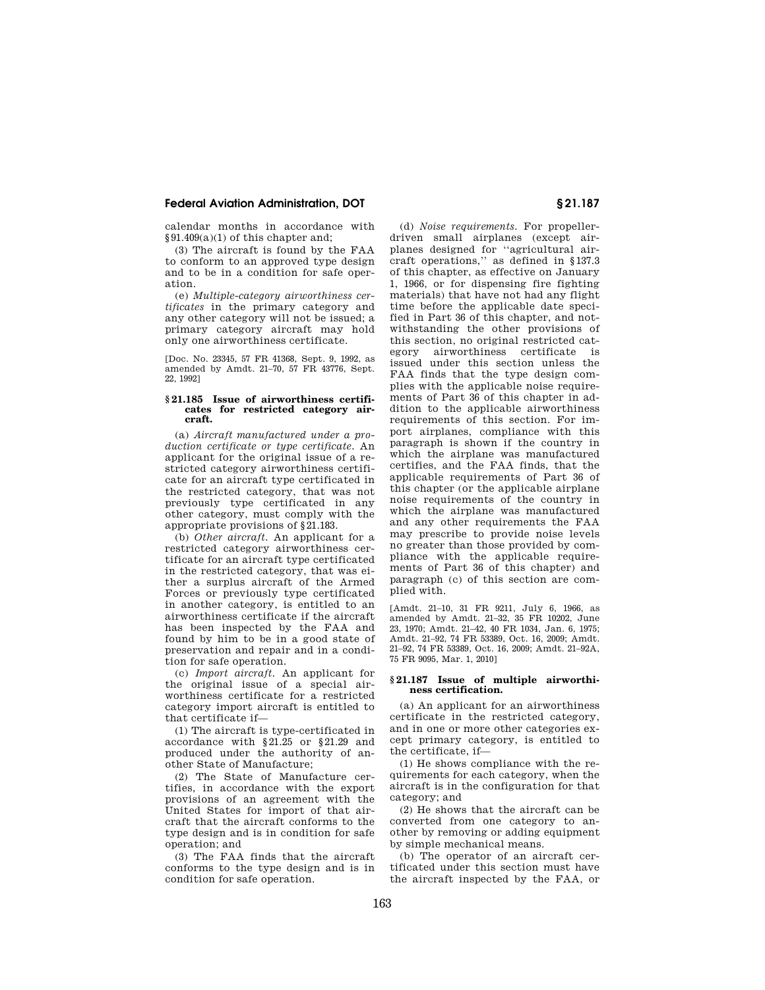calendar months in accordance with §91.409(a)(1) of this chapter and;

(3) The aircraft is found by the FAA to conform to an approved type design and to be in a condition for safe operation.

(e) *Multiple-category airworthiness certificates* in the primary category and any other category will not be issued; a primary category aircraft may hold only one airworthiness certificate.

[Doc. No. 23345, 57 FR 41368, Sept. 9, 1992, as amended by Amdt. 21–70, 57 FR 43776, Sept. 22, 1992]

### **§ 21.185 Issue of airworthiness certificates for restricted category aircraft.**

(a) *Aircraft manufactured under a production certificate or type certificate.* An applicant for the original issue of a restricted category airworthiness certificate for an aircraft type certificated in the restricted category, that was not previously type certificated in any other category, must comply with the appropriate provisions of §21.183.

(b) *Other aircraft.* An applicant for a restricted category airworthiness certificate for an aircraft type certificated in the restricted category, that was either a surplus aircraft of the Armed Forces or previously type certificated in another category, is entitled to an airworthiness certificate if the aircraft has been inspected by the FAA and found by him to be in a good state of preservation and repair and in a condition for safe operation.

(c) *Import aircraft.* An applicant for the original issue of a special airworthiness certificate for a restricted category import aircraft is entitled to that certificate if—

(1) The aircraft is type-certificated in accordance with §21.25 or §21.29 and produced under the authority of another State of Manufacture;

(2) The State of Manufacture certifies, in accordance with the export provisions of an agreement with the United States for import of that aircraft that the aircraft conforms to the type design and is in condition for safe operation; and

(3) The FAA finds that the aircraft conforms to the type design and is in condition for safe operation.

(d) *Noise requirements.* For propellerdriven small airplanes (except airplanes designed for ''agricultural aircraft operations,'' as defined in §137.3 of this chapter, as effective on January 1, 1966, or for dispensing fire fighting materials) that have not had any flight time before the applicable date specified in Part 36 of this chapter, and notwithstanding the other provisions of this section, no original restricted category airworthiness certificate is issued under this section unless the FAA finds that the type design complies with the applicable noise requirements of Part 36 of this chapter in addition to the applicable airworthiness requirements of this section. For import airplanes, compliance with this paragraph is shown if the country in which the airplane was manufactured certifies, and the FAA finds, that the applicable requirements of Part 36 of this chapter (or the applicable airplane noise requirements of the country in which the airplane was manufactured and any other requirements the FAA

may prescribe to provide noise levels no greater than those provided by compliance with the applicable requirements of Part 36 of this chapter) and paragraph (c) of this section are complied with.

[Amdt. 21–10, 31 FR 9211, July 6, 1966, as amended by Amdt. 21–32, 35 FR 10202, June 23, 1970; Amdt. 21–42, 40 FR 1034, Jan. 6, 1975; Amdt. 21–92, 74 FR 53389, Oct. 16, 2009; Amdt. 21–92, 74 FR 53389, Oct. 16, 2009; Amdt. 21–92A, 75 FR 9095, Mar. 1, 2010]

## **§ 21.187 Issue of multiple airworthiness certification.**

(a) An applicant for an airworthiness certificate in the restricted category, and in one or more other categories except primary category, is entitled to the certificate, if—

(1) He shows compliance with the requirements for each category, when the aircraft is in the configuration for that category; and

(2) He shows that the aircraft can be converted from one category to another by removing or adding equipment by simple mechanical means.

(b) The operator of an aircraft certificated under this section must have the aircraft inspected by the FAA, or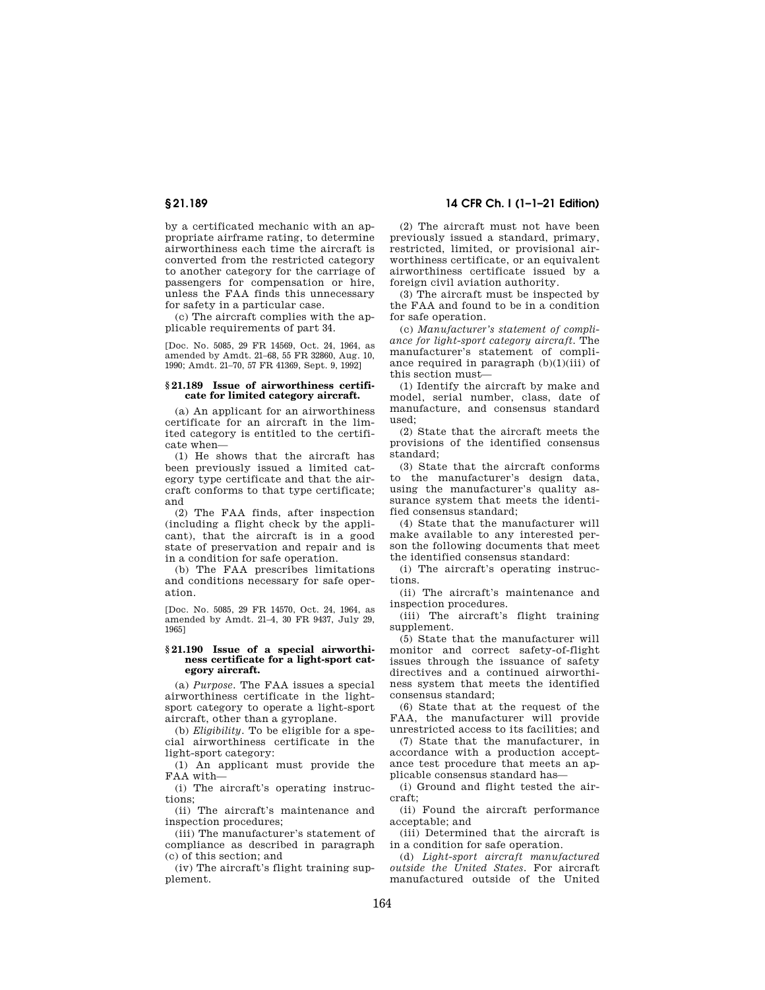by a certificated mechanic with an appropriate airframe rating, to determine airworthiness each time the aircraft is converted from the restricted category to another category for the carriage of passengers for compensation or hire, unless the FAA finds this unnecessary for safety in a particular case.

(c) The aircraft complies with the applicable requirements of part 34.

[Doc. No. 5085, 29 FR 14569, Oct. 24, 1964, as amended by Amdt. 21–68, 55 FR 32860, Aug. 10, 1990; Amdt. 21–70, 57 FR 41369, Sept. 9, 1992]

## **§ 21.189 Issue of airworthiness certificate for limited category aircraft.**

(a) An applicant for an airworthiness certificate for an aircraft in the limited category is entitled to the certificate when—

(1) He shows that the aircraft has been previously issued a limited category type certificate and that the aircraft conforms to that type certificate; and

(2) The FAA finds, after inspection (including a flight check by the applicant), that the aircraft is in a good state of preservation and repair and is in a condition for safe operation.

(b) The FAA prescribes limitations and conditions necessary for safe operation.

[Doc. No. 5085, 29 FR 14570, Oct. 24, 1964, as amended by Amdt. 21–4, 30 FR 9437, July 29, 1965]

## **§ 21.190 Issue of a special airworthiness certificate for a light-sport category aircraft.**

(a) *Purpose.* The FAA issues a special airworthiness certificate in the lightsport category to operate a light-sport aircraft, other than a gyroplane.

(b) *Eligibility.* To be eligible for a special airworthiness certificate in the light-sport category:

(1) An applicant must provide the FAA with—

(i) The aircraft's operating instructions;

(ii) The aircraft's maintenance and inspection procedures;

(iii) The manufacturer's statement of compliance as described in paragraph (c) of this section; and

(iv) The aircraft's flight training supplement.

# **§ 21.189 14 CFR Ch. I (1–1–21 Edition)**

(2) The aircraft must not have been previously issued a standard, primary, restricted, limited, or provisional airworthiness certificate, or an equivalent airworthiness certificate issued by a foreign civil aviation authority.

(3) The aircraft must be inspected by the FAA and found to be in a condition for safe operation.

(c) *Manufacturer's statement of compliance for light-sport category aircraft.* The manufacturer's statement of compliance required in paragraph  $(b)(1)(iii)$  of this section must—

(1) Identify the aircraft by make and model, serial number, class, date of manufacture, and consensus standard used;

(2) State that the aircraft meets the provisions of the identified consensus standard;

(3) State that the aircraft conforms to the manufacturer's design data, using the manufacturer's quality assurance system that meets the identified consensus standard;

(4) State that the manufacturer will make available to any interested person the following documents that meet the identified consensus standard:

(i) The aircraft's operating instructions.

(ii) The aircraft's maintenance and inspection procedures.

(iii) The aircraft's flight training supplement.

(5) State that the manufacturer will monitor and correct safety-of-flight issues through the issuance of safety directives and a continued airworthiness system that meets the identified consensus standard;

(6) State that at the request of the FAA, the manufacturer will provide unrestricted access to its facilities; and

(7) State that the manufacturer, in accordance with a production acceptance test procedure that meets an applicable consensus standard has—

(i) Ground and flight tested the aircraft;

(ii) Found the aircraft performance acceptable; and

(iii) Determined that the aircraft is in a condition for safe operation.

(d) *Light-sport aircraft manufactured outside the United States.* For aircraft manufactured outside of the United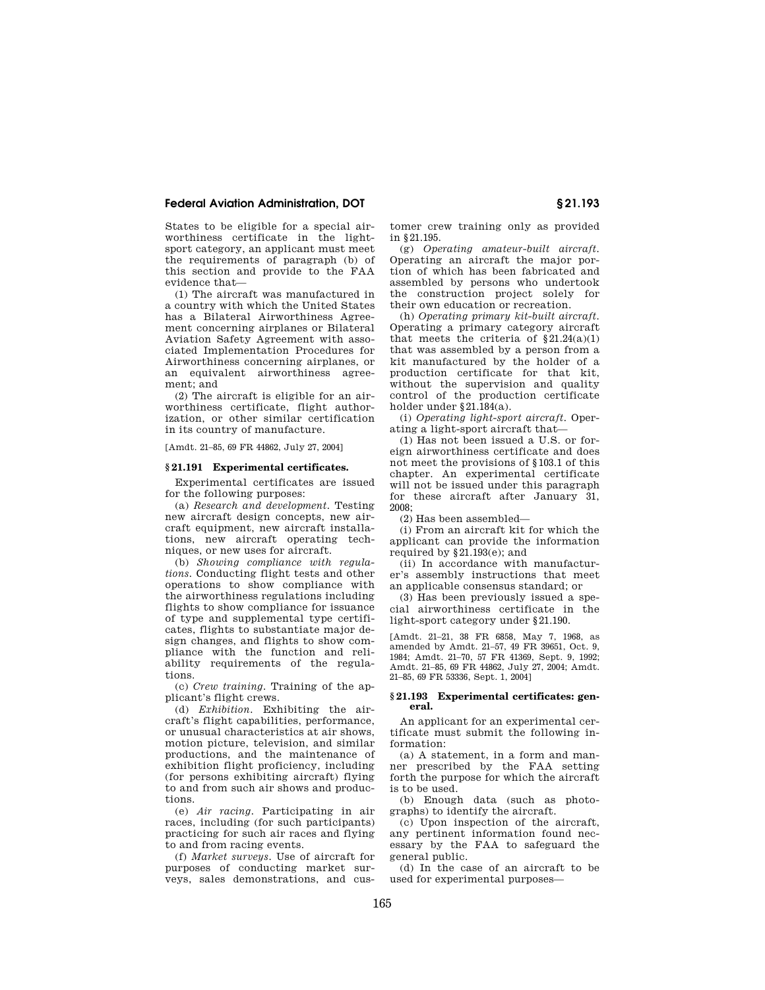States to be eligible for a special airworthiness certificate in the lightsport category, an applicant must meet the requirements of paragraph (b) of this section and provide to the FAA evidence that—

(1) The aircraft was manufactured in a country with which the United States has a Bilateral Airworthiness Agreement concerning airplanes or Bilateral Aviation Safety Agreement with associated Implementation Procedures for Airworthiness concerning airplanes, or an equivalent airworthiness agreement; and

(2) The aircraft is eligible for an airworthiness certificate, flight authorization, or other similar certification in its country of manufacture.

[Amdt. 21–85, 69 FR 44862, July 27, 2004]

### **§ 21.191 Experimental certificates.**

Experimental certificates are issued for the following purposes:

(a) *Research and development.* Testing new aircraft design concepts, new aircraft equipment, new aircraft installations, new aircraft operating techniques, or new uses for aircraft.

(b) *Showing compliance with regulations.* Conducting flight tests and other operations to show compliance with the airworthiness regulations including flights to show compliance for issuance of type and supplemental type certificates, flights to substantiate major design changes, and flights to show compliance with the function and reliability requirements of the regulations.

(c) *Crew training.* Training of the applicant's flight crews.

(d) *Exhibition.* Exhibiting the aircraft's flight capabilities, performance, or unusual characteristics at air shows, motion picture, television, and similar productions, and the maintenance of exhibition flight proficiency, including (for persons exhibiting aircraft) flying to and from such air shows and productions.

(e) *Air racing.* Participating in air races, including (for such participants) practicing for such air races and flying to and from racing events.

(f) *Market surveys.* Use of aircraft for purposes of conducting market surveys, sales demonstrations, and customer crew training only as provided in §21.195.

(g) *Operating amateur-built aircraft.*  Operating an aircraft the major portion of which has been fabricated and assembled by persons who undertook the construction project solely for their own education or recreation.

(h) *Operating primary kit-built aircraft.*  Operating a primary category aircraft that meets the criteria of  $\S 21.24(a)(1)$ that was assembled by a person from a kit manufactured by the holder of a production certificate for that kit, .<br>without the supervision and quality control of the production certificate holder under  $§21.184(a)$ .

(i) *Operating light-sport aircraft.* Operating a light-sport aircraft that—

(1) Has not been issued a U.S. or foreign airworthiness certificate and does not meet the provisions of §103.1 of this chapter. An experimental certificate will not be issued under this paragraph for these aircraft after January 31, 2008;

(2) Has been assembled—

(i) From an aircraft kit for which the applicant can provide the information required by §21.193(e); and

(ii) In accordance with manufacturer's assembly instructions that meet an applicable consensus standard; or

(3) Has been previously issued a special airworthiness certificate in the light-sport category under §21.190.

[Amdt. 21–21, 38 FR 6858, May 7, 1968, as amended by Amdt. 21–57, 49 FR 39651, Oct. 9, 1984; Amdt. 21–70, 57 FR 41369, Sept. 9, 1992; Amdt. 21–85, 69 FR 44862, July 27, 2004; Amdt. 21–85, 69 FR 53336, Sept. 1, 2004]

### **§ 21.193 Experimental certificates: general.**

An applicant for an experimental certificate must submit the following information:

(a) A statement, in a form and manner prescribed by the FAA setting forth the purpose for which the aircraft is to be used.

(b) Enough data (such as photographs) to identify the aircraft.

(c) Upon inspection of the aircraft, any pertinent information found necessary by the FAA to safeguard the general public.

(d) In the case of an aircraft to be used for experimental purposes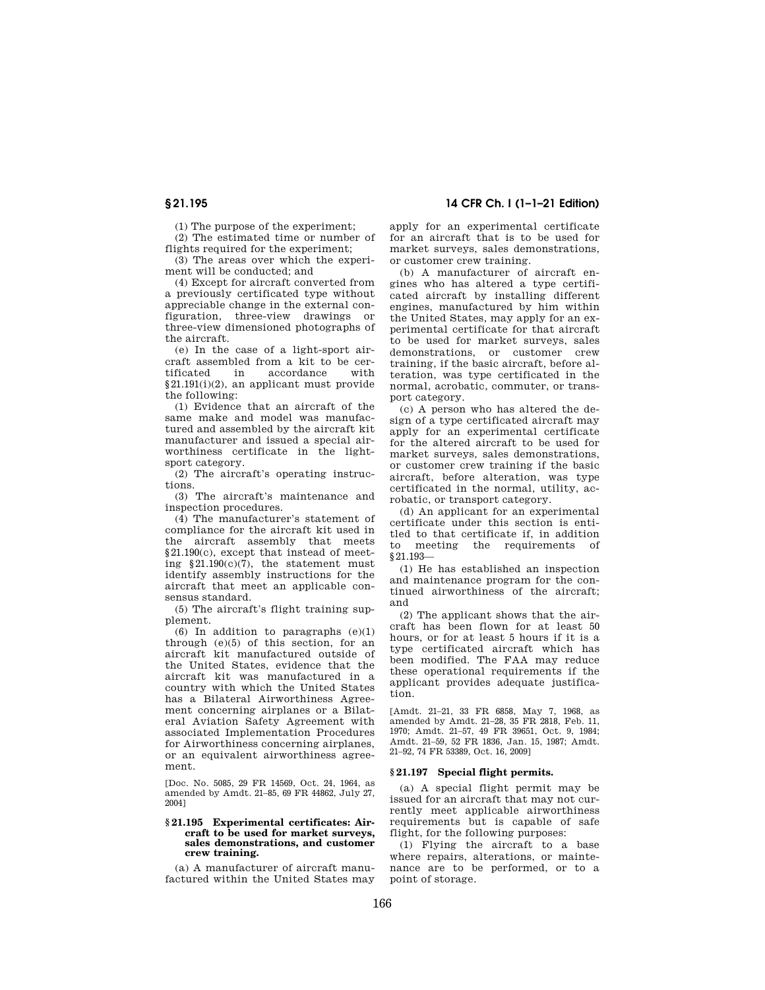(1) The purpose of the experiment;

(2) The estimated time or number of flights required for the experiment;

(3) The areas over which the experiment will be conducted; and

(4) Except for aircraft converted from a previously certificated type without appreciable change in the external configuration, three-view drawings or three-view dimensioned photographs of the aircraft.

(e) In the case of a light-sport aircraft assembled from a kit to be cerin accordance §21.191(i)(2), an applicant must provide the following:

(1) Evidence that an aircraft of the same make and model was manufactured and assembled by the aircraft kit manufacturer and issued a special airworthiness certificate in the lightsport category.

(2) The aircraft's operating instructions.

(3) The aircraft's maintenance and inspection procedures.

(4) The manufacturer's statement of compliance for the aircraft kit used in the aircraft assembly that meets §21.190(c), except that instead of meeting §21.190(c)(7), the statement must identify assembly instructions for the aircraft that meet an applicable consensus standard.

(5) The aircraft's flight training supplement.

(6) In addition to paragraphs (e)(1) through (e)(5) of this section, for an aircraft kit manufactured outside of the United States, evidence that the aircraft kit was manufactured in a country with which the United States has a Bilateral Airworthiness Agreement concerning airplanes or a Bilateral Aviation Safety Agreement with associated Implementation Procedures for Airworthiness concerning airplanes, or an equivalent airworthiness agreement.

[Doc. No. 5085, 29 FR 14569, Oct. 24, 1964, as amended by Amdt. 21–85, 69 FR 44862, July 27, 2004]

### **§ 21.195 Experimental certificates: Aircraft to be used for market surveys, sales demonstrations, and customer crew training.**

(a) A manufacturer of aircraft manufactured within the United States may

# **§ 21.195 14 CFR Ch. I (1–1–21 Edition)**

apply for an experimental certificate for an aircraft that is to be used for market surveys, sales demonstrations, or customer crew training.

(b) A manufacturer of aircraft engines who has altered a type certificated aircraft by installing different engines, manufactured by him within the United States, may apply for an experimental certificate for that aircraft to be used for market surveys, sales demonstrations, or customer crew training, if the basic aircraft, before alteration, was type certificated in the normal, acrobatic, commuter, or transport category.

(c) A person who has altered the design of a type certificated aircraft may apply for an experimental certificate for the altered aircraft to be used for market surveys, sales demonstrations, or customer crew training if the basic aircraft, before alteration, was type certificated in the normal, utility, acrobatic, or transport category.

(d) An applicant for an experimental certificate under this section is entitled to that certificate if, in addition to meeting the requirements of §21.193—

(1) He has established an inspection and maintenance program for the continued airworthiness of the aircraft; and

(2) The applicant shows that the aircraft has been flown for at least 50 hours, or for at least 5 hours if it is a type certificated aircraft which has been modified. The FAA may reduce these operational requirements if the applicant provides adequate justification.

[Amdt. 21–21, 33 FR 6858, May 7, 1968, as amended by Amdt. 21–28, 35 FR 2818, Feb. 11, 1970; Amdt. 21–57, 49 FR 39651, Oct. 9, 1984; Amdt. 21–59, 52 FR 1836, Jan. 15, 1987; Amdt. 21–92, 74 FR 53389, Oct. 16, 2009]

# **§ 21.197 Special flight permits.**

(a) A special flight permit may be issued for an aircraft that may not currently meet applicable airworthiness requirements but is capable of safe flight, for the following purposes:

(1) Flying the aircraft to a base where repairs, alterations, or maintenance are to be performed, or to a point of storage.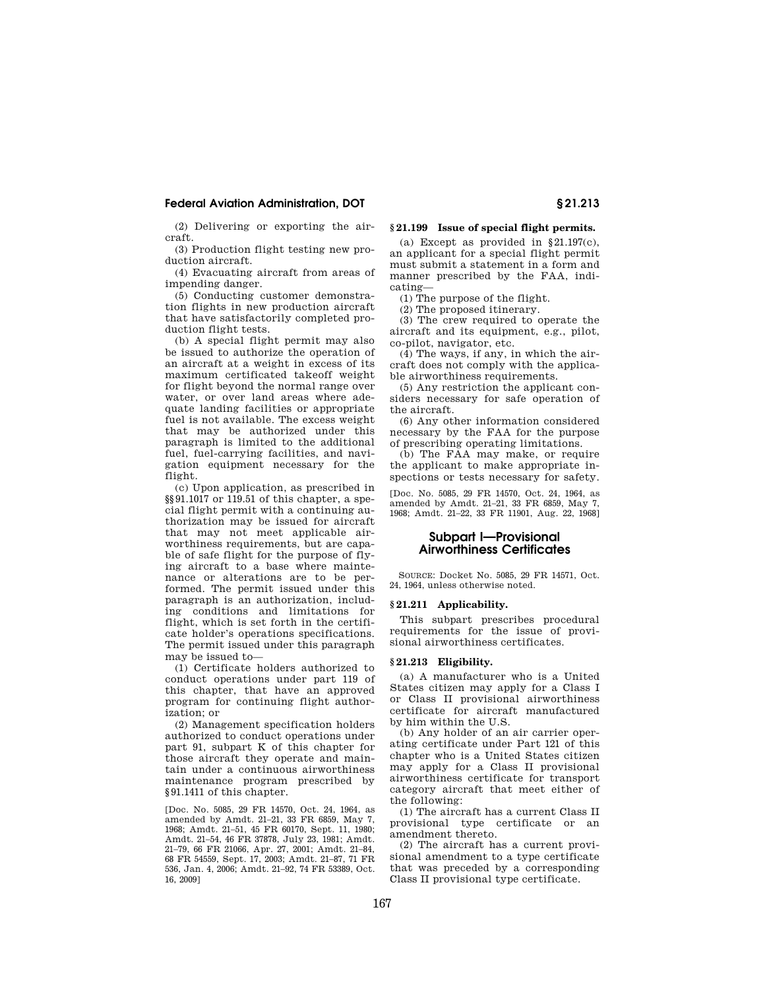(2) Delivering or exporting the aircraft.

(3) Production flight testing new production aircraft.

(4) Evacuating aircraft from areas of impending danger.

(5) Conducting customer demonstration flights in new production aircraft that have satisfactorily completed production flight tests.

(b) A special flight permit may also be issued to authorize the operation of an aircraft at a weight in excess of its maximum certificated takeoff weight for flight beyond the normal range over water, or over land areas where adequate landing facilities or appropriate fuel is not available. The excess weight that may be authorized under this paragraph is limited to the additional fuel, fuel-carrying facilities, and navigation equipment necessary for the flight.

(c) Upon application, as prescribed in §§91.1017 or 119.51 of this chapter, a special flight permit with a continuing authorization may be issued for aircraft that may not meet applicable airworthiness requirements, but are capable of safe flight for the purpose of flying aircraft to a base where maintenance or alterations are to be performed. The permit issued under this paragraph is an authorization, including conditions and limitations for flight, which is set forth in the certificate holder's operations specifications. The permit issued under this paragraph may be issued to—

(1) Certificate holders authorized to conduct operations under part 119 of this chapter, that have an approved program for continuing flight authorization; or

(2) Management specification holders authorized to conduct operations under part 91, subpart K of this chapter for those aircraft they operate and maintain under a continuous airworthiness maintenance program prescribed by §91.1411 of this chapter.

[Doc. No. 5085, 29 FR 14570, Oct. 24, 1964, as amended by Amdt. 21–21, 33 FR 6859, May 7, 1968; Amdt. 21–51, 45 FR 60170, Sept. 11, 1980; Amdt. 21–54, 46 FR 37878, July 23, 1981; Amdt. 21–79, 66 FR 21066, Apr. 27, 2001; Amdt. 21–84, 68 FR 54559, Sept. 17, 2003; Amdt. 21–87, 71 FR 536, Jan. 4, 2006; Amdt. 21–92, 74 FR 53389, Oct. 16, 2009]

# **§ 21.199 Issue of special flight permits.**

(a) Except as provided in  $§21.197(c)$ , an applicant for a special flight permit must submit a statement in a form and manner prescribed by the FAA, indicating—

(1) The purpose of the flight.

(2) The proposed itinerary.

(3) The crew required to operate the aircraft and its equipment, e.g., pilot, co-pilot, navigator, etc.

(4) The ways, if any, in which the aircraft does not comply with the applicable airworthiness requirements.

(5) Any restriction the applicant considers necessary for safe operation of the aircraft.

(6) Any other information considered necessary by the FAA for the purpose of prescribing operating limitations.

(b) The FAA may make, or require the applicant to make appropriate inspections or tests necessary for safety.

[Doc. No. 5085, 29 FR 14570, Oct. 24, 1964, as amended by Amdt. 21–21, 33 FR 6859, May 7, 1968; Amdt. 21–22, 33 FR 11901, Aug. 22, 1968]

# **Subpart I—Provisional Airworthiness Certificates**

SOURCE: Docket No. 5085, 29 FR 14571, Oct. 24, 1964, unless otherwise noted.

# **§ 21.211 Applicability.**

This subpart prescribes procedural requirements for the issue of provisional airworthiness certificates.

## **§ 21.213 Eligibility.**

(a) A manufacturer who is a United States citizen may apply for a Class I or Class II provisional airworthiness certificate for aircraft manufactured by him within the U.S.

(b) Any holder of an air carrier operating certificate under Part 121 of this chapter who is a United States citizen may apply for a Class II provisional airworthiness certificate for transport category aircraft that meet either of the following:

(1) The aircraft has a current Class II provisional type certificate or an amendment thereto.

(2) The aircraft has a current provisional amendment to a type certificate that was preceded by a corresponding Class II provisional type certificate.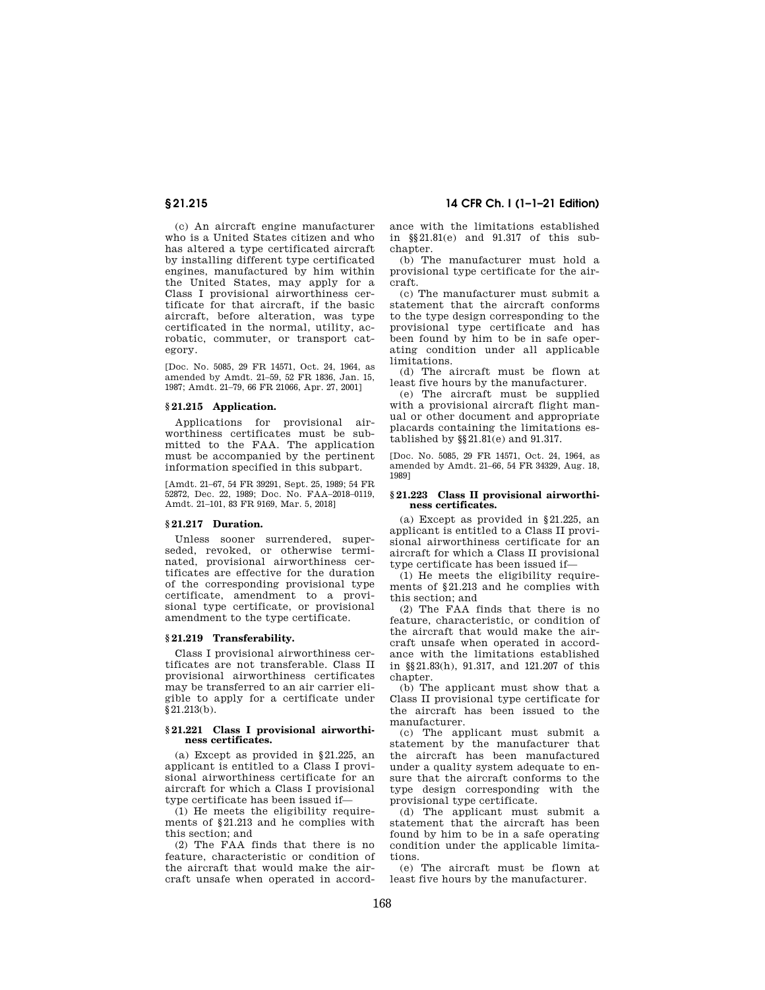(c) An aircraft engine manufacturer who is a United States citizen and who has altered a type certificated aircraft by installing different type certificated engines, manufactured by him within the United States, may apply for a Class I provisional airworthiness certificate for that aircraft, if the basic aircraft, before alteration, was type certificated in the normal, utility, acrobatic, commuter, or transport category.

[Doc. No. 5085, 29 FR 14571, Oct. 24, 1964, as amended by Amdt. 21–59, 52 FR 1836, Jan. 15, 1987; Amdt. 21–79, 66 FR 21066, Apr. 27, 2001]

## **§ 21.215 Application.**

Applications for provisional airworthiness certificates must be submitted to the FAA. The application must be accompanied by the pertinent information specified in this subpart.

[Amdt. 21–67, 54 FR 39291, Sept. 25, 1989; 54 FR 52872, Dec. 22, 1989; Doc. No. FAA–2018–0119, Amdt. 21–101, 83 FR 9169, Mar. 5, 2018]

# **§ 21.217 Duration.**

Unless sooner surrendered, superseded, revoked, or otherwise terminated, provisional airworthiness certificates are effective for the duration of the corresponding provisional type certificate, amendment to a provisional type certificate, or provisional amendment to the type certificate.

# **§ 21.219 Transferability.**

Class I provisional airworthiness certificates are not transferable. Class II provisional airworthiness certificates may be transferred to an air carrier eligible to apply for a certificate under §21.213(b).

## **§ 21.221 Class I provisional airworthiness certificates.**

(a) Except as provided in §21.225, an applicant is entitled to a Class I provisional airworthiness certificate for an aircraft for which a Class I provisional type certificate has been issued if—

(1) He meets the eligibility requirements of §21.213 and he complies with this section; and

(2) The FAA finds that there is no feature, characteristic or condition of the aircraft that would make the aircraft unsafe when operated in accord-

**§ 21.215 14 CFR Ch. I (1–1–21 Edition)** 

ance with the limitations established in §§21.81(e) and 91.317 of this subchapter.

(b) The manufacturer must hold a provisional type certificate for the aircraft.

(c) The manufacturer must submit a statement that the aircraft conforms to the type design corresponding to the provisional type certificate and has been found by him to be in safe operating condition under all applicable limitations.

(d) The aircraft must be flown at least five hours by the manufacturer.

(e) The aircraft must be supplied with a provisional aircraft flight manual or other document and appropriate placards containing the limitations established by §§21.81(e) and 91.317.

[Doc. No. 5085, 29 FR 14571, Oct. 24, 1964, as amended by Amdt. 21–66, 54 FR 34329, Aug. 18, 1989]

## **§ 21.223 Class II provisional airworthiness certificates.**

(a) Except as provided in §21.225, an applicant is entitled to a Class II provisional airworthiness certificate for an aircraft for which a Class II provisional type certificate has been issued if—

(1) He meets the eligibility requirements of §21.213 and he complies with this section; and

(2) The FAA finds that there is no feature, characteristic, or condition of the aircraft that would make the aircraft unsafe when operated in accordance with the limitations established in §§21.83(h), 91.317, and 121.207 of this chapter.

(b) The applicant must show that a Class II provisional type certificate for the aircraft has been issued to the manufacturer.

(c) The applicant must submit a statement by the manufacturer that the aircraft has been manufactured under a quality system adequate to ensure that the aircraft conforms to the type design corresponding with the provisional type certificate.

(d) The applicant must submit a statement that the aircraft has been found by him to be in a safe operating condition under the applicable limitations.

(e) The aircraft must be flown at least five hours by the manufacturer.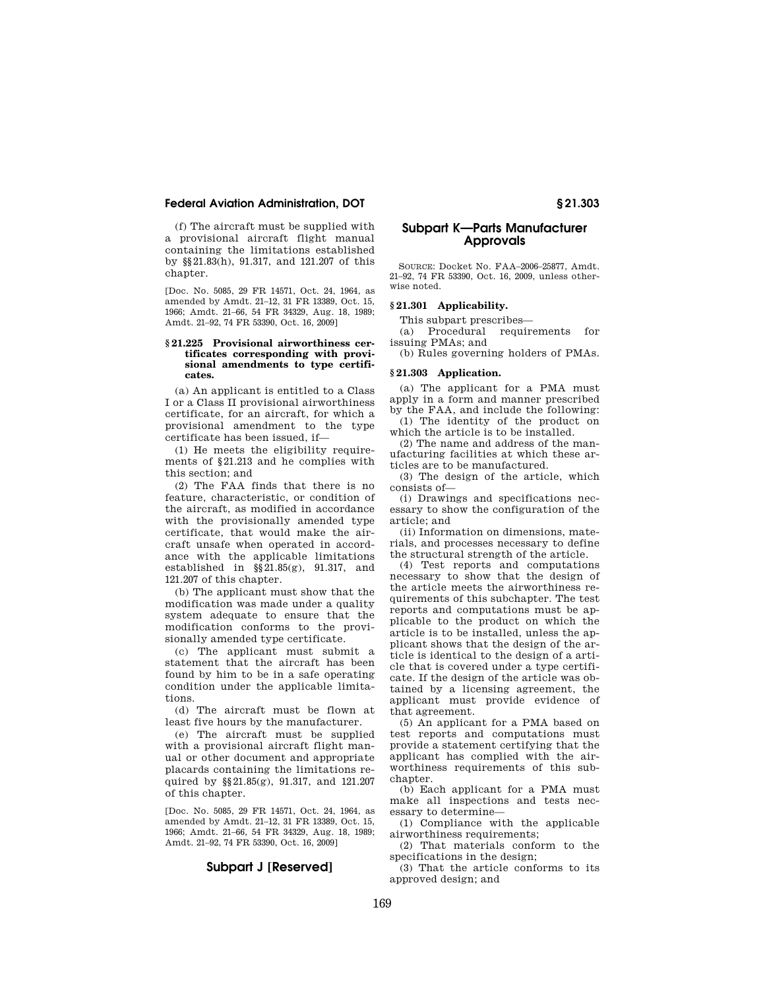(f) The aircraft must be supplied with a provisional aircraft flight manual containing the limitations established by §§21.83(h), 91.317, and 121.207 of this chapter.

[Doc. No. 5085, 29 FR 14571, Oct. 24, 1964, as amended by Amdt. 21–12, 31 FR 13389, Oct. 15, 1966; Amdt. 21–66, 54 FR 34329, Aug. 18, 1989; Amdt. 21–92, 74 FR 53390, Oct. 16, 2009]

## **§ 21.225 Provisional airworthiness certificates corresponding with provisional amendments to type certificates.**

(a) An applicant is entitled to a Class I or a Class II provisional airworthiness certificate, for an aircraft, for which a provisional amendment to the type certificate has been issued, if—

(1) He meets the eligibility requirements of §21.213 and he complies with this section; and

(2) The FAA finds that there is no feature, characteristic, or condition of the aircraft, as modified in accordance with the provisionally amended type certificate, that would make the aircraft unsafe when operated in accordance with the applicable limitations established in §§21.85(g), 91.317, and 121.207 of this chapter.

(b) The applicant must show that the modification was made under a quality system adequate to ensure that the modification conforms to the provisionally amended type certificate.

(c) The applicant must submit a statement that the aircraft has been found by him to be in a safe operating condition under the applicable limitations.

(d) The aircraft must be flown at least five hours by the manufacturer.

(e) The aircraft must be supplied with a provisional aircraft flight manual or other document and appropriate placards containing the limitations required by §§21.85(g), 91.317, and 121.207 of this chapter.

[Doc. No. 5085, 29 FR 14571, Oct. 24, 1964, as amended by Amdt. 21–12, 31 FR 13389, Oct. 15, 1966; Amdt. 21–66, 54 FR 34329, Aug. 18, 1989; Amdt. 21–92, 74 FR 53390, Oct. 16, 2009]

# **Subpart J [Reserved]**

# **Subpart K—Parts Manufacturer Approvals**

SOURCE: Docket No. FAA–2006–25877, Amdt. 21–92, 74 FR 53390, Oct. 16, 2009, unless otherwise noted.

## **§ 21.301 Applicability.**

This subpart prescribes—

(a) Procedural requirements for issuing PMAs; and

(b) Rules governing holders of PMAs.

# **§ 21.303 Application.**

(a) The applicant for a PMA must apply in a form and manner prescribed by the FAA, and include the following:

(1) The identity of the product on which the article is to be installed.

(2) The name and address of the manufacturing facilities at which these articles are to be manufactured.

(3) The design of the article, which consists of—

(i) Drawings and specifications necessary to show the configuration of the article; and

(ii) Information on dimensions, materials, and processes necessary to define the structural strength of the article.

(4) Test reports and computations necessary to show that the design of the article meets the airworthiness requirements of this subchapter. The test reports and computations must be applicable to the product on which the article is to be installed, unless the applicant shows that the design of the article is identical to the design of a article that is covered under a type certificate. If the design of the article was obtained by a licensing agreement, the applicant must provide evidence of that agreement.

(5) An applicant for a PMA based on test reports and computations must provide a statement certifying that the applicant has complied with the airworthiness requirements of this subchapter.

(b) Each applicant for a PMA must make all inspections and tests necessary to determine—

(1) Compliance with the applicable airworthiness requirements;

(2) That materials conform to the specifications in the design;

(3) That the article conforms to its approved design; and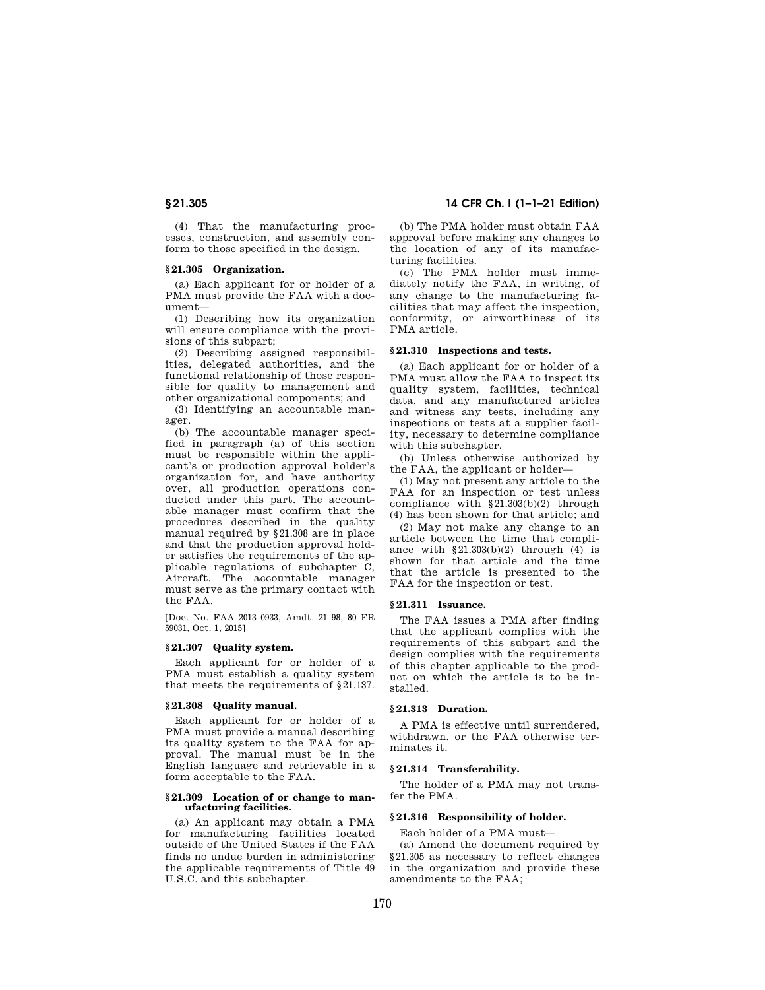(4) That the manufacturing processes, construction, and assembly conform to those specified in the design.

## **§ 21.305 Organization.**

(a) Each applicant for or holder of a PMA must provide the FAA with a document—

(1) Describing how its organization will ensure compliance with the provisions of this subpart;

(2) Describing assigned responsibilities, delegated authorities, and the functional relationship of those responsible for quality to management and other organizational components; and

(3) Identifying an accountable manager.

(b) The accountable manager specified in paragraph (a) of this section must be responsible within the applicant's or production approval holder's organization for, and have authority over, all production operations conducted under this part. The accountable manager must confirm that the procedures described in the quality manual required by §21.308 are in place and that the production approval holder satisfies the requirements of the applicable regulations of subchapter C, Aircraft. The accountable manager must serve as the primary contact with the FAA.

[Doc. No. FAA–2013–0933, Amdt. 21–98, 80 FR 59031, Oct. 1, 2015]

## **§ 21.307 Quality system.**

Each applicant for or holder of a PMA must establish a quality system that meets the requirements of §21.137.

## **§ 21.308 Quality manual.**

Each applicant for or holder of a PMA must provide a manual describing its quality system to the FAA for approval. The manual must be in the English language and retrievable in a form acceptable to the FAA.

## **§ 21.309 Location of or change to manufacturing facilities.**

(a) An applicant may obtain a PMA for manufacturing facilities located outside of the United States if the FAA finds no undue burden in administering the applicable requirements of Title 49 U.S.C. and this subchapter.

# **§ 21.305 14 CFR Ch. I (1–1–21 Edition)**

(b) The PMA holder must obtain FAA approval before making any changes to the location of any of its manufacturing facilities.

(c) The PMA holder must immediately notify the FAA, in writing, of any change to the manufacturing facilities that may affect the inspection, conformity, or airworthiness of its PMA article.

## **§ 21.310 Inspections and tests.**

(a) Each applicant for or holder of a PMA must allow the FAA to inspect its quality system, facilities, technical data, and any manufactured articles and witness any tests, including any inspections or tests at a supplier facility, necessary to determine compliance with this subchapter.

(b) Unless otherwise authorized by the FAA, the applicant or holder—

(1) May not present any article to the FAA for an inspection or test unless compliance with §21.303(b)(2) through (4) has been shown for that article; and

(2) May not make any change to an article between the time that compliance with  $$21.303(b)(2)$  through  $(4)$  is shown for that article and the time that the article is presented to the FAA for the inspection or test.

## **§ 21.311 Issuance.**

The FAA issues a PMA after finding that the applicant complies with the requirements of this subpart and the design complies with the requirements of this chapter applicable to the product on which the article is to be installed.

# **§ 21.313 Duration.**

A PMA is effective until surrendered, withdrawn, or the FAA otherwise terminates it.

# **§ 21.314 Transferability.**

The holder of a PMA may not transfer the PMA.

## **§ 21.316 Responsibility of holder.**

Each holder of a PMA must—

(a) Amend the document required by §21.305 as necessary to reflect changes in the organization and provide these amendments to the FAA;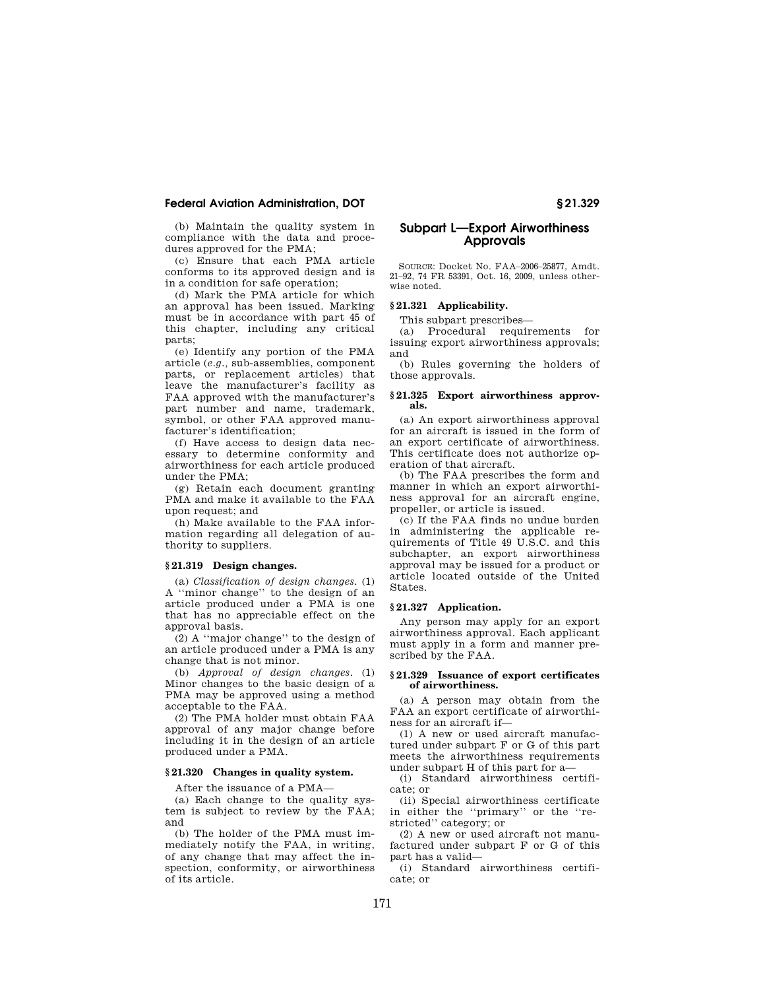(b) Maintain the quality system in compliance with the data and procedures approved for the PMA;

(c) Ensure that each PMA article conforms to its approved design and is in a condition for safe operation;

(d) Mark the PMA article for which an approval has been issued. Marking must be in accordance with part 45 of this chapter, including any critical parts;

(e) Identify any portion of the PMA article (*e.g.,* sub-assemblies, component parts, or replacement articles) that leave the manufacturer's facility as FAA approved with the manufacturer's part number and name, trademark, symbol, or other FAA approved manufacturer's identification;

(f) Have access to design data necessary to determine conformity and airworthiness for each article produced under the PMA;

(g) Retain each document granting PMA and make it available to the FAA upon request; and

(h) Make available to the FAA information regarding all delegation of authority to suppliers.

# **§ 21.319 Design changes.**

(a) *Classification of design changes.* (1) A ''minor change'' to the design of an article produced under a PMA is one that has no appreciable effect on the approval basis.

(2) A ''major change'' to the design of an article produced under a PMA is any change that is not minor.

(b) *Approval of design changes.* (1) Minor changes to the basic design of a PMA may be approved using a method acceptable to the FAA.

(2) The PMA holder must obtain FAA approval of any major change before including it in the design of an article produced under a PMA.

# **§ 21.320 Changes in quality system.**

After the issuance of a PMA—

(a) Each change to the quality system is subject to review by the FAA; and

(b) The holder of the PMA must immediately notify the FAA, in writing, of any change that may affect the inspection, conformity, or airworthiness of its article.

# **Subpart L—Export Airworthiness Approvals**

SOURCE: Docket No. FAA–2006–25877, Amdt. 21–92, 74 FR 53391, Oct. 16, 2009, unless otherwise noted.

### **§ 21.321 Applicability.**

This subpart prescribes—

(a) Procedural requirements for issuing export airworthiness approvals; and

(b) Rules governing the holders of those approvals.

#### **§ 21.325 Export airworthiness approvals.**

(a) An export airworthiness approval for an aircraft is issued in the form of an export certificate of airworthiness. This certificate does not authorize operation of that aircraft.

(b) The FAA prescribes the form and manner in which an export airworthiness approval for an aircraft engine, propeller, or article is issued.

(c) If the FAA finds no undue burden in administering the applicable requirements of Title 49 U.S.C. and this subchapter, an export airworthiness approval may be issued for a product or article located outside of the United States.

## **§ 21.327 Application.**

Any person may apply for an export airworthiness approval. Each applicant must apply in a form and manner prescribed by the FAA.

## **§ 21.329 Issuance of export certificates of airworthiness.**

(a) A person may obtain from the FAA an export certificate of airworthiness for an aircraft if—

(1) A new or used aircraft manufactured under subpart F or G of this part meets the airworthiness requirements under subpart H of this part for a—

(i) Standard airworthiness certificate; or

(ii) Special airworthiness certificate in either the ''primary'' or the ''restricted'' category; or

(2) A new or used aircraft not manufactured under subpart F or G of this part has a valid—

(i) Standard airworthiness certificate; or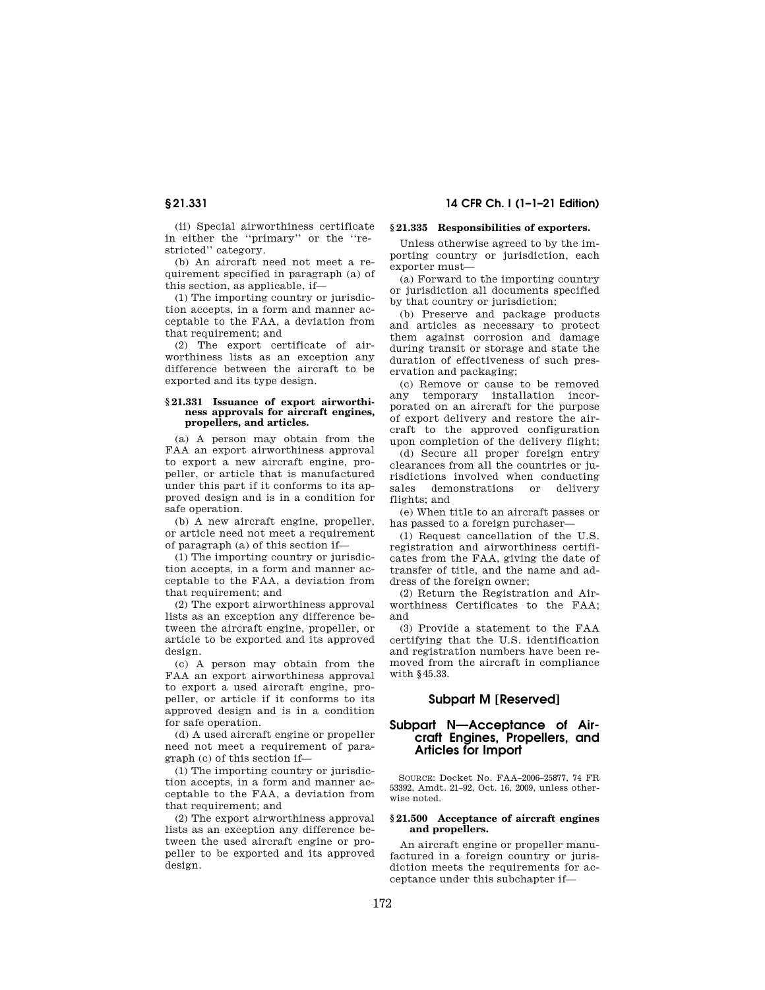(ii) Special airworthiness certificate in either the ''primary'' or the ''restricted'' category.

(b) An aircraft need not meet a requirement specified in paragraph (a) of this section, as applicable, if—

(1) The importing country or jurisdiction accepts, in a form and manner acceptable to the FAA, a deviation from that requirement; and

(2) The export certificate of airworthiness lists as an exception any difference between the aircraft to be exported and its type design.

## **§ 21.331 Issuance of export airworthiness approvals for aircraft engines, propellers, and articles.**

(a) A person may obtain from the FAA an export airworthiness approval to export a new aircraft engine, propeller, or article that is manufactured under this part if it conforms to its approved design and is in a condition for safe operation.

(b) A new aircraft engine, propeller, or article need not meet a requirement of paragraph (a) of this section if—

(1) The importing country or jurisdiction accepts, in a form and manner acceptable to the FAA, a deviation from that requirement; and

(2) The export airworthiness approval lists as an exception any difference between the aircraft engine, propeller, or article to be exported and its approved design.

(c) A person may obtain from the FAA an export airworthiness approval to export a used aircraft engine, propeller, or article if it conforms to its approved design and is in a condition for safe operation.

(d) A used aircraft engine or propeller need not meet a requirement of paragraph (c) of this section if—

(1) The importing country or jurisdiction accepts, in a form and manner acceptable to the FAA, a deviation from that requirement; and

(2) The export airworthiness approval lists as an exception any difference between the used aircraft engine or propeller to be exported and its approved design.

# **§ 21.331 14 CFR Ch. I (1–1–21 Edition)**

# **§ 21.335 Responsibilities of exporters.**

Unless otherwise agreed to by the importing country or jurisdiction, each exporter must—

(a) Forward to the importing country or jurisdiction all documents specified by that country or jurisdiction;

(b) Preserve and package products and articles as necessary to protect them against corrosion and damage during transit or storage and state the duration of effectiveness of such preservation and packaging;

(c) Remove or cause to be removed any temporary installation incorporated on an aircraft for the purpose of export delivery and restore the aircraft to the approved configuration upon completion of the delivery flight;

(d) Secure all proper foreign entry clearances from all the countries or jurisdictions involved when conducting sales demonstrations or delivery flights; and

(e) When title to an aircraft passes or has passed to a foreign purchaser—

(1) Request cancellation of the U.S. registration and airworthiness certificates from the FAA, giving the date of transfer of title, and the name and address of the foreign owner;

(2) Return the Registration and Airworthiness Certificates to the FAA; and

(3) Provide a statement to the FAA certifying that the U.S. identification and registration numbers have been removed from the aircraft in compliance with §45.33.

# **Subpart M [Reserved]**

# **Subpart N—Acceptance of Aircraft Engines, Propellers, and Articles for Import**

SOURCE: Docket No. FAA–2006–25877, 74 FR 53392, Amdt. 21–92, Oct. 16, 2009, unless otherwise noted.

## **§ 21.500 Acceptance of aircraft engines and propellers.**

An aircraft engine or propeller manufactured in a foreign country or jurisdiction meets the requirements for acceptance under this subchapter if—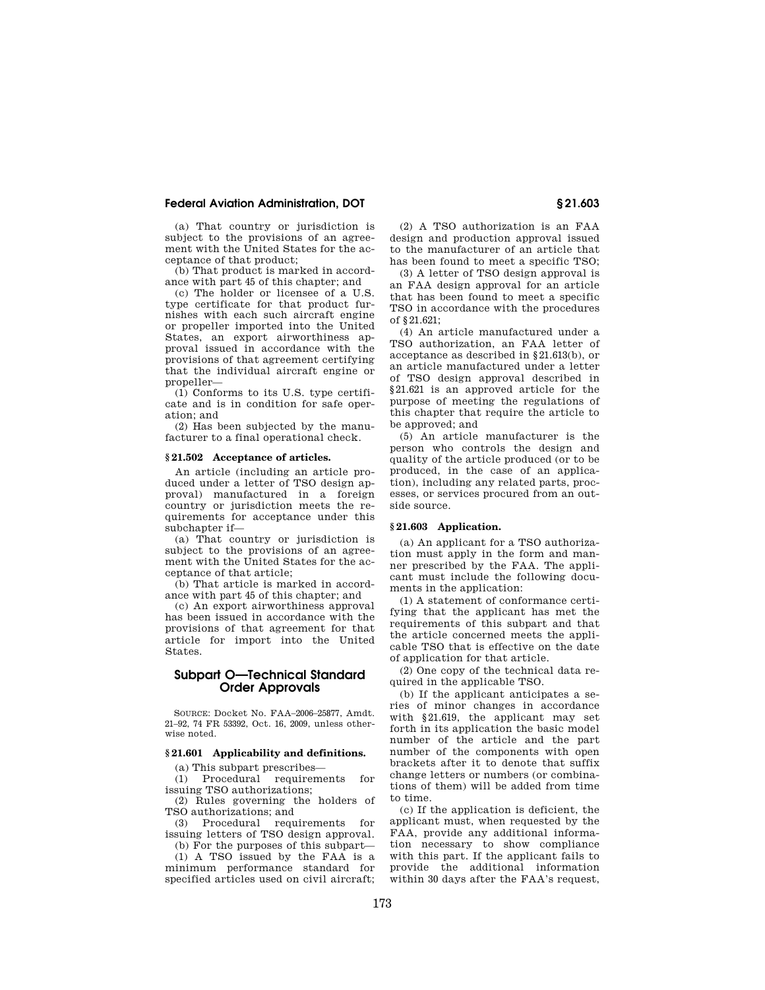(a) That country or jurisdiction is subject to the provisions of an agreement with the United States for the acceptance of that product;

(b) That product is marked in accordance with part 45 of this chapter; and

(c) The holder or licensee of a U.S. type certificate for that product furnishes with each such aircraft engine or propeller imported into the United States, an export airworthiness approval issued in accordance with the provisions of that agreement certifying that the individual aircraft engine or propeller—

(1) Conforms to its U.S. type certificate and is in condition for safe operation; and

(2) Has been subjected by the manufacturer to a final operational check.

#### **§ 21.502 Acceptance of articles.**

An article (including an article produced under a letter of TSO design approval) manufactured in a foreign country or jurisdiction meets the requirements for acceptance under this subchapter if—

(a) That country or jurisdiction is subject to the provisions of an agreement with the United States for the acceptance of that article;

(b) That article is marked in accordance with part 45 of this chapter; and

(c) An export airworthiness approval has been issued in accordance with the provisions of that agreement for that article for import into the United **States** 

# **Subpart O—Technical Standard Order Approvals**

SOURCE: Docket No. FAA–2006–25877, Amdt. 21–92, 74 FR 53392, Oct. 16, 2009, unless otherwise noted.

# **§ 21.601 Applicability and definitions.**

(a) This subpart prescribes—

(1) Procedural requirements for issuing TSO authorizations;

(2) Rules governing the holders of TSO authorizations; and

(3) Procedural requirements for issuing letters of TSO design approval.

(b) For the purposes of this subpart— (1) A TSO issued by the FAA is a minimum performance standard for specified articles used on civil aircraft;

(2) A TSO authorization is an FAA design and production approval issued to the manufacturer of an article that has been found to meet a specific TSO;

(3) A letter of TSO design approval is an FAA design approval for an article that has been found to meet a specific TSO in accordance with the procedures of §21.621;

(4) An article manufactured under a TSO authorization, an FAA letter of acceptance as described in §21.613(b), or an article manufactured under a letter of TSO design approval described in §21.621 is an approved article for the purpose of meeting the regulations of this chapter that require the article to be approved; and

(5) An article manufacturer is the person who controls the design and quality of the article produced (or to be produced, in the case of an application), including any related parts, processes, or services procured from an outside source.

## **§ 21.603 Application.**

(a) An applicant for a TSO authorization must apply in the form and manner prescribed by the FAA. The applicant must include the following documents in the application:

(1) A statement of conformance certifying that the applicant has met the requirements of this subpart and that the article concerned meets the applicable TSO that is effective on the date of application for that article.

(2) One copy of the technical data required in the applicable TSO.

(b) If the applicant anticipates a series of minor changes in accordance with §21.619, the applicant may set forth in its application the basic model number of the article and the part number of the components with open brackets after it to denote that suffix change letters or numbers (or combinations of them) will be added from time to time.

(c) If the application is deficient, the applicant must, when requested by the FAA, provide any additional information necessary to show compliance with this part. If the applicant fails to provide the additional information within 30 days after the FAA's request,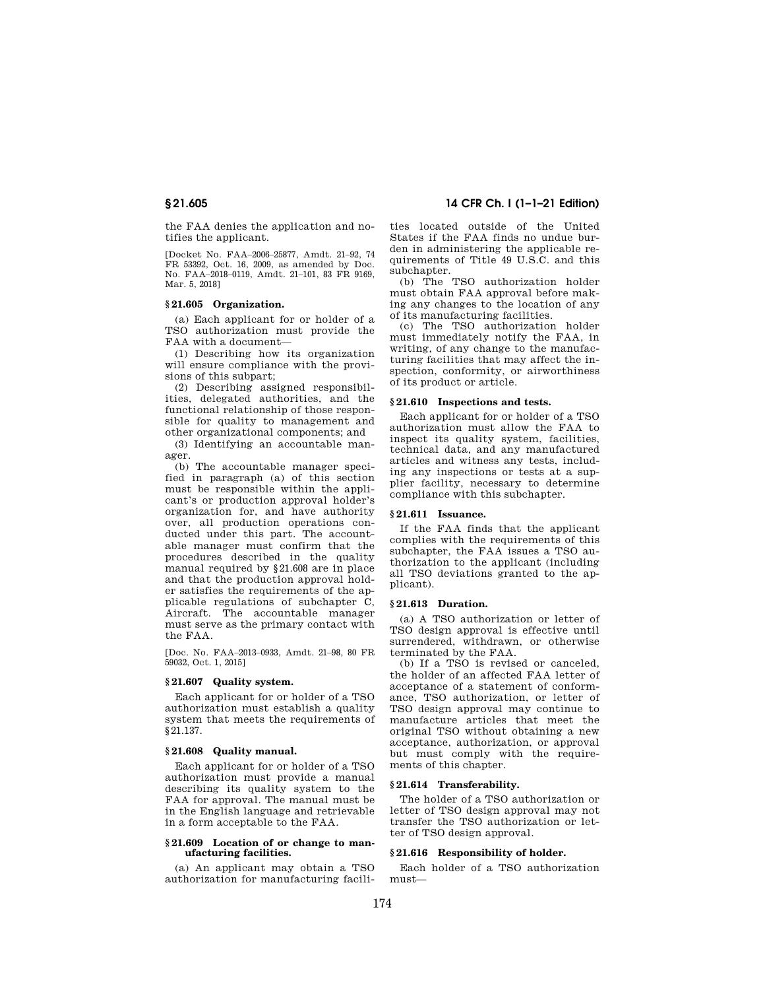the FAA denies the application and notifies the applicant.

[Docket No. FAA–2006–25877, Amdt. 21–92, 74 FR 53392, Oct. 16, 2009, as amended by Doc. No. FAA–2018–0119, Amdt. 21–101, 83 FR 9169, Mar. 5, 2018]

### **§ 21.605 Organization.**

(a) Each applicant for or holder of a TSO authorization must provide the FAA with a document—

(1) Describing how its organization will ensure compliance with the provisions of this subpart;

(2) Describing assigned responsibilities, delegated authorities, and the functional relationship of those responsible for quality to management and other organizational components; and

(3) Identifying an accountable manager.

(b) The accountable manager specified in paragraph (a) of this section must be responsible within the applicant's or production approval holder's organization for, and have authority over, all production operations conducted under this part. The accountable manager must confirm that the procedures described in the quality manual required by §21.608 are in place and that the production approval holder satisfies the requirements of the applicable regulations of subchapter C, Aircraft. The accountable manager must serve as the primary contact with the FAA.

[Doc. No. FAA–2013–0933, Amdt. 21–98, 80 FR 59032, Oct. 1, 2015]

## **§ 21.607 Quality system.**

Each applicant for or holder of a TSO authorization must establish a quality system that meets the requirements of §21.137.

### **§ 21.608 Quality manual.**

Each applicant for or holder of a TSO authorization must provide a manual describing its quality system to the FAA for approval. The manual must be in the English language and retrievable in a form acceptable to the FAA.

## **§ 21.609 Location of or change to manufacturing facilities.**

(a) An applicant may obtain a TSO authorization for manufacturing facili-

# **§ 21.605 14 CFR Ch. I (1–1–21 Edition)**

ties located outside of the United States if the FAA finds no undue burden in administering the applicable requirements of Title 49 U.S.C. and this subchapter.

(b) The TSO authorization holder must obtain FAA approval before making any changes to the location of any of its manufacturing facilities.

(c) The TSO authorization holder must immediately notify the FAA, in writing, of any change to the manufacturing facilities that may affect the inspection, conformity, or airworthiness of its product or article.

## **§ 21.610 Inspections and tests.**

Each applicant for or holder of a TSO authorization must allow the FAA to inspect its quality system, facilities, technical data, and any manufactured articles and witness any tests, including any inspections or tests at a supplier facility, necessary to determine compliance with this subchapter.

# **§ 21.611 Issuance.**

If the FAA finds that the applicant complies with the requirements of this subchapter, the FAA issues a TSO authorization to the applicant (including all TSO deviations granted to the applicant).

## **§ 21.613 Duration.**

(a) A TSO authorization or letter of TSO design approval is effective until surrendered, withdrawn, or otherwise terminated by the FAA.

(b) If a TSO is revised or canceled, the holder of an affected FAA letter of acceptance of a statement of conformance, TSO authorization, or letter of TSO design approval may continue to manufacture articles that meet the original TSO without obtaining a new acceptance, authorization, or approval but must comply with the requirements of this chapter.

# **§ 21.614 Transferability.**

The holder of a TSO authorization or letter of TSO design approval may not transfer the TSO authorization or letter of TSO design approval.

## **§ 21.616 Responsibility of holder.**

Each holder of a TSO authorization must—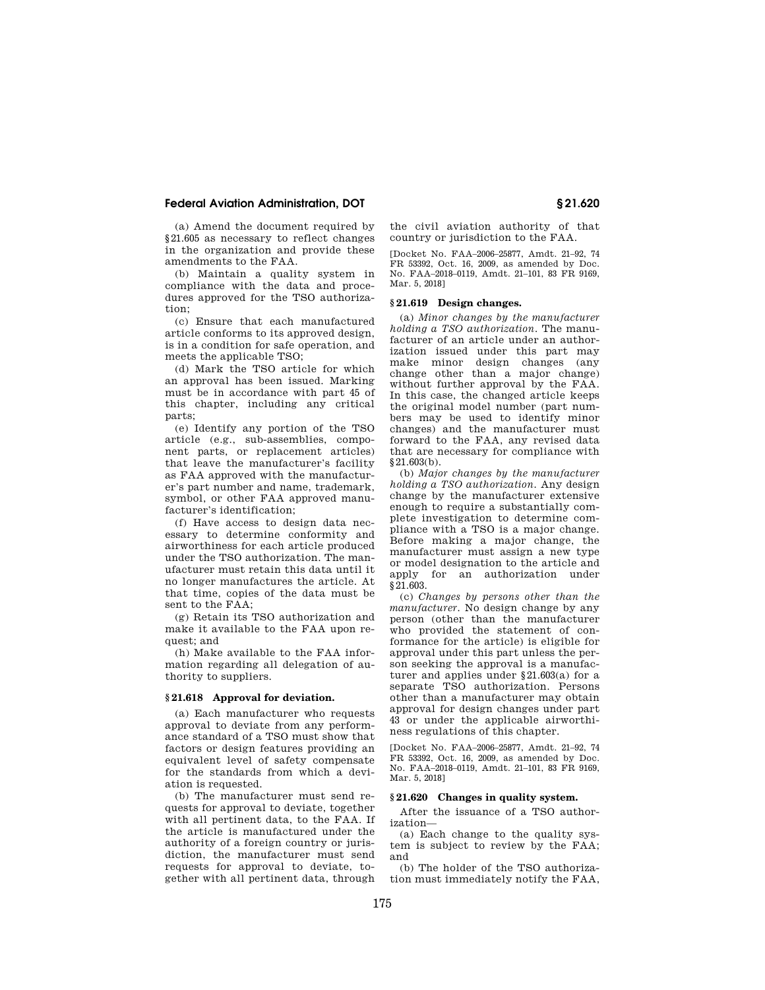(a) Amend the document required by §21.605 as necessary to reflect changes in the organization and provide these amendments to the FAA.

(b) Maintain a quality system in compliance with the data and procedures approved for the TSO authorization;

(c) Ensure that each manufactured article conforms to its approved design, is in a condition for safe operation, and meets the applicable TSO;

(d) Mark the TSO article for which an approval has been issued. Marking must be in accordance with part 45 of this chapter, including any critical parts;

(e) Identify any portion of the TSO article (e.g., sub-assemblies, component parts, or replacement articles) that leave the manufacturer's facility as FAA approved with the manufacturer's part number and name, trademark, symbol, or other FAA approved manufacturer's identification;

(f) Have access to design data necessary to determine conformity and airworthiness for each article produced under the TSO authorization. The manufacturer must retain this data until it no longer manufactures the article. At that time, copies of the data must be sent to the FAA;

(g) Retain its TSO authorization and make it available to the FAA upon request; and

(h) Make available to the FAA information regarding all delegation of authority to suppliers.

## **§ 21.618 Approval for deviation.**

(a) Each manufacturer who requests approval to deviate from any performance standard of a TSO must show that factors or design features providing an equivalent level of safety compensate for the standards from which a deviation is requested.

(b) The manufacturer must send requests for approval to deviate, together with all pertinent data, to the FAA. If the article is manufactured under the authority of a foreign country or jurisdiction, the manufacturer must send requests for approval to deviate, together with all pertinent data, through

the civil aviation authority of that country or jurisdiction to the FAA.

[Docket No. FAA–2006–25877, Amdt. 21–92, 74 FR 53392, Oct. 16, 2009, as amended by Doc. No. FAA–2018–0119, Amdt. 21–101, 83 FR 9169, Mar. 5, 2018]

## **§ 21.619 Design changes.**

(a) *Minor changes by the manufacturer holding a TSO authorization.* The manufacturer of an article under an authorization issued under this part may make minor design changes (any change other than a major change) without further approval by the FAA. In this case, the changed article keeps the original model number (part numbers may be used to identify minor changes) and the manufacturer must forward to the FAA, any revised data that are necessary for compliance with §21.603(b).

(b) *Major changes by the manufacturer holding a TSO authorization.* Any design change by the manufacturer extensive enough to require a substantially complete investigation to determine compliance with a TSO is a major change. Before making a major change, the manufacturer must assign a new type or model designation to the article and apply for an authorization under §21.603.

(c) *Changes by persons other than the manufacturer.* No design change by any person (other than the manufacturer who provided the statement of conformance for the article) is eligible for approval under this part unless the person seeking the approval is a manufacturer and applies under §21.603(a) for a separate TSO authorization. Persons other than a manufacturer may obtain approval for design changes under part 43 or under the applicable airworthiness regulations of this chapter.

[Docket No. FAA–2006–25877, Amdt. 21–92, 74 FR 53392, Oct. 16, 2009, as amended by Doc. No. FAA–2018–0119, Amdt. 21–101, 83 FR 9169, Mar. 5, 2018]

## **§ 21.620 Changes in quality system.**

After the issuance of a TSO authorization—

(a) Each change to the quality system is subject to review by the FAA; and

(b) The holder of the TSO authorization must immediately notify the FAA,